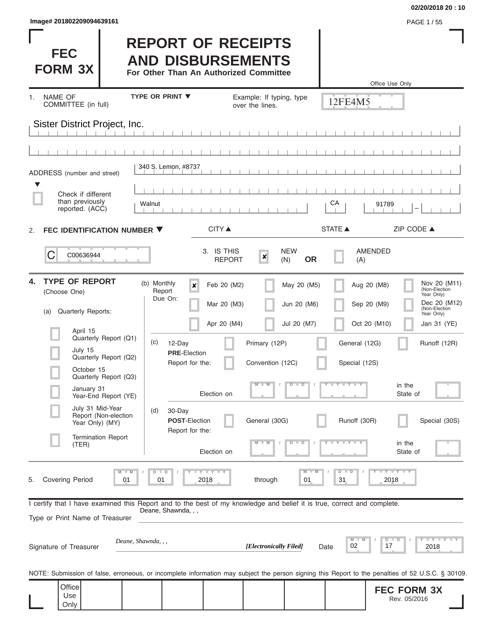| Image# 201802209094639161 | PAGE 1/55 |
|---------------------------|-----------|
|---------------------------|-----------|

**FEC FORM 3X**

#### **02/20/2018 20 : 10**

### **REPORT OF RECEIPTS AND DISBURSEMENTS**

**For Other Than An Authorized Committee**

|                                                                                                                                                   |                                                    |                                             |                                           |                | Office Use Only                                            |
|---------------------------------------------------------------------------------------------------------------------------------------------------|----------------------------------------------------|---------------------------------------------|-------------------------------------------|----------------|------------------------------------------------------------|
| NAME OF<br>1.<br>COMMITTEE (in full)                                                                                                              | <b>TYPE OR PRINT ▼</b>                             | Example: If typing, type<br>over the lines. |                                           | 12FE4M5        |                                                            |
| Sister District Project, Inc.                                                                                                                     |                                                    |                                             |                                           |                |                                                            |
|                                                                                                                                                   |                                                    |                                             |                                           |                |                                                            |
| ADDRESS (number and street)                                                                                                                       | 340 S. Lemon, #8737                                |                                             |                                           |                |                                                            |
| Check if different<br>than previously<br>reported. (ACC)                                                                                          | Walnut                                             |                                             |                                           | СA             | 91789<br>-                                                 |
| FEC IDENTIFICATION NUMBER ▼<br>2.                                                                                                                 | <b>CITY</b> ▲                                      |                                             |                                           | <b>STATE ▲</b> | ZIP CODE ▲                                                 |
| C<br>C00636944                                                                                                                                    | 3. IS THIS                                         | $\pmb{\times}$<br><b>REPORT</b>             | <b>NEW</b><br><b>OR</b><br>(N)            | (A)            | <b>AMENDED</b>                                             |
| <b>TYPE OF REPORT</b><br>4.<br>(Choose One)                                                                                                       | (b) Monthly<br>$\pmb{\times}$<br>Report<br>Due On: | Feb 20 (M2)                                 | May 20 (M5)                               |                | Nov 20 (M11)<br>Aug 20 (M8)<br>(Non-Election<br>Year Only) |
| <b>Quarterly Reports:</b><br>(a)                                                                                                                  |                                                    | Mar 20 (M3)                                 | Jun 20 (M6)                               |                | Dec 20 (M12)<br>Sep 20 (M9)<br>(Non-Election<br>Year Only) |
| April 15<br>Quarterly Report (Q1)                                                                                                                 |                                                    | Apr 20 (M4)                                 | Jul 20 (M7)                               |                | Oct 20 (M10)<br>Jan 31 (YE)                                |
| July 15<br>Quarterly Report (Q2)                                                                                                                  | (c)<br>12-Day<br><b>PRE-Election</b>               | Primary (12P)                               |                                           | General (12G)  | Runoff (12R)                                               |
| October 15<br>Quarterly Report (Q3)                                                                                                               | Report for the:                                    | Convention (12C)                            |                                           | Special (12S)  |                                                            |
| January 31<br>Year-End Report (YE)                                                                                                                | Election on                                        | $-W$                                        | $\overline{\mathsf{D}}$<br>$\overline{D}$ | Y L Y L Y      | in the<br>State of                                         |
| July 31 Mid-Year<br>Report (Non-election<br>Year Only) (MY)                                                                                       | 30-Day<br>(d)<br><b>POST-Election</b>              | General (30G)                               |                                           | Runoff (30R)   | Special (30S)                                              |
| <b>Termination Report</b><br>(TER)                                                                                                                | Report for the:<br>Election on                     | $-M$ $/$                                    |                                           |                | in the<br>State of                                         |
| <b>Covering Period</b><br>01<br>5.                                                                                                                | Y I Y I Y<br>01<br>2018                            | through                                     | $\overline{\mathsf{M}}$<br>01             | D<br>D<br>31   | $Y - Y - Y$<br>2018                                        |
| I certify that I have examined this Report and to the best of my knowledge and belief it is true, correct and complete.                           | Deane, Shawnda, , ,                                |                                             |                                           |                |                                                            |
| Type or Print Name of Treasurer                                                                                                                   |                                                    |                                             |                                           |                |                                                            |
| Deane, Shawnda, , ,<br>Signature of Treasurer                                                                                                     |                                                    | [Electronically Filed]                      |                                           | 02<br>Date     | $T - Y = T - Y$<br>17<br>2018                              |
| NOTE: Submission of false, erroneous, or incomplete information may subject the person signing this Report to the penalties of 52 U.S.C. § 30109. |                                                    |                                             |                                           |                |                                                            |
| Office<br>Use<br>Only                                                                                                                             |                                                    |                                             |                                           |                | <b>FEC FORM 3X</b><br>Rev. 05/2016                         |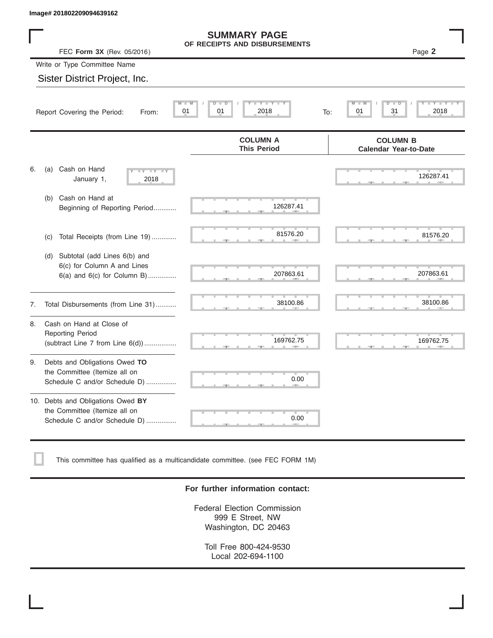|    | Image# 201802209094639162                                                                             |                                                      |                                                 |
|----|-------------------------------------------------------------------------------------------------------|------------------------------------------------------|-------------------------------------------------|
|    | FEC Form 3X (Rev. 05/2016)                                                                            | <b>SUMMARY PAGE</b><br>OF RECEIPTS AND DISBURSEMENTS | Page 2                                          |
|    | Write or Type Committee Name                                                                          |                                                      |                                                 |
|    | Sister District Project, Inc.                                                                         |                                                      |                                                 |
|    | 01<br>Report Covering the Period:<br>From:                                                            | $Y - Y - I$<br>D<br>D<br>01<br>2018<br>To:           | D<br>Ð<br>31<br>2018<br>01                      |
|    |                                                                                                       | <b>COLUMN A</b><br><b>This Period</b>                | <b>COLUMN B</b><br><b>Calendar Year-to-Date</b> |
| 6. | Cash on Hand<br>(a)<br>Y'<br>January 1,<br>2018                                                       |                                                      | 126287.41                                       |
|    | Cash on Hand at<br>(b)<br>Beginning of Reporting Period                                               | 126287.41                                            |                                                 |
|    | Total Receipts (from Line 19)<br>(c)                                                                  | 81576.20                                             | 81576.20                                        |
|    | Subtotal (add Lines 6(b) and<br>(d)<br>6(c) for Column A and Lines<br>$6(a)$ and $6(c)$ for Column B) | 207863.61                                            | 207863.61                                       |
| 7. | Total Disbursements (from Line 31)                                                                    | 38100.86                                             | 38100.86                                        |
| 8. | Cash on Hand at Close of<br><b>Reporting Period</b><br>(subtract Line $7$ from Line $6(d)$ )          | 169762.75                                            | 169762.75                                       |
| 9. | Debts and Obligations Owed TO<br>the Committee (Itemize all on<br>Schedule C and/or Schedule D)       | 0.00                                                 |                                                 |
|    | 10. Debts and Obligations Owed BY<br>the Committee (Itemize all on<br>Schedule C and/or Schedule D)   | T<br>0.00                                            |                                                 |

This committee has qualified as a multicandidate committee. (see FEC FORM 1M)

#### **For further information contact:**

Federal Election Commission 999 E Street, NW Washington, DC 20463

Toll Free 800-424-9530 Local 202-694-1100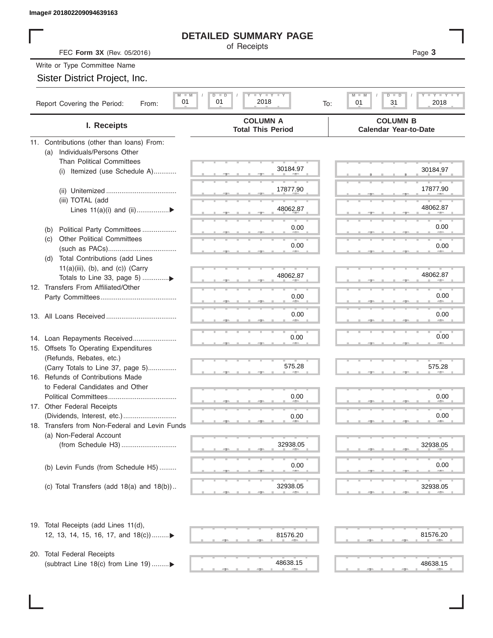#### **DETAILED SUMMARY PAGE**

|                                                                                | <b>DETAILED SUMMARY PAGE</b>                  |                                                               |
|--------------------------------------------------------------------------------|-----------------------------------------------|---------------------------------------------------------------|
| FEC Form 3X (Rev. 05/2016)                                                     | of Receipts                                   | Page 3                                                        |
| Write or Type Committee Name                                                   |                                               |                                                               |
| Sister District Project, Inc.                                                  |                                               |                                                               |
| $M$ $M$<br>01<br>Report Covering the Period:<br>From:                          | <b>LYLYLY</b><br>$D$ $D$<br>01<br>2018<br>To: | $T$ $T$ $T$ $T$ $T$ $T$ $T$ $T$<br>M<br>D<br>01<br>31<br>2018 |
|                                                                                | <b>COLUMN A</b>                               | <b>COLUMN B</b>                                               |
| I. Receipts                                                                    | <b>Total This Period</b>                      | <b>Calendar Year-to-Date</b>                                  |
| 11. Contributions (other than loans) From:<br>Individuals/Persons Other<br>(a) |                                               |                                                               |
| <b>Than Political Committees</b>                                               | 30184.97                                      | 30184.97                                                      |
| Itemized (use Schedule A)<br>(i)                                               |                                               |                                                               |
|                                                                                | 17877.90                                      | 17877.90                                                      |
| (iii) TOTAL (add                                                               |                                               |                                                               |
| Lines $11(a)(i)$ and $(ii)$                                                    | 48062.87                                      | 48062.87                                                      |
| Political Party Committees<br>(b)                                              | 0.00                                          | 0.00                                                          |
| <b>Other Political Committees</b><br>(C)                                       |                                               |                                                               |
|                                                                                | 0.00                                          | 0.00                                                          |
| Total Contributions (add Lines<br>(d)                                          |                                               |                                                               |
| $11(a)(iii)$ , (b), and (c)) (Carry<br>Totals to Line 33, page 5) ▶            | 48062.87                                      | 48062.87                                                      |
| 12. Transfers From Affiliated/Other                                            |                                               |                                                               |
|                                                                                | 0.00                                          | 0.00                                                          |
|                                                                                | 0.00                                          | 0.00                                                          |
|                                                                                |                                               |                                                               |
| 14. Loan Repayments Received                                                   | 0.00                                          | $0.00\,$                                                      |
| 15. Offsets To Operating Expenditures                                          |                                               |                                                               |
| (Refunds, Rebates, etc.)                                                       | 575.28                                        | 575.28                                                        |
| (Carry Totals to Line 37, page 5)<br>16. Refunds of Contributions Made         |                                               |                                                               |
| to Federal Candidates and Other                                                |                                               |                                                               |
| Political Committees                                                           | 0.00                                          | 0.00                                                          |
| 17. Other Federal Receipts                                                     |                                               |                                                               |
| 18. Transfers from Non-Federal and Levin Funds                                 | 0.00                                          | 0.00                                                          |
| (a) Non-Federal Account                                                        |                                               |                                                               |
|                                                                                | 32938.05                                      | 32938.05                                                      |
|                                                                                |                                               |                                                               |
| (b) Levin Funds (from Schedule H5)                                             | 0.00                                          | 0.00                                                          |
| (c) Total Transfers (add $18(a)$ and $18(b)$ )                                 | 32938.05                                      | 32938.05                                                      |
|                                                                                |                                               |                                                               |
| 19. Total Receipts (add Lines 11(d),                                           |                                               |                                                               |
| 12, 13, 14, 15, 16, 17, and 18(c))                                             | 81576.20                                      | 81576.20                                                      |
| 20. Total Federal Receipts                                                     |                                               |                                                               |
| (subtract Line 18(c) from Line 19) ▶                                           | 48638.15                                      | 48638.15                                                      |
|                                                                                |                                               |                                                               |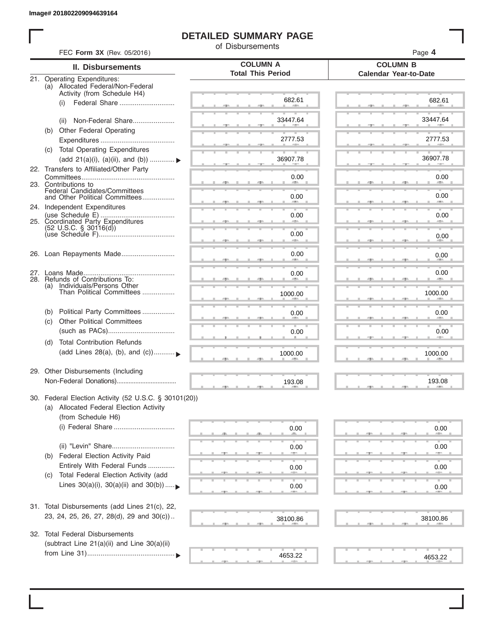I

#### **DETAILED SUMMARY PAGE**

of Disbursements

|     | <b>II. Disbursements</b>                                          | <b>COLUMN A</b><br><b>Total This Period</b> | <b>COLUMN B</b><br><b>Calendar Year-to-Date</b> |
|-----|-------------------------------------------------------------------|---------------------------------------------|-------------------------------------------------|
|     | 21. Operating Expenditures:                                       |                                             |                                                 |
|     | (a) Allocated Federal/Non-Federal<br>Activity (from Schedule H4)  |                                             |                                                 |
|     | Federal Share<br>(i)                                              | 682.61                                      | 682.61                                          |
|     |                                                                   |                                             |                                                 |
|     | Non-Federal Share<br>(ii)                                         | 33447.64                                    | 33447.64                                        |
|     | (b) Other Federal Operating                                       |                                             |                                                 |
|     |                                                                   | 2777.53                                     | 2777.53                                         |
|     | (c) Total Operating Expenditures                                  |                                             |                                                 |
|     | (add 21(a)(i), (a)(ii), and (b))  ▶                               | 36907.78                                    | 36907.78                                        |
|     | 22. Transfers to Affiliated/Other Party                           |                                             |                                                 |
|     | 23. Contributions to                                              | 0.00                                        | 0.00<br><b>AREA</b>                             |
|     | Federal Candidates/Committees<br>and Other Political Committees   |                                             | 0.00                                            |
|     |                                                                   | 0.00                                        | <b>AND</b>                                      |
|     | 24. Independent Expenditures                                      | 0.00                                        | 0.00                                            |
|     | 25. Coordinated Party Expenditures                                |                                             |                                                 |
|     | $(52 \text{ U.S.C. }$ § 30116(d))                                 | 0.00                                        | 0.00                                            |
|     |                                                                   | an a                                        |                                                 |
|     | 26. Loan Repayments Made                                          | 0.00                                        | 0.00                                            |
|     |                                                                   |                                             |                                                 |
|     |                                                                   | 0.00                                        | 0.00                                            |
|     | 28. Refunds of Contributions To:<br>(a) Individuals/Persons Other |                                             |                                                 |
|     | Than Political Committees                                         | 1000.00                                     | 1000.00                                         |
|     |                                                                   |                                             |                                                 |
| (b) | Political Party Committees                                        | 0.00                                        | 0.00                                            |
| (c) | <b>Other Political Committees</b>                                 |                                             |                                                 |
|     |                                                                   | 0.00                                        | 0.00                                            |
| (d) | <b>Total Contribution Refunds</b>                                 |                                             |                                                 |
|     | (add Lines 28(a), (b), and (c))                                   | 1000.00                                     | 1000.00                                         |
|     |                                                                   |                                             |                                                 |
|     | 29. Other Disbursements (Including                                |                                             |                                                 |
|     |                                                                   | 193.08                                      | 193.08                                          |
|     | 30. Federal Election Activity (52 U.S.C. § 30101(20))             |                                             |                                                 |
|     | (a) Allocated Federal Election Activity                           |                                             |                                                 |
|     | (from Schedule H6)                                                |                                             |                                                 |
|     |                                                                   | 0.00                                        |                                                 |
|     |                                                                   |                                             | 0.00                                            |
|     |                                                                   | 0.00                                        | 0.00                                            |
| (b) | Federal Election Activity Paid                                    |                                             |                                                 |
|     | Entirely With Federal Funds                                       | 0.00                                        | 0.00                                            |
| (C) | Total Federal Election Activity (add                              |                                             |                                                 |
|     | Lines $30(a)(i)$ , $30(a)(ii)$ and $30(b))$                       | 0.00                                        | 0.00                                            |
|     |                                                                   |                                             |                                                 |
|     | 31. Total Disbursements (add Lines 21(c), 22,                     |                                             |                                                 |
|     | 23, 24, 25, 26, 27, 28(d), 29 and 30(c))                          |                                             |                                                 |
|     |                                                                   | 38100.86                                    | 38100.86                                        |
| 32. | <b>Total Federal Disbursements</b>                                |                                             |                                                 |
|     | (subtract Line 21(a)(ii) and Line 30(a)(ii)                       |                                             |                                                 |
|     |                                                                   | 4653.22                                     |                                                 |
|     |                                                                   |                                             | 4653.22                                         |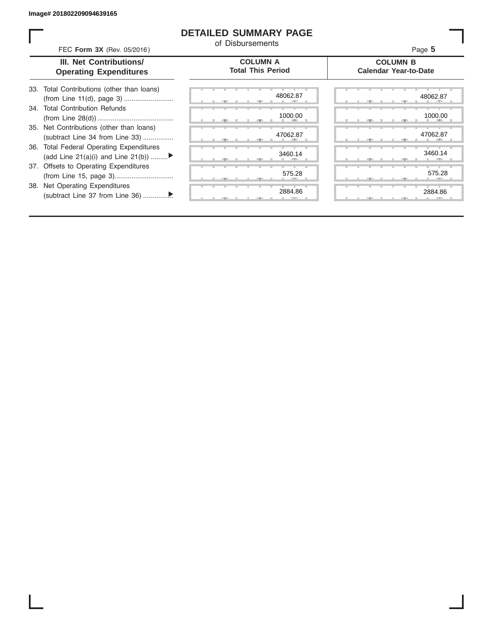ı

#### **DETAILED SUMMARY PAGE**

of Disbursements

| <b>COLUMN B</b>              |
|------------------------------|
| <b>Calendar Year-to-Date</b> |
| 48062.87                     |
| 1000.00                      |
| 47062.87                     |
| 3460.14                      |
| 575.28                       |
| 2884.86                      |
|                              |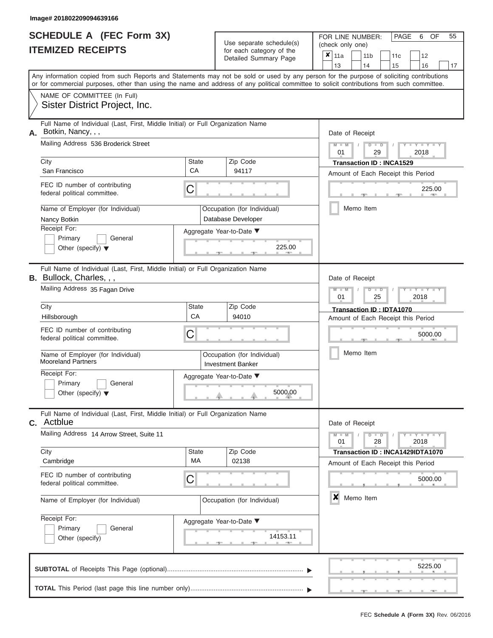|                          | <b>SCHEDULE A (FEC Form 3X)</b> |
|--------------------------|---------------------------------|
| <b>ITEMIZED RECEIPTS</b> |                                 |

Use separate schedule(s)<br>for each category of the

FOR LINE NUMBER:<br>(check only one)

PAGE 6 OF 55

| IILMILLU INLVLII IV                                                                                                                                                                                                                                                                     |                    | iul caull calcyuly ul lillo<br>Detailed Summary Page    | x                                            | 11a                                                             |  | 11 <sub>b</sub> | 11c                              |      | 12                                     |    |  |  |  |  |  |
|-----------------------------------------------------------------------------------------------------------------------------------------------------------------------------------------------------------------------------------------------------------------------------------------|--------------------|---------------------------------------------------------|----------------------------------------------|-----------------------------------------------------------------|--|-----------------|----------------------------------|------|----------------------------------------|----|--|--|--|--|--|
| Any information copied from such Reports and Statements may not be sold or used by any person for the purpose of soliciting contributions<br>or for commercial purposes, other than using the name and address of any political committee to solicit contributions from such committee. |                    |                                                         |                                              | 13                                                              |  | 14              | 15                               |      | 16                                     | 17 |  |  |  |  |  |
| NAME OF COMMITTEE (In Full)<br>Sister District Project, Inc.                                                                                                                                                                                                                            |                    |                                                         |                                              |                                                                 |  |                 |                                  |      |                                        |    |  |  |  |  |  |
| Full Name of Individual (Last, First, Middle Initial) or Full Organization Name<br>Botkin, Nancy, , ,<br>А.                                                                                                                                                                             |                    |                                                         |                                              | Date of Receipt                                                 |  |                 |                                  |      |                                        |    |  |  |  |  |  |
| Mailing Address 536 Broderick Street                                                                                                                                                                                                                                                    |                    |                                                         |                                              | $M - M$<br>$D$ $\Box$ $D$<br>01<br>29<br>2018                   |  |                 |                                  |      |                                        |    |  |  |  |  |  |
| City<br>San Francisco                                                                                                                                                                                                                                                                   | <b>State</b><br>CA | Zip Code<br>94117                                       |                                              |                                                                 |  |                 | <b>Transaction ID: INCA1529</b>  |      |                                        |    |  |  |  |  |  |
| FEC ID number of contributing<br>federal political committee.                                                                                                                                                                                                                           | C                  |                                                         | Amount of Each Receipt this Period<br>225.00 |                                                                 |  |                 |                                  |      |                                        |    |  |  |  |  |  |
| Name of Employer (for Individual)<br>Nancy Botkin                                                                                                                                                                                                                                       |                    | Occupation (for Individual)<br>Database Developer       |                                              |                                                                 |  | Memo Item       |                                  |      |                                        |    |  |  |  |  |  |
| Receipt For:<br>Primary<br>General<br>Other (specify) $\blacktriangledown$                                                                                                                                                                                                              |                    | Aggregate Year-to-Date ▼<br>225.00<br><b>AREA</b>       |                                              |                                                                 |  |                 |                                  |      |                                        |    |  |  |  |  |  |
| Full Name of Individual (Last, First, Middle Initial) or Full Organization Name<br>B. Bullock, Charles, , ,                                                                                                                                                                             |                    |                                                         |                                              | Date of Receipt                                                 |  |                 |                                  |      |                                        |    |  |  |  |  |  |
| Mailing Address 35 Fagan Drive                                                                                                                                                                                                                                                          |                    |                                                         |                                              |                                                                 |  |                 |                                  |      | $M - M$<br>$D$ $D$<br>01<br>25<br>2018 |    |  |  |  |  |  |
| City<br>Hillsborough                                                                                                                                                                                                                                                                    | <b>State</b><br>CA | Zip Code<br>94010                                       |                                              | Transaction ID: IDTA1070<br>Amount of Each Receipt this Period  |  |                 |                                  |      |                                        |    |  |  |  |  |  |
| FEC ID number of contributing<br>federal political committee.                                                                                                                                                                                                                           | C                  |                                                         |                                              |                                                                 |  |                 |                                  |      | 5000.00                                |    |  |  |  |  |  |
| Name of Employer (for Individual)<br><b>Mooreland Partners</b>                                                                                                                                                                                                                          |                    | Occupation (for Individual)<br><b>Investment Banker</b> |                                              |                                                                 |  | Memo Item       |                                  |      |                                        |    |  |  |  |  |  |
| Receipt For:<br>Primary<br>General<br>Other (specify) $\blacktriangledown$                                                                                                                                                                                                              |                    | Aggregate Year-to-Date ▼<br>5000.00                     |                                              |                                                                 |  |                 |                                  |      |                                        |    |  |  |  |  |  |
| Full Name of Individual (Last, First, Middle Initial) or Full Organization Name<br>c. Actblue                                                                                                                                                                                           |                    |                                                         |                                              | Date of Receipt                                                 |  |                 |                                  |      |                                        |    |  |  |  |  |  |
| Mailing Address 14 Arrow Street, Suite 11                                                                                                                                                                                                                                               |                    |                                                         |                                              | $M - M$<br>01                                                   |  | $D$ $D$<br>28   |                                  | 2018 | $Y - Y - Y$                            |    |  |  |  |  |  |
| City<br>Cambridge                                                                                                                                                                                                                                                                       | State<br>MA        | Zip Code<br>02138                                       |                                              |                                                                 |  |                 | Transaction ID: INCA1429IDTA1070 |      |                                        |    |  |  |  |  |  |
| FEC ID number of contributing<br>federal political committee.                                                                                                                                                                                                                           | C                  |                                                         |                                              | Amount of Each Receipt this Period<br>5000.00<br>×<br>Memo Item |  |                 |                                  |      |                                        |    |  |  |  |  |  |
| Name of Employer (for Individual)                                                                                                                                                                                                                                                       |                    | Occupation (for Individual)                             |                                              |                                                                 |  |                 |                                  |      |                                        |    |  |  |  |  |  |
| Receipt For:<br>Primary<br>General<br>Other (specify)                                                                                                                                                                                                                                   |                    | Aggregate Year-to-Date ▼<br>14153.11                    |                                              |                                                                 |  |                 |                                  |      |                                        |    |  |  |  |  |  |
|                                                                                                                                                                                                                                                                                         |                    |                                                         |                                              |                                                                 |  |                 |                                  |      | 5225.00                                |    |  |  |  |  |  |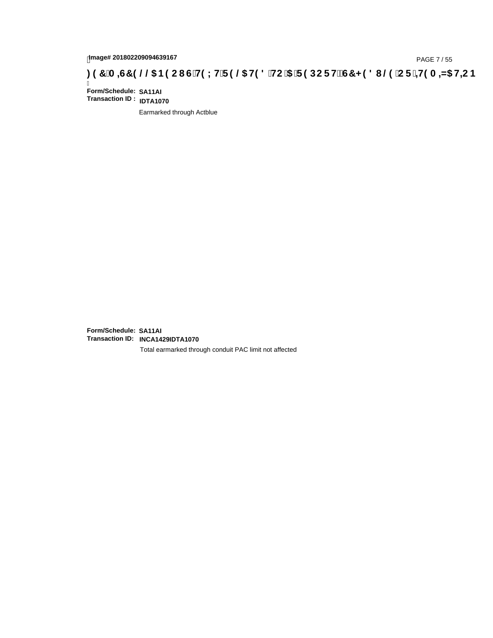## tmage# 201802209094639167<br>DAGE 7 / 55 DOC RIS COMPETING THE 19 @ HD 8 HC 15 TF 9 DOC F HŽ G7 < 9 8 I @ 1 C F 1 <del>HD</del> A = A HC B بـ 97 A = A S H= C B

Ī **Form/Schedule: SA11AI Transaction ID : IDTA1070**

Earmarked through Actblue

**Form/Schedule: SA11AI Transaction ID: INCA1429IDTA1070**

Total earmarked through conduit PAC limit not affected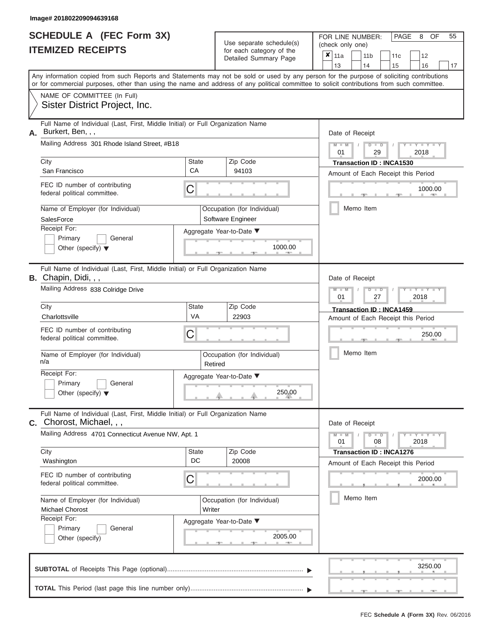|                          | <b>SCHEDULE A (FEC Form 3X)</b> |
|--------------------------|---------------------------------|
| <b>ITEMIZED RECEIPTS</b> |                                 |

Use separate schedule(s)<br>for each category of the

FOR LINE NUMBER: PAGE<br>
(check only one)

8 OF 55

|                                                                            | IILMILLU RLVLIF I J                                                                                                                                                                                                                                                                     |             |         | ior each calegory or the<br>Detailed Summary Page | ×               | 11a<br>13                                                             |  | 11 <sub>b</sub><br>14 |                                        | 11c                                                                   |  | 12                              |    |  |  |  |  |  |  |
|----------------------------------------------------------------------------|-----------------------------------------------------------------------------------------------------------------------------------------------------------------------------------------------------------------------------------------------------------------------------------------|-------------|---------|---------------------------------------------------|-----------------|-----------------------------------------------------------------------|--|-----------------------|----------------------------------------|-----------------------------------------------------------------------|--|---------------------------------|----|--|--|--|--|--|--|
|                                                                            | Any information copied from such Reports and Statements may not be sold or used by any person for the purpose of soliciting contributions<br>or for commercial purposes, other than using the name and address of any political committee to solicit contributions from such committee. |             |         |                                                   |                 |                                                                       |  |                       |                                        | 15                                                                    |  | 16                              | 17 |  |  |  |  |  |  |
|                                                                            | NAME OF COMMITTEE (In Full)<br>Sister District Project, Inc.                                                                                                                                                                                                                            |             |         |                                                   |                 |                                                                       |  |                       |                                        |                                                                       |  |                                 |    |  |  |  |  |  |  |
| А.                                                                         | Full Name of Individual (Last, First, Middle Initial) or Full Organization Name<br>Burkert, Ben, , ,                                                                                                                                                                                    |             |         |                                                   |                 | Date of Receipt                                                       |  |                       |                                        |                                                                       |  |                                 |    |  |  |  |  |  |  |
|                                                                            | Mailing Address 301 Rhode Island Street, #B18                                                                                                                                                                                                                                           |             |         |                                                   |                 |                                                                       |  |                       | $M - M$<br>$D$ $D$<br>01<br>2018<br>29 |                                                                       |  |                                 |    |  |  |  |  |  |  |
|                                                                            | City<br>San Francisco                                                                                                                                                                                                                                                                   | State<br>CA |         | Zip Code<br>94103                                 |                 | <b>Transaction ID: INCA1530</b><br>Amount of Each Receipt this Period |  |                       |                                        |                                                                       |  |                                 |    |  |  |  |  |  |  |
|                                                                            | FEC ID number of contributing<br>federal political committee.                                                                                                                                                                                                                           | С           |         |                                                   | 1000.00         |                                                                       |  |                       |                                        |                                                                       |  |                                 |    |  |  |  |  |  |  |
|                                                                            | Name of Employer (for Individual)<br>SalesForce                                                                                                                                                                                                                                         |             |         | Occupation (for Individual)<br>Software Engineer  |                 |                                                                       |  | Memo Item             |                                        |                                                                       |  |                                 |    |  |  |  |  |  |  |
|                                                                            | Receipt For:<br>Primary<br>General<br>Other (specify) $\blacktriangledown$                                                                                                                                                                                                              |             |         | Aggregate Year-to-Date ▼<br>1000.00               |                 |                                                                       |  |                       |                                        |                                                                       |  |                                 |    |  |  |  |  |  |  |
|                                                                            | Full Name of Individual (Last, First, Middle Initial) or Full Organization Name<br><b>B.</b> Chapin, Didi, , ,                                                                                                                                                                          |             |         |                                                   | Date of Receipt |                                                                       |  |                       |                                        |                                                                       |  |                                 |    |  |  |  |  |  |  |
| Mailing Address 838 Colridge Drive                                         |                                                                                                                                                                                                                                                                                         |             |         |                                                   |                 | $M - M$<br>D<br>$\Box$<br>01<br>2018<br>27                            |  |                       |                                        |                                                                       |  |                                 |    |  |  |  |  |  |  |
|                                                                            | City<br>State<br>VA<br>Charlottsville                                                                                                                                                                                                                                                   |             |         | Zip Code<br>22903                                 |                 |                                                                       |  |                       |                                        | Transaction ID: INCA1459<br>Amount of Each Receipt this Period        |  |                                 |    |  |  |  |  |  |  |
|                                                                            | FEC ID number of contributing<br>federal political committee.                                                                                                                                                                                                                           | С           |         |                                                   |                 |                                                                       |  |                       |                                        |                                                                       |  | 250.00                          |    |  |  |  |  |  |  |
| Name of Employer (for Individual)<br>n/a                                   |                                                                                                                                                                                                                                                                                         |             | Retired | Occupation (for Individual)                       |                 |                                                                       |  | Memo Item             |                                        |                                                                       |  |                                 |    |  |  |  |  |  |  |
| Receipt For:<br>Primary<br>General<br>Other (specify) $\blacktriangledown$ |                                                                                                                                                                                                                                                                                         |             |         | Aggregate Year-to-Date ▼<br>250.00                |                 |                                                                       |  |                       |                                        |                                                                       |  |                                 |    |  |  |  |  |  |  |
| С.                                                                         | Full Name of Individual (Last, First, Middle Initial) or Full Organization Name<br>Chorost, Michael, , ,                                                                                                                                                                                |             |         |                                                   |                 | Date of Receipt                                                       |  |                       |                                        |                                                                       |  |                                 |    |  |  |  |  |  |  |
|                                                                            | Mailing Address 4701 Connecticut Avenue NW, Apt. 1                                                                                                                                                                                                                                      |             |         |                                                   |                 | $M - M$<br>01                                                         |  |                       | $D$ $D$<br>08                          |                                                                       |  | $T - Y = T - Y = T - Y$<br>2018 |    |  |  |  |  |  |  |
|                                                                            | City<br>Washington                                                                                                                                                                                                                                                                      | State<br>DC |         | Zip Code<br>20008                                 |                 |                                                                       |  |                       |                                        | <b>Transaction ID: INCA1276</b><br>Amount of Each Receipt this Period |  |                                 |    |  |  |  |  |  |  |
|                                                                            | FEC ID number of contributing<br>federal political committee.                                                                                                                                                                                                                           | С           |         |                                                   |                 |                                                                       |  |                       |                                        |                                                                       |  | 2000.00                         |    |  |  |  |  |  |  |
|                                                                            | Name of Employer (for Individual)<br><b>Michael Chorost</b><br>Writer                                                                                                                                                                                                                   |             |         | Occupation (for Individual)                       |                 | Memo Item                                                             |  |                       |                                        |                                                                       |  |                                 |    |  |  |  |  |  |  |
|                                                                            | Receipt For:<br>Aggregate Year-to-Date ▼<br>Primary<br>General<br>2005.00<br>Other (specify)                                                                                                                                                                                            |             |         |                                                   |                 |                                                                       |  |                       |                                        |                                                                       |  |                                 |    |  |  |  |  |  |  |
|                                                                            |                                                                                                                                                                                                                                                                                         |             |         |                                                   |                 |                                                                       |  |                       |                                        |                                                                       |  | 3250.00                         |    |  |  |  |  |  |  |
|                                                                            |                                                                                                                                                                                                                                                                                         |             |         |                                                   |                 |                                                                       |  |                       |                                        |                                                                       |  |                                 |    |  |  |  |  |  |  |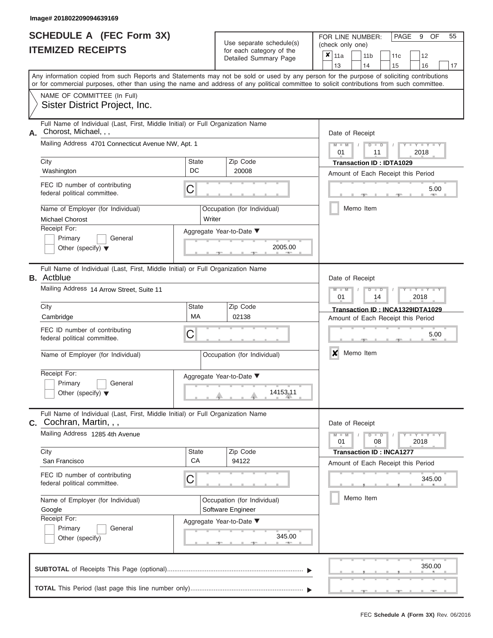### **SCHEDULE A (FEC Form 3X) ITEMIZED RECEIPTS**

| <b>SCHEDULE A (FEC Form 3X)</b><br><b>ITEMIZED RECEIPTS</b>                                                                       |                                                                                                                                                                                                                                                                                         |                                                                         | Use separate schedule(s)<br>for each category of the                         | PAGE<br>OF<br>55<br>FOR LINE NUMBER:<br>9<br>(check only one)<br>$x \vert_{11a}$ |
|-----------------------------------------------------------------------------------------------------------------------------------|-----------------------------------------------------------------------------------------------------------------------------------------------------------------------------------------------------------------------------------------------------------------------------------------|-------------------------------------------------------------------------|------------------------------------------------------------------------------|----------------------------------------------------------------------------------|
|                                                                                                                                   |                                                                                                                                                                                                                                                                                         |                                                                         | Detailed Summary Page                                                        | 11 <sub>b</sub><br>11 <sub>c</sub><br>12<br>13<br>14<br>15<br>16<br>17           |
|                                                                                                                                   | Any information copied from such Reports and Statements may not be sold or used by any person for the purpose of soliciting contributions<br>or for commercial purposes, other than using the name and address of any political committee to solicit contributions from such committee. |                                                                         |                                                                              |                                                                                  |
|                                                                                                                                   | NAME OF COMMITTEE (In Full)<br>Sister District Project, Inc.                                                                                                                                                                                                                            |                                                                         |                                                                              |                                                                                  |
| А.                                                                                                                                | Full Name of Individual (Last, First, Middle Initial) or Full Organization Name<br>Chorost, Michael, , ,<br>Mailing Address 4701 Connecticut Avenue NW, Apt. 1                                                                                                                          |                                                                         |                                                                              | Date of Receipt<br>$M - M$<br>$Y = Y = Y$<br>$D$ $D$                             |
|                                                                                                                                   | City<br>Washington                                                                                                                                                                                                                                                                      | <b>State</b><br>DC                                                      | Zip Code<br>20008                                                            | 01<br>2018<br>11<br><b>Transaction ID: IDTA1029</b>                              |
|                                                                                                                                   | FEC ID number of contributing<br>federal political committee.                                                                                                                                                                                                                           | C                                                                       |                                                                              | Amount of Each Receipt this Period<br>5.00                                       |
|                                                                                                                                   | Name of Employer (for Individual)<br><b>Michael Chorost</b>                                                                                                                                                                                                                             | Writer                                                                  | Occupation (for Individual)                                                  | Memo Item                                                                        |
| Receipt For:<br>Primary<br>General<br>Other (specify) $\blacktriangledown$                                                        |                                                                                                                                                                                                                                                                                         |                                                                         | Aggregate Year-to-Date ▼<br>2005.00                                          |                                                                                  |
|                                                                                                                                   | Full Name of Individual (Last, First, Middle Initial) or Full Organization Name<br><b>B.</b> Actblue                                                                                                                                                                                    |                                                                         |                                                                              | Date of Receipt                                                                  |
| Mailing Address 14 Arrow Street, Suite 11                                                                                         |                                                                                                                                                                                                                                                                                         |                                                                         |                                                                              | $M - M$<br>Y L Y L Y<br>$\blacksquare$<br>ъ<br>01<br>2018<br>14                  |
|                                                                                                                                   | City<br><b>State</b><br>МA<br>Cambridge                                                                                                                                                                                                                                                 |                                                                         | Zip Code<br>02138                                                            | Transaction ID: INCA1329IDTA1029<br>Amount of Each Receipt this Period           |
| FEC ID number of contributing<br>С<br>federal political committee.                                                                |                                                                                                                                                                                                                                                                                         |                                                                         |                                                                              | 5.00                                                                             |
|                                                                                                                                   | Name of Employer (for Individual)                                                                                                                                                                                                                                                       |                                                                         | Occupation (for Individual)                                                  | X<br>Memo Item                                                                   |
|                                                                                                                                   | Receipt For:<br>Aggregate Year-to-Date ▼<br>Primary<br>General<br>Other (specify) $\blacktriangledown$                                                                                                                                                                                  |                                                                         |                                                                              |                                                                                  |
|                                                                                                                                   | Full Name of Individual (Last, First, Middle Initial) or Full Organization Name<br><b>C.</b> Cochran, Martin, , ,                                                                                                                                                                       |                                                                         |                                                                              | Date of Receipt                                                                  |
|                                                                                                                                   | Mailing Address 1285 4th Avenue                                                                                                                                                                                                                                                         | $-1$ $ Y$ $-1$ $ Y$ $-1$ $ Y$<br>$M - M$<br>$D$ $D$<br>01<br>08<br>2018 |                                                                              |                                                                                  |
|                                                                                                                                   | City<br>San Francisco                                                                                                                                                                                                                                                                   | State<br>CA                                                             | Zip Code<br>94122                                                            | <b>Transaction ID: INCA1277</b><br>Amount of Each Receipt this Period            |
| FEC ID number of contributing<br>C<br>federal political committee.<br>Name of Employer (for Individual)<br>Google<br>Receipt For: |                                                                                                                                                                                                                                                                                         |                                                                         |                                                                              | 345.00                                                                           |
|                                                                                                                                   |                                                                                                                                                                                                                                                                                         |                                                                         | Occupation (for Individual)<br>Software Engineer<br>Aggregate Year-to-Date ▼ | Memo Item                                                                        |
|                                                                                                                                   | Primary<br>General<br>Other (specify)                                                                                                                                                                                                                                                   |                                                                         |                                                                              |                                                                                  |
|                                                                                                                                   |                                                                                                                                                                                                                                                                                         |                                                                         |                                                                              | 350.00                                                                           |
|                                                                                                                                   |                                                                                                                                                                                                                                                                                         |                                                                         |                                                                              |                                                                                  |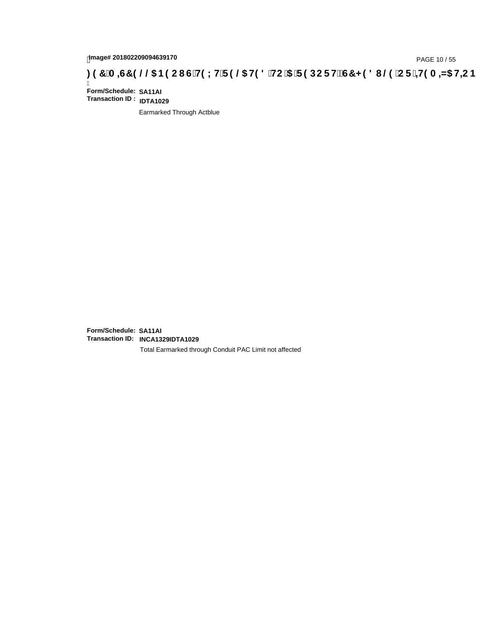## <sub>28/018</sub> / PAGE 10 / 55<br>DAGE 10 / 55 DOCH 10 / 55 DOCH 10 / 5 PAGE 10 / 55<br>CHIC IS THE 19 CHIC 15 TERREST < 1810 @ CF 1 + 19 A

Ī **Form/Schedule: SA11AI Transaction ID : IDTA1029**

Earmarked Through Actblue

**Form/Schedule: SA11AI Transaction ID: INCA1329IDTA1029**

Total Earmarked through Conduit PAC Limit not affected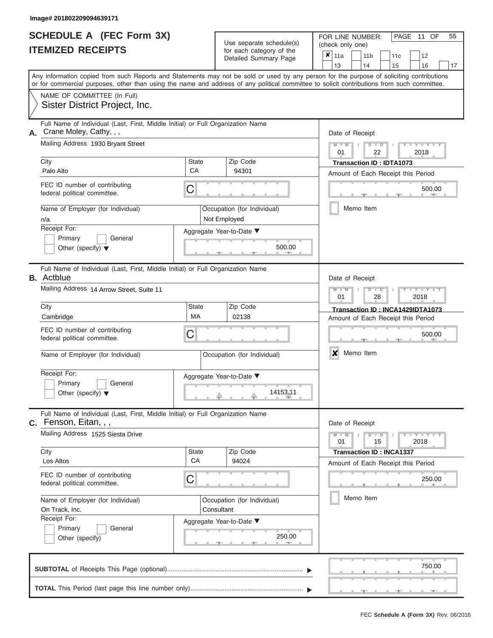|                          | <b>SCHEDULE A (FEC Form 3X)</b> |
|--------------------------|---------------------------------|
| <b>ITEMIZED RECEIPTS</b> |                                 |

Use separate schedule(s)

FOR LINE NUMBER:<br>(check only one)

PAGE 11 OF 55

| <u>IIEMIZED REVEIFIJ</u>                   |                                                                                                                                                                                                                                                                                         |                    | for each category of the<br>Detailed Summary Page | $\pmb{\mathsf{x}}$<br>11a          |  | 11 <sub>b</sub>                 |    | 11c                   | 12                               |        |
|--------------------------------------------|-----------------------------------------------------------------------------------------------------------------------------------------------------------------------------------------------------------------------------------------------------------------------------------------|--------------------|---------------------------------------------------|------------------------------------|--|---------------------------------|----|-----------------------|----------------------------------|--------|
|                                            |                                                                                                                                                                                                                                                                                         |                    |                                                   | 13                                 |  | 14                              | 15 |                       | 16                               | 17     |
|                                            | Any information copied from such Reports and Statements may not be sold or used by any person for the purpose of soliciting contributions<br>or for commercial purposes, other than using the name and address of any political committee to solicit contributions from such committee. |                    |                                                   |                                    |  |                                 |    |                       |                                  |        |
|                                            | NAME OF COMMITTEE (In Full)<br>Sister District Project, Inc.                                                                                                                                                                                                                            |                    |                                                   |                                    |  |                                 |    |                       |                                  |        |
| Crane Moley, Cathy, , ,<br>А.              | Full Name of Individual (Last, First, Middle Initial) or Full Organization Name                                                                                                                                                                                                         |                    |                                                   | Date of Receipt                    |  |                                 |    |                       |                                  |        |
|                                            | Mailing Address 1930 Bryant Street                                                                                                                                                                                                                                                      |                    |                                                   | $M - M$<br>01                      |  | $D$ $D$<br>22                   |    |                       | $Y = Y = Y$<br>2018              |        |
| City<br>Palo Alto                          |                                                                                                                                                                                                                                                                                         | State<br>CA        | Zip Code<br>94301                                 |                                    |  | <b>Transaction ID: IDTA1073</b> |    |                       |                                  |        |
| federal political committee.               | FEC ID number of contributing                                                                                                                                                                                                                                                           | C                  |                                                   | Amount of Each Receipt this Period |  |                                 |    | 500.00<br>$\sim 0.01$ |                                  |        |
| n/a                                        | Name of Employer (for Individual)                                                                                                                                                                                                                                                       |                    | Occupation (for Individual)<br>Not Employed       |                                    |  | Memo Item                       |    |                       |                                  |        |
| Receipt For:<br>Primary                    | General<br>Other (specify) $\blacktriangledown$                                                                                                                                                                                                                                         |                    | Aggregate Year-to-Date ▼<br>500.00                |                                    |  |                                 |    |                       |                                  |        |
| <b>B.</b> Actblue                          | Full Name of Individual (Last, First, Middle Initial) or Full Organization Name                                                                                                                                                                                                         |                    |                                                   | Date of Receipt                    |  |                                 |    |                       |                                  |        |
|                                            | Mailing Address 14 Arrow Street, Suite 11                                                                                                                                                                                                                                               |                    |                                                   | $M - M$<br>01                      |  | $D$ $\Box$ $D$<br>28            |    |                       | Y I Y I Y<br>2018                |        |
| City<br>Cambridge                          |                                                                                                                                                                                                                                                                                         | <b>State</b><br>MA | Zip Code<br>02138                                 | Amount of Each Receipt this Period |  |                                 |    |                       | Transaction ID: INCA1429IDTA1073 |        |
| federal political committee.               | FEC ID number of contributing                                                                                                                                                                                                                                                           | C                  |                                                   |                                    |  |                                 |    |                       |                                  | 500.00 |
|                                            | Name of Employer (for Individual)                                                                                                                                                                                                                                                       |                    | Occupation (for Individual)                       | ×                                  |  | Memo Item                       |    |                       |                                  |        |
| Receipt For:<br>Primary                    | General<br>Other (specify) $\blacktriangledown$                                                                                                                                                                                                                                         |                    | Aggregate Year-to-Date ▼<br>14153.11              |                                    |  |                                 |    |                       |                                  |        |
| C. Fenson, Eitan, , ,                      | Full Name of Individual (Last, First, Middle Initial) or Full Organization Name                                                                                                                                                                                                         |                    |                                                   | Date of Receipt                    |  |                                 |    |                       |                                  |        |
|                                            | Mailing Address 1525 Siesta Drive                                                                                                                                                                                                                                                       |                    |                                                   | $M - M$<br>01                      |  | $D$ $\Box$ $D$<br>15            |    |                       | $Y - Y - Y - Y - Y$<br>2018      |        |
| City<br>Los Altos                          |                                                                                                                                                                                                                                                                                         | <b>State</b><br>CA | Zip Code<br>94024                                 | Amount of Each Receipt this Period |  | <b>Transaction ID: INCA1337</b> |    |                       |                                  |        |
| federal political committee.               | FEC ID number of contributing                                                                                                                                                                                                                                                           | $\mathsf C$        |                                                   |                                    |  |                                 |    |                       |                                  | 250.00 |
| On Track, Inc.                             | Name of Employer (for Individual)                                                                                                                                                                                                                                                       |                    | Occupation (for Individual)<br>Consultant         |                                    |  | Memo Item                       |    |                       |                                  |        |
| Receipt For:<br>Primary<br>Other (specify) | General                                                                                                                                                                                                                                                                                 |                    | Aggregate Year-to-Date ▼<br>250.00<br>$-$         |                                    |  |                                 |    |                       |                                  |        |
|                                            |                                                                                                                                                                                                                                                                                         |                    |                                                   |                                    |  |                                 |    |                       |                                  | 750.00 |
|                                            |                                                                                                                                                                                                                                                                                         |                    |                                                   |                                    |  |                                 |    |                       |                                  |        |

 ▲ ▲ ▲ , , .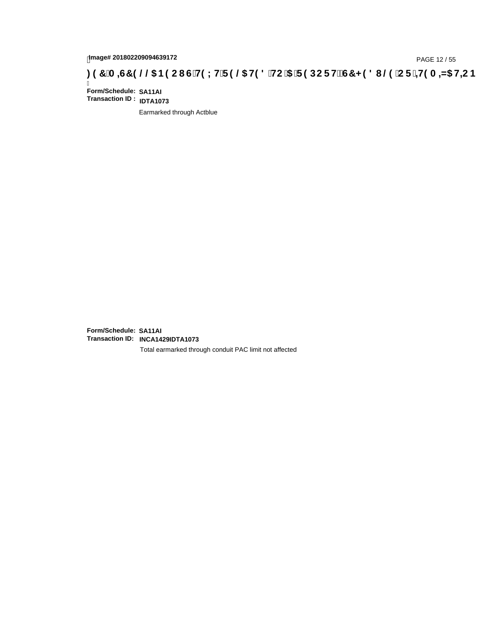### 1mage# 201802209094639172<br>DAGE 12 / 55 PAGE 12 / 55 PAGE 12 / 55 P**OC FH2 CT < 3 8 IOC FH2 GT < 9 8 IOC F** + H9 A + N5 H=C B : 97 **A = 45 H=C B**

Ī **Form/Schedule: SA11AI Transaction ID : IDTA1073**

Earmarked through Actblue

**Form/Schedule: SA11AI Transaction ID: INCA1429IDTA1073**

Total earmarked through conduit PAC limit not affected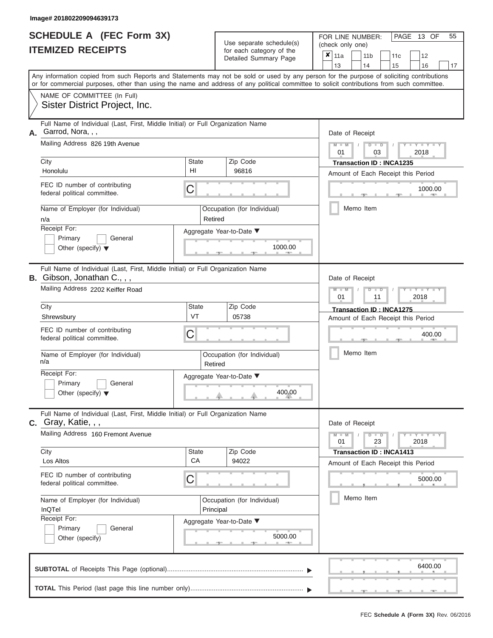|                          | <b>SCHEDULE A (FEC Form 3X)</b> |
|--------------------------|---------------------------------|
| <b>ITEMIZED RECEIPTS</b> |                                 |

Use separate schedule(s)<br>for each category of the

FOR LINE NUMBER:<br>(check only one)

PAGE 13 OF 55

|                                                                                                                                                                                                                                                                                         |             | ivi vavii valvyviy vi liiv<br>Detailed Summary Page | x | 11a                                                   |           | 11 <sub>b</sub>                    | 11c | 12                      |    |  |
|-----------------------------------------------------------------------------------------------------------------------------------------------------------------------------------------------------------------------------------------------------------------------------------------|-------------|-----------------------------------------------------|---|-------------------------------------------------------|-----------|------------------------------------|-----|-------------------------|----|--|
|                                                                                                                                                                                                                                                                                         |             |                                                     |   | 13                                                    |           | 14                                 | 15  | 16                      | 17 |  |
| Any information copied from such Reports and Statements may not be sold or used by any person for the purpose of soliciting contributions<br>or for commercial purposes, other than using the name and address of any political committee to solicit contributions from such committee. |             |                                                     |   |                                                       |           |                                    |     |                         |    |  |
| NAME OF COMMITTEE (In Full)                                                                                                                                                                                                                                                             |             |                                                     |   |                                                       |           |                                    |     |                         |    |  |
| Sister District Project, Inc.                                                                                                                                                                                                                                                           |             |                                                     |   |                                                       |           |                                    |     |                         |    |  |
| Full Name of Individual (Last, First, Middle Initial) or Full Organization Name<br>Garrod, Nora, , ,<br>А.                                                                                                                                                                              |             |                                                     |   | Date of Receipt                                       |           |                                    |     |                         |    |  |
| Mailing Address 826 19th Avenue                                                                                                                                                                                                                                                         |             |                                                     |   | $M - M$<br>$D$ $D$<br>$Y - Y - I$<br>01<br>03<br>2018 |           |                                    |     |                         |    |  |
| City                                                                                                                                                                                                                                                                                    | State       | Zip Code                                            |   |                                                       |           | <b>Transaction ID: INCA1235</b>    |     |                         |    |  |
| Honolulu                                                                                                                                                                                                                                                                                | HI          | 96816                                               |   |                                                       |           | Amount of Each Receipt this Period |     |                         |    |  |
| FEC ID number of contributing<br>federal political committee.                                                                                                                                                                                                                           | C           |                                                     |   |                                                       |           |                                    |     | 1000.00<br><b>AND A</b> |    |  |
| Name of Employer (for Individual)<br>n/a                                                                                                                                                                                                                                                | Retired     | Occupation (for Individual)                         |   |                                                       |           | Memo Item                          |     |                         |    |  |
| Receipt For:                                                                                                                                                                                                                                                                            |             | Aggregate Year-to-Date ▼                            |   |                                                       |           |                                    |     |                         |    |  |
| Primary<br>General<br>Other (specify) $\blacktriangledown$                                                                                                                                                                                                                              |             | 1000.00                                             |   |                                                       |           |                                    |     |                         |    |  |
| Full Name of Individual (Last, First, Middle Initial) or Full Organization Name<br>B. Gibson, Jonathan C., , ,                                                                                                                                                                          |             |                                                     |   | Date of Receipt                                       |           |                                    |     |                         |    |  |
| Mailing Address 2202 Keiffer Road                                                                                                                                                                                                                                                       |             |                                                     |   | $M - M$<br>01                                         |           | $D$ $D$<br>11                      |     | Y Y<br>2018             |    |  |
| City                                                                                                                                                                                                                                                                                    | State       | Zip Code                                            |   |                                                       |           | Transaction ID: INCA1275           |     |                         |    |  |
| Shrewsbury                                                                                                                                                                                                                                                                              | VT          | 05738                                               |   |                                                       |           | Amount of Each Receipt this Period |     |                         |    |  |
| FEC ID number of contributing<br>federal political committee.                                                                                                                                                                                                                           | С           |                                                     |   |                                                       |           |                                    |     | 400.00                  |    |  |
| Name of Employer (for Individual)<br>n/a                                                                                                                                                                                                                                                | Retired     | Occupation (for Individual)                         |   |                                                       |           | Memo Item                          |     |                         |    |  |
| Receipt For:                                                                                                                                                                                                                                                                            |             | Aggregate Year-to-Date ▼                            |   |                                                       |           |                                    |     |                         |    |  |
| Primary<br>General<br>Other (specify) $\blacktriangledown$                                                                                                                                                                                                                              |             | 400.00                                              |   |                                                       |           |                                    |     |                         |    |  |
| Full Name of Individual (Last, First, Middle Initial) or Full Organization Name<br><b>c.</b> Gray, Katie, , ,                                                                                                                                                                           |             |                                                     |   | Date of Receipt                                       |           |                                    |     |                         |    |  |
| Mailing Address 160 Fremont Avenue                                                                                                                                                                                                                                                      |             |                                                     |   | $M - M$<br>01                                         |           | $D$ $D$<br>23                      |     | Y - Y - Y - Y<br>2018   |    |  |
| City                                                                                                                                                                                                                                                                                    | State<br>CA | Zip Code                                            |   |                                                       |           | <b>Transaction ID: INCA1413</b>    |     |                         |    |  |
| Los Altos                                                                                                                                                                                                                                                                               |             | 94022                                               |   |                                                       |           | Amount of Each Receipt this Period |     |                         |    |  |
| FEC ID number of contributing<br>federal political committee.                                                                                                                                                                                                                           | С           |                                                     |   |                                                       |           |                                    |     | 5000.00                 |    |  |
| Name of Employer (for Individual)<br>Occupation (for Individual)<br>InQTel<br>Principal                                                                                                                                                                                                 |             |                                                     |   |                                                       | Memo Item |                                    |     |                         |    |  |
| Receipt For:                                                                                                                                                                                                                                                                            |             | Aggregate Year-to-Date ▼                            |   |                                                       |           |                                    |     |                         |    |  |
| Primary<br>General<br>Other (specify)                                                                                                                                                                                                                                                   |             | 5000.00                                             |   |                                                       |           |                                    |     |                         |    |  |
|                                                                                                                                                                                                                                                                                         |             |                                                     |   |                                                       |           |                                    |     | 6400.00                 |    |  |
|                                                                                                                                                                                                                                                                                         |             |                                                     |   |                                                       |           |                                    |     |                         |    |  |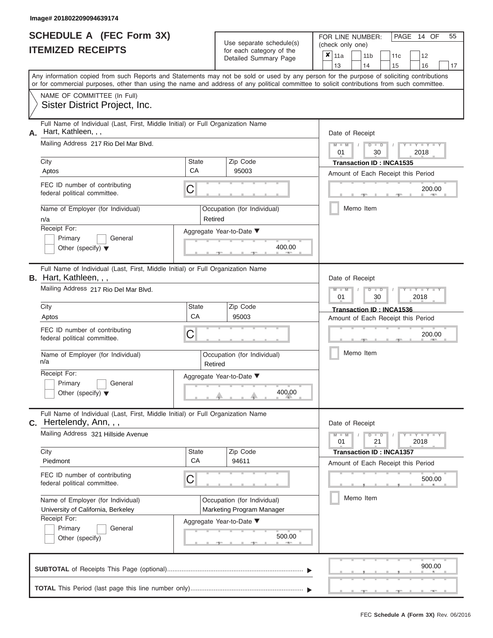|                          | <b>SCHEDULE A (FEC Form 3X)</b> |
|--------------------------|---------------------------------|
| <b>ITEMIZED RECEIPTS</b> |                                 |

Use separate schedule(s)<br>for each category of the

FOR LINE NUMBER:<br>(check only one)

PAGE 14 OF 55

|                                                                                                                                            |         | babii batogory<br>Detailed Summary Page | x | 11a                                                   |  | 11 <sub>b</sub>                 | 11c   | 12                                 |    |  |
|--------------------------------------------------------------------------------------------------------------------------------------------|---------|-----------------------------------------|---|-------------------------------------------------------|--|---------------------------------|-------|------------------------------------|----|--|
| Any information copied from such Reports and Statements may not be sold or used by any person for the purpose of soliciting contributions  |         |                                         |   | 13                                                    |  | 14                              | 15    | 16                                 | 17 |  |
| or for commercial purposes, other than using the name and address of any political committee to solicit contributions from such committee. |         |                                         |   |                                                       |  |                                 |       |                                    |    |  |
| NAME OF COMMITTEE (In Full)                                                                                                                |         |                                         |   |                                                       |  |                                 |       |                                    |    |  |
| Sister District Project, Inc.                                                                                                              |         |                                         |   |                                                       |  |                                 |       |                                    |    |  |
| Full Name of Individual (Last, First, Middle Initial) or Full Organization Name<br>Hart, Kathleen, , ,<br>А.                               |         |                                         |   | Date of Receipt                                       |  |                                 |       |                                    |    |  |
| Mailing Address 217 Rio Del Mar Blvd.                                                                                                      |         |                                         |   | $M - M$<br>$D$ $D$<br>$Y - Y - I$<br>01<br>30<br>2018 |  |                                 |       |                                    |    |  |
| City                                                                                                                                       | State   | Zip Code                                |   |                                                       |  | <b>Transaction ID: INCA1535</b> |       |                                    |    |  |
| Aptos                                                                                                                                      | CA      | 95003                                   |   |                                                       |  |                                 |       | Amount of Each Receipt this Period |    |  |
| FEC ID number of contributing<br>federal political committee.                                                                              | C       |                                         |   |                                                       |  |                                 |       | 200.00                             |    |  |
| Name of Employer (for Individual)<br>n/a                                                                                                   | Retired | Occupation (for Individual)             |   |                                                       |  | Memo Item                       |       |                                    |    |  |
| Receipt For:                                                                                                                               |         | Aggregate Year-to-Date ▼                |   |                                                       |  |                                 |       |                                    |    |  |
| Primary<br>General<br>Other (specify) $\blacktriangledown$                                                                                 |         | 400.00                                  |   |                                                       |  |                                 |       |                                    |    |  |
|                                                                                                                                            |         |                                         |   |                                                       |  |                                 |       |                                    |    |  |
| Full Name of Individual (Last, First, Middle Initial) or Full Organization Name<br>B. Hart, Kathleen, , ,                                  |         |                                         |   | Date of Receipt                                       |  |                                 |       |                                    |    |  |
| Mailing Address 217 Rio Del Mar Blvd.                                                                                                      |         |                                         |   | $M - M$<br>01                                         |  | $D$ $D$<br>30                   |       | Y T Y T<br>2018                    |    |  |
| City                                                                                                                                       | State   | Zip Code                                |   |                                                       |  | Transaction ID: INCA1536        |       |                                    |    |  |
| Aptos                                                                                                                                      | CA      | 95003                                   |   |                                                       |  |                                 |       | Amount of Each Receipt this Period |    |  |
| FEC ID number of contributing<br>federal political committee.                                                                              | С       |                                         |   |                                                       |  |                                 |       | 200.00                             |    |  |
| Name of Employer (for Individual)<br>n/a                                                                                                   | Retired | Occupation (for Individual)             |   |                                                       |  | Memo Item                       |       |                                    |    |  |
| Receipt For:                                                                                                                               |         | Aggregate Year-to-Date ▼                |   |                                                       |  |                                 |       |                                    |    |  |
| Primary<br>General<br>Other (specify) $\blacktriangledown$                                                                                 |         | 400.00                                  |   |                                                       |  |                                 |       |                                    |    |  |
| Full Name of Individual (Last, First, Middle Initial) or Full Organization Name                                                            |         |                                         |   |                                                       |  |                                 |       |                                    |    |  |
| Hertelendy, Ann, , ,<br>С.                                                                                                                 |         |                                         |   | Date of Receipt                                       |  |                                 |       |                                    |    |  |
| Mailing Address 321 Hillside Avenue                                                                                                        |         |                                         |   | $M - M$<br>01                                         |  | $D$ $D$<br>21                   |       | $Y - Y - Y - Y - I - Y$<br>2018    |    |  |
| City                                                                                                                                       | State   | Zip Code                                |   |                                                       |  | <b>Transaction ID: INCA1357</b> |       |                                    |    |  |
| Piedmont                                                                                                                                   | CA      | 94611                                   |   |                                                       |  |                                 |       | Amount of Each Receipt this Period |    |  |
| FEC ID number of contributing<br>federal political committee.                                                                              | C       |                                         |   |                                                       |  |                                 |       | 500.00                             |    |  |
| Name of Employer (for Individual)                                                                                                          |         | Occupation (for Individual)             |   |                                                       |  | Memo Item                       |       |                                    |    |  |
| University of California, Berkeley                                                                                                         |         | Marketing Program Manager               |   |                                                       |  |                                 |       |                                    |    |  |
| Receipt For:                                                                                                                               |         | Aggregate Year-to-Date ▼                |   |                                                       |  |                                 |       |                                    |    |  |
| Primary<br>General                                                                                                                         |         | 500.00                                  |   |                                                       |  |                                 |       |                                    |    |  |
| Other (specify)                                                                                                                            |         |                                         |   |                                                       |  |                                 |       |                                    |    |  |
|                                                                                                                                            |         |                                         |   |                                                       |  |                                 |       | 900.00                             |    |  |
|                                                                                                                                            |         |                                         |   |                                                       |  |                                 | - 7 - | $-1$                               |    |  |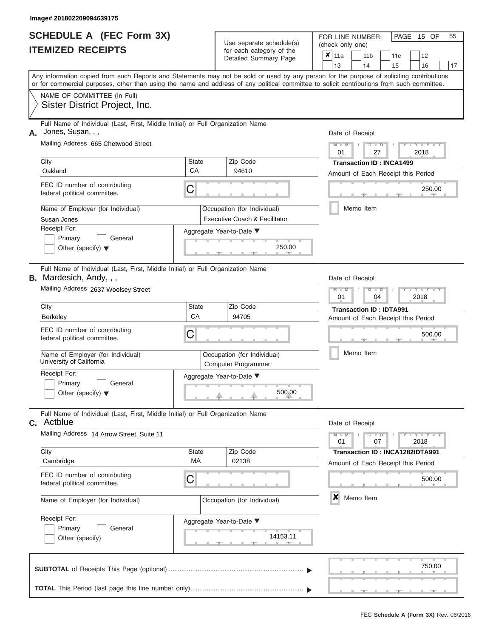|                          | <b>SCHEDULE A (FEC Form 3X)</b> |
|--------------------------|---------------------------------|
| <b>ITEMIZED RECEIPTS</b> |                                 |

| SCHEDULE A (FEC Form 3X)<br><b>ITEMIZED RECEIPTS</b>                                                              | Use separate schedule(s)<br>for each category of the<br>Detailed Summary Page                                                                                                                                                                                                           | 55<br>FOR LINE NUMBER:<br>PAGE 15 OF<br>(check only one)<br>$\boldsymbol{x}$<br>11a<br>11 <sub>b</sub><br>12<br>11 <sub>c</sub> |
|-------------------------------------------------------------------------------------------------------------------|-----------------------------------------------------------------------------------------------------------------------------------------------------------------------------------------------------------------------------------------------------------------------------------------|---------------------------------------------------------------------------------------------------------------------------------|
|                                                                                                                   |                                                                                                                                                                                                                                                                                         | 13<br>14<br>15<br>16<br>17                                                                                                      |
|                                                                                                                   | Any information copied from such Reports and Statements may not be sold or used by any person for the purpose of soliciting contributions<br>or for commercial purposes, other than using the name and address of any political committee to solicit contributions from such committee. |                                                                                                                                 |
| NAME OF COMMITTEE (In Full)<br>Sister District Project, Inc.                                                      |                                                                                                                                                                                                                                                                                         |                                                                                                                                 |
| Full Name of Individual (Last, First, Middle Initial) or Full Organization Name<br>Jones, Susan, , ,<br>А.        |                                                                                                                                                                                                                                                                                         | Date of Receipt                                                                                                                 |
| Mailing Address 665 Chetwood Street                                                                               |                                                                                                                                                                                                                                                                                         | $M = M$ /<br>$D$ $D$<br>$Y - Y - I$<br>01<br>27<br>2018                                                                         |
| City                                                                                                              | <b>State</b><br>Zip Code                                                                                                                                                                                                                                                                | <b>Transaction ID: INCA1499</b>                                                                                                 |
| Oakland                                                                                                           | CA<br>94610                                                                                                                                                                                                                                                                             | Amount of Each Receipt this Period                                                                                              |
| FEC ID number of contributing<br>federal political committee.                                                     | C                                                                                                                                                                                                                                                                                       | 250.00<br><b>AND IN</b>                                                                                                         |
| Name of Employer (for Individual)<br>Susan Jones                                                                  | Occupation (for Individual)<br>Executive Coach & Facilitator                                                                                                                                                                                                                            | Memo Item                                                                                                                       |
| Receipt For:                                                                                                      | Aggregate Year-to-Date ▼                                                                                                                                                                                                                                                                |                                                                                                                                 |
| Primary<br>General<br>Other (specify) $\blacktriangledown$                                                        | 250.00<br><b>Contract Contract</b>                                                                                                                                                                                                                                                      |                                                                                                                                 |
| Full Name of Individual (Last, First, Middle Initial) or Full Organization Name<br><b>B.</b> Mardesich, Andy, , , |                                                                                                                                                                                                                                                                                         | Date of Receipt                                                                                                                 |
| Mailing Address 2637 Woolsey Street                                                                               |                                                                                                                                                                                                                                                                                         | $M - M$<br>$D$ $D$<br>$\Box$ $\Upsilon$ $\Box$ $\Upsilon$ $\Upsilon$<br>01<br>2018<br>04                                        |
| City                                                                                                              | State<br>Zip Code                                                                                                                                                                                                                                                                       | Transaction ID: IDTA991                                                                                                         |
| <b>Berkeley</b>                                                                                                   | CA<br>94705                                                                                                                                                                                                                                                                             | Amount of Each Receipt this Period                                                                                              |
| FEC ID number of contributing<br>federal political committee.                                                     | C                                                                                                                                                                                                                                                                                       | 500.00                                                                                                                          |
| Name of Employer (for Individual)<br>University of California                                                     | Occupation (for Individual)<br><b>Computer Programmer</b>                                                                                                                                                                                                                               | Memo Item                                                                                                                       |
| Receipt For:                                                                                                      | Aggregate Year-to-Date ▼                                                                                                                                                                                                                                                                |                                                                                                                                 |
| Primary<br>General<br>Other (specify) $\blacktriangledown$                                                        | 500.00                                                                                                                                                                                                                                                                                  |                                                                                                                                 |
| Full Name of Individual (Last, First, Middle Initial) or Full Organization Name<br><b>C.</b> Actblue              |                                                                                                                                                                                                                                                                                         | Date of Receipt                                                                                                                 |
| Mailing Address 14 Arrow Street, Suite 11                                                                         |                                                                                                                                                                                                                                                                                         | $M - M$<br>$T - Y = Y - T Y$<br>$D$ $D$<br>01<br>07<br>2018                                                                     |
| City<br>Cambridge                                                                                                 | Zip Code<br>State<br>MA<br>02138                                                                                                                                                                                                                                                        | Transaction ID: INCA1282IDTA991<br>Amount of Each Receipt this Period                                                           |
| FEC ID number of contributing<br>federal political committee.                                                     | C                                                                                                                                                                                                                                                                                       | 500.00                                                                                                                          |
| Name of Employer (for Individual)                                                                                 | Occupation (for Individual)                                                                                                                                                                                                                                                             | $\boldsymbol{x}$<br>Memo Item                                                                                                   |
| Receipt For:<br>Primary<br>General<br>Other (specify)                                                             | Aggregate Year-to-Date ▼<br>14153.11                                                                                                                                                                                                                                                    |                                                                                                                                 |
|                                                                                                                   |                                                                                                                                                                                                                                                                                         | 750.00                                                                                                                          |
|                                                                                                                   |                                                                                                                                                                                                                                                                                         |                                                                                                                                 |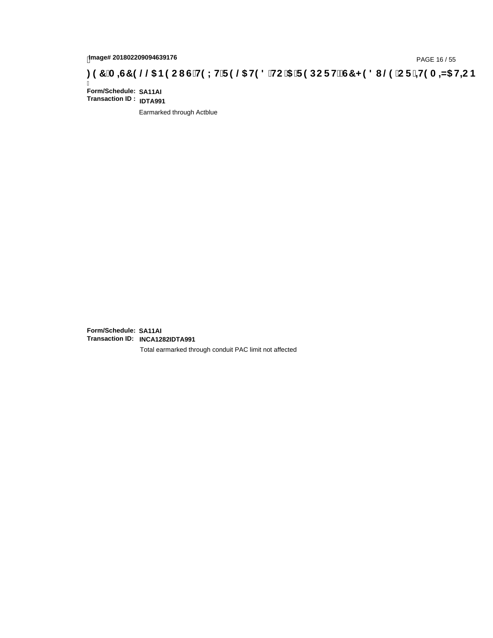## <sub>28/68</sub> / PAGE 16 / 55 PAGE 16<br>Q& B9CI G`H9LH`F9 @ H98 `HC`5 `F9DCFHžG7 < 981 @ `CF`<del>4I</del>9 A AS H=C . 9 ^ 311 . 97 `A

Ī **Form/Schedule: SA11AI Transaction ID : IDTA991**

Earmarked through Actblue

**Form/Schedule: SA11AI Transaction ID: INCA1282IDTA991**

Total earmarked through conduit PAC limit not affected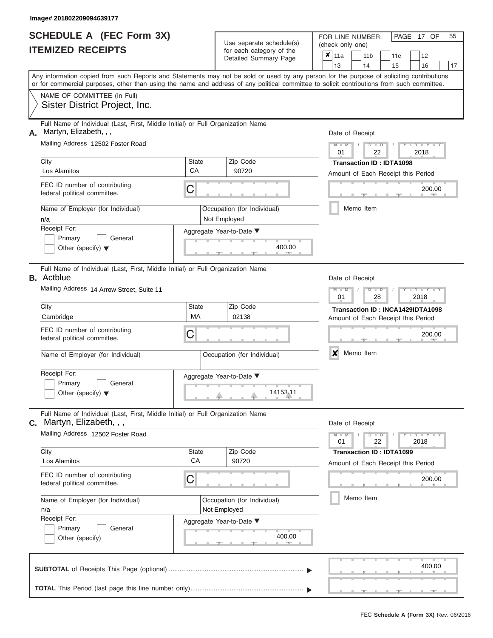|                          | <b>SCHEDULE A (FEC Form 3X)</b> |
|--------------------------|---------------------------------|
| <b>ITEMIZED RECEIPTS</b> |                                 |

| SCHEDULE A (FEC Form 3X)<br><b>ITEMIZED RECEIPTS</b>                                                                                                                                                                                                                                                                                                                    |                         | Use separate schedule(s)<br>for each category of the<br>Detailed Summary Page                          | 55<br>FOR LINE NUMBER:<br>PAGE 17 OF<br>(check only one)<br>$\overline{\mathbf{x}}$   11a<br>11 <sub>b</sub><br>12<br>11c                                                                                   |
|-------------------------------------------------------------------------------------------------------------------------------------------------------------------------------------------------------------------------------------------------------------------------------------------------------------------------------------------------------------------------|-------------------------|--------------------------------------------------------------------------------------------------------|-------------------------------------------------------------------------------------------------------------------------------------------------------------------------------------------------------------|
| or for commercial purposes, other than using the name and address of any political committee to solicit contributions from such committee.                                                                                                                                                                                                                              |                         |                                                                                                        | 13<br>14<br>15<br>16<br>17<br>Any information copied from such Reports and Statements may not be sold or used by any person for the purpose of soliciting contributions                                     |
| NAME OF COMMITTEE (In Full)<br>Sister District Project, Inc.                                                                                                                                                                                                                                                                                                            |                         |                                                                                                        |                                                                                                                                                                                                             |
| Full Name of Individual (Last, First, Middle Initial) or Full Organization Name<br>Martyn, Elizabeth, , ,<br>А.<br>Mailing Address 12502 Foster Road<br>City<br>Los Alamitos<br>FEC ID number of contributing<br>federal political committee.<br>Name of Employer (for Individual)<br>n/a<br>Receipt For:<br>Primary<br>General<br>Other (specify) $\blacktriangledown$ | State<br>CA<br>С        | Zip Code<br>90720<br>Occupation (for Individual)<br>Not Employed<br>Aggregate Year-to-Date ▼<br>400.00 | Date of Receipt<br>$M - M$<br>$D$ $D$<br>$Y - Y - T$<br>$\sqrt{ }$<br>01<br>22<br>2018<br><b>Transaction ID: IDTA1098</b><br>Amount of Each Receipt this Period<br>200.00<br><b>CONTRACTOR</b><br>Memo Item |
| Full Name of Individual (Last, First, Middle Initial) or Full Organization Name<br><b>B.</b> Actblue<br>Mailing Address 14 Arrow Street, Suite 11<br>City                                                                                                                                                                                                               | State                   | Zip Code                                                                                               | Date of Receipt<br>$M - M$<br>$D$ $\Box$ $D$<br>Y L Y L<br>01<br>2018<br>28<br>Transaction ID: INCA1429IDTA1098                                                                                             |
| Cambridge<br>FEC ID number of contributing<br>federal political committee.<br>Name of Employer (for Individual)                                                                                                                                                                                                                                                         | <b>MA</b><br>С          | 02138<br>Occupation (for Individual)                                                                   | Amount of Each Receipt this Period<br>200.00<br>X<br>Memo Item                                                                                                                                              |
| Receipt For:<br>Primary<br>General<br>Other (specify) $\blacktriangledown$                                                                                                                                                                                                                                                                                              |                         | Aggregate Year-to-Date ▼<br>14153.11                                                                   |                                                                                                                                                                                                             |
| Full Name of Individual (Last, First, Middle Initial) or Full Organization Name<br><b>C.</b> Martyn, Elizabeth, , ,<br>Mailing Address 12502 Foster Road                                                                                                                                                                                                                |                         |                                                                                                        | Date of Receipt<br>$M - M$<br>$D$ $D$<br>$+Y + Y + Y$                                                                                                                                                       |
| City<br>Los Alamitos<br>FEC ID number of contributing<br>federal political committee.                                                                                                                                                                                                                                                                                   | State<br><b>CA</b><br>С | Zip Code<br>90720                                                                                      | 01<br>22<br>2018<br><b>Transaction ID: IDTA1099</b><br>Amount of Each Receipt this Period<br>200.00                                                                                                         |
| Name of Employer (for Individual)<br>n/a<br>Receipt For:<br>General<br>Primary<br>Other (specify)                                                                                                                                                                                                                                                                       |                         | Occupation (for Individual)<br>Not Employed<br>Aggregate Year-to-Date ▼<br>400.00                      | Memo Item                                                                                                                                                                                                   |
|                                                                                                                                                                                                                                                                                                                                                                         |                         |                                                                                                        | 400.00                                                                                                                                                                                                      |
|                                                                                                                                                                                                                                                                                                                                                                         |                         |                                                                                                        |                                                                                                                                                                                                             |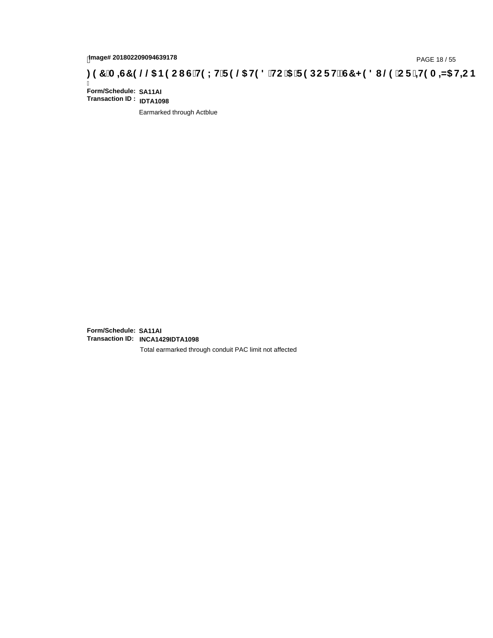## page# 201802209094639178<br>Denge# 201802209094639178<br>**(@CF`+H9 A =N5 H=CB) TA =G7 9 @@B9 CI G`H9 LH`F 9 @ H9 8 `HC`5 `F 9 DCF H** $\breve{E}$ **G7 < 9 8 I**

Ī **Form/Schedule: SA11AI Transaction ID : IDTA1098**

Earmarked through Actblue

**Form/Schedule: SA11AI Transaction ID: INCA1429IDTA1098**

Total earmarked through conduit PAC limit not affected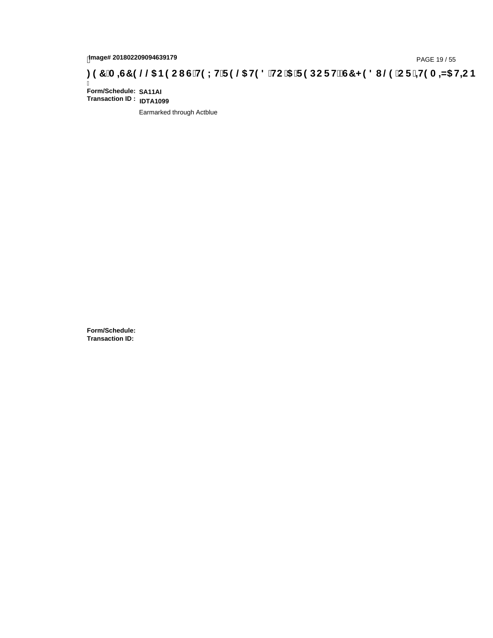## 1mage# 201802209094639179<br>DAGE 19 / 55 PAGE 19 / 55<br>**DAGE 19 / CF : +19 A =N5 H=C B** ( C ) CF it GT G'H9 LH F 9 @ H9 8 'HC '5 'F 9 DC F H $\breve{c}$ G7 < 9 8 I @ 'CF '+19 A =N5 H=C B

Ī **Form/Schedule: SA11AI Transaction ID : IDTA1099**

Earmarked through Actblue

**Form/Schedule: Transaction ID:**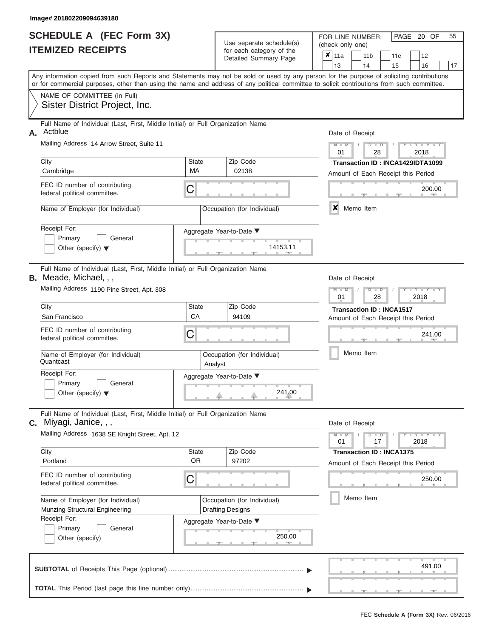|                          | <b>SCHEDULE A (FEC Form 3X)</b> |
|--------------------------|---------------------------------|
| <b>ITEMIZED RECEIPTS</b> |                                 |

| SCHEDULE A (FEC Form 3X)<br><b>ITEMIZED RECEIPTS</b>                                                                                                                                                                                                                                                                                                                                     |                             | Use separate schedule(s)<br>for each category of the<br>Detailed Summary Page                                     | 55<br>FOR LINE NUMBER:<br>PAGE 20 OF<br>(check only one)<br>$\boldsymbol{x}$<br>11a<br>11 <sub>b</sub><br>11c<br>12<br>13<br>14<br>15<br>16<br>17                                                   |
|------------------------------------------------------------------------------------------------------------------------------------------------------------------------------------------------------------------------------------------------------------------------------------------------------------------------------------------------------------------------------------------|-----------------------------|-------------------------------------------------------------------------------------------------------------------|-----------------------------------------------------------------------------------------------------------------------------------------------------------------------------------------------------|
| Any information copied from such Reports and Statements may not be sold or used by any person for the purpose of soliciting contributions<br>or for commercial purposes, other than using the name and address of any political committee to solicit contributions from such committee.<br>NAME OF COMMITTEE (In Full)<br>Sister District Project, Inc.                                  |                             |                                                                                                                   |                                                                                                                                                                                                     |
| Full Name of Individual (Last, First, Middle Initial) or Full Organization Name<br>Actblue<br>А.<br>Mailing Address 14 Arrow Street, Suite 11<br>City<br>Cambridge<br>FEC ID number of contributing<br>federal political committee.<br>Name of Employer (for Individual)<br>Receipt For:<br>Primary<br>General<br>Other (specify) $\blacktriangledown$                                   | State<br><b>MA</b><br>С     | Zip Code<br>02138<br>Occupation (for Individual)<br>Aggregate Year-to-Date ▼<br>14153.11                          | Date of Receipt<br>$M - M$<br>$Y - Y - Y$<br>$D$ $D$<br>01<br>28<br>2018<br>Transaction ID: INCA1429IDTA1099<br>Amount of Each Receipt this Period<br>200.00<br><b>CONTRACTOR</b><br>X<br>Memo Item |
| Full Name of Individual (Last, First, Middle Initial) or Full Organization Name<br><b>B.</b> Meade, Michael, , ,<br>Mailing Address 1190 Pine Street, Apt. 308<br>City<br>San Francisco<br>FEC ID number of contributing<br>federal political committee.<br>Name of Employer (for Individual)<br>Quantcast<br>Receipt For:<br>Primary<br>General<br>Other (specify) $\blacktriangledown$ | State<br>CA<br>С<br>Analyst | Zip Code<br>94109<br>Occupation (for Individual)<br>Aggregate Year-to-Date ▼<br>241.00<br>J.                      | Date of Receipt<br>$M - M$<br>$D$ $\Box$ $D$<br>Y TY<br>01<br>2018<br>28<br><b>Transaction ID: INCA1517</b><br>Amount of Each Receipt this Period<br>241.00<br>Memo Item                            |
| Full Name of Individual (Last, First, Middle Initial) or Full Organization Name<br>C. Miyagi, Janice, , ,<br>Mailing Address 1638 SE Knight Street, Apt. 12<br>City<br>Portland<br>FEC ID number of contributing<br>federal political committee.<br>Name of Employer (for Individual)<br>Munzing Structural Engineering<br>Receipt For:<br>Primary<br>General<br>Other (specify)         | State<br><b>OR</b><br>С     | Zip Code<br>97202<br>Occupation (for Individual)<br><b>Drafting Designs</b><br>Aggregate Year-to-Date ▼<br>250.00 | Date of Receipt<br>$M - M$<br>$D$ $D$<br>01<br>17<br>2018<br><b>Transaction ID: INCA1375</b><br>Amount of Each Receipt this Period<br>250.00<br>Memo Item                                           |
|                                                                                                                                                                                                                                                                                                                                                                                          |                             |                                                                                                                   | 491.00                                                                                                                                                                                              |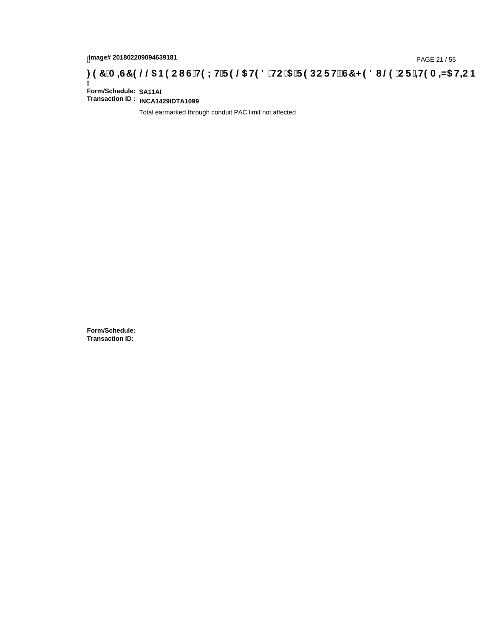## tmage# 201802209094639181<br>DAGE 21 / 55 PAGE 21 / 55 PAGE 21 / 55 P**OC FH2 C7 < 981** @ CF **+ + 9 A = NC H+C B** . 97 A = <del>40</del> A = NG H+C B

Ī **Form/Schedule: SA11AI Transaction ID : INCA1429IDTA1099**

Total earmarked through conduit PAC limit not affected

**Form/Schedule: Transaction ID:**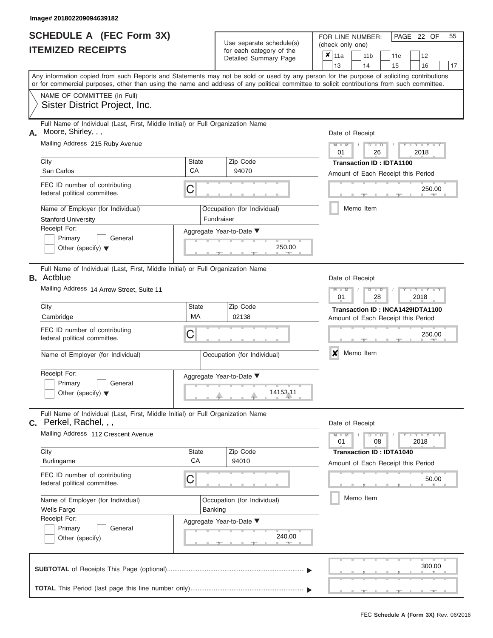#### **Image# 201802209094639182**

| <b>SCHEDULE A (FEC Form 3X)</b> |  |  |
|---------------------------------|--|--|
| <b>ITEMIZED RECEIPTS</b>        |  |  |

Use separate schedule(s)

FOR LINE NUMBER:<br>(check only one)

PAGE 22 OF 55

|    | IIEMIZED REGEIPIS                                                                                                                                                                                                                                                                       |                                        | for each category of the<br>Detailed Summary Page |                                                                                          | ×                                      | 11a             |           | 11 <sub>b</sub> |               |  | 11c                             | 12                                 |        |    |  |
|----|-----------------------------------------------------------------------------------------------------------------------------------------------------------------------------------------------------------------------------------------------------------------------------------------|----------------------------------------|---------------------------------------------------|------------------------------------------------------------------------------------------|----------------------------------------|-----------------|-----------|-----------------|---------------|--|---------------------------------|------------------------------------|--------|----|--|
|    | Any information copied from such Reports and Statements may not be sold or used by any person for the purpose of soliciting contributions<br>or for commercial purposes, other than using the name and address of any political committee to solicit contributions from such committee. |                                        |                                                   |                                                                                          |                                        | 13              |           | 14              |               |  | 15                              | 16                                 |        | 17 |  |
|    | NAME OF COMMITTEE (In Full)                                                                                                                                                                                                                                                             |                                        |                                                   |                                                                                          |                                        |                 |           |                 |               |  |                                 |                                    |        |    |  |
|    | Sister District Project, Inc.                                                                                                                                                                                                                                                           |                                        |                                                   |                                                                                          |                                        |                 |           |                 |               |  |                                 |                                    |        |    |  |
| А. | Full Name of Individual (Last, First, Middle Initial) or Full Organization Name<br>Moore, Shirley, , ,                                                                                                                                                                                  |                                        |                                                   |                                                                                          | Date of Receipt                        |                 |           |                 |               |  |                                 |                                    |        |    |  |
|    | Mailing Address 215 Ruby Avenue                                                                                                                                                                                                                                                         |                                        |                                                   | $M - M$<br>$Y - Y - Y$<br>$D$ $D$<br>01<br>26<br>2018<br><b>Transaction ID: IDTA1100</b> |                                        |                 |           |                 |               |  |                                 |                                    |        |    |  |
|    | City<br>San Carlos                                                                                                                                                                                                                                                                      | State<br>CA                            | Zip Code<br>94070                                 |                                                                                          |                                        |                 |           |                 |               |  |                                 |                                    |        |    |  |
|    |                                                                                                                                                                                                                                                                                         |                                        |                                                   |                                                                                          | Amount of Each Receipt this Period     |                 |           |                 |               |  |                                 |                                    |        |    |  |
|    | FEC ID number of contributing<br>C<br>federal political committee.                                                                                                                                                                                                                      |                                        |                                                   | 250.00                                                                                   |                                        |                 |           |                 |               |  |                                 |                                    |        |    |  |
|    | Name of Employer (for Individual)<br><b>Stanford University</b>                                                                                                                                                                                                                         | Fundraiser                             | Occupation (for Individual)                       |                                                                                          |                                        |                 | Memo Item |                 |               |  |                                 |                                    |        |    |  |
|    | Receipt For:                                                                                                                                                                                                                                                                            |                                        | Aggregate Year-to-Date ▼                          |                                                                                          |                                        |                 |           |                 |               |  |                                 |                                    |        |    |  |
|    | Primary<br>General<br>Other (specify) $\blacktriangledown$                                                                                                                                                                                                                              |                                        | 250.00                                            |                                                                                          |                                        |                 |           |                 |               |  |                                 |                                    |        |    |  |
|    | Full Name of Individual (Last, First, Middle Initial) or Full Organization Name<br><b>B.</b> Actblue                                                                                                                                                                                    |                                        |                                                   |                                                                                          |                                        | Date of Receipt |           |                 |               |  |                                 |                                    |        |    |  |
|    | Mailing Address 14 Arrow Street, Suite 11                                                                                                                                                                                                                                               |                                        |                                                   |                                                                                          | $M - M$<br>$D$ $D$<br>01<br>28<br>2018 |                 |           |                 |               |  |                                 |                                    |        |    |  |
|    | City                                                                                                                                                                                                                                                                                    | <b>State</b>                           | Zip Code                                          |                                                                                          | Transaction ID: INCA1429IDTA1100       |                 |           |                 |               |  |                                 |                                    |        |    |  |
|    | Cambridge                                                                                                                                                                                                                                                                               | МA                                     | 02138                                             |                                                                                          |                                        |                 |           |                 |               |  |                                 | Amount of Each Receipt this Period |        |    |  |
|    | FEC ID number of contributing<br>С<br>federal political committee.                                                                                                                                                                                                                      |                                        |                                                   |                                                                                          | 250.00                                 |                 |           |                 |               |  |                                 |                                    |        |    |  |
|    | Name of Employer (for Individual)                                                                                                                                                                                                                                                       | Occupation (for Individual)            |                                                   |                                                                                          |                                        | X               | Memo Item |                 |               |  |                                 |                                    |        |    |  |
|    | Receipt For:<br>Primary<br>General<br>Other (specify) $\blacktriangledown$                                                                                                                                                                                                              |                                        | Aggregate Year-to-Date ▼<br>14153.11              |                                                                                          |                                        |                 |           |                 |               |  |                                 |                                    |        |    |  |
|    | Full Name of Individual (Last, First, Middle Initial) or Full Organization Name<br>$c.$ Perkel, Rachel, , ,                                                                                                                                                                             |                                        |                                                   |                                                                                          |                                        | Date of Receipt |           |                 |               |  |                                 |                                    |        |    |  |
|    | Mailing Address 112 Crescent Avenue                                                                                                                                                                                                                                                     |                                        |                                                   |                                                                                          |                                        | $M - M$<br>01   |           |                 | $D$ $D$<br>08 |  |                                 | $-Y - Y - Y - Y$<br>2018           |        |    |  |
|    | City                                                                                                                                                                                                                                                                                    | <b>State</b>                           | Zip Code                                          |                                                                                          |                                        |                 |           |                 |               |  | <b>Transaction ID: IDTA1040</b> |                                    |        |    |  |
|    | <b>Burlingame</b>                                                                                                                                                                                                                                                                       | CA                                     | 94010                                             |                                                                                          |                                        |                 |           |                 |               |  |                                 | Amount of Each Receipt this Period |        |    |  |
|    | FEC ID number of contributing<br>С<br>federal political committee.                                                                                                                                                                                                                      |                                        |                                                   |                                                                                          |                                        |                 |           |                 |               |  |                                 |                                    | 50.00  |    |  |
|    | Name of Employer (for Individual)<br><b>Wells Fargo</b>                                                                                                                                                                                                                                 | Occupation (for Individual)<br>Banking |                                                   |                                                                                          |                                        |                 | Memo Item |                 |               |  |                                 |                                    |        |    |  |
|    | Receipt For:<br>Primary<br>General<br>Other (specify)                                                                                                                                                                                                                                   |                                        | Aggregate Year-to-Date ▼<br>240.00<br><b>AND</b>  |                                                                                          |                                        |                 |           |                 |               |  |                                 |                                    |        |    |  |
|    |                                                                                                                                                                                                                                                                                         |                                        |                                                   |                                                                                          |                                        |                 |           |                 |               |  |                                 |                                    | 300.00 |    |  |
|    |                                                                                                                                                                                                                                                                                         |                                        |                                                   |                                                                                          |                                        |                 |           |                 |               |  |                                 |                                    |        |    |  |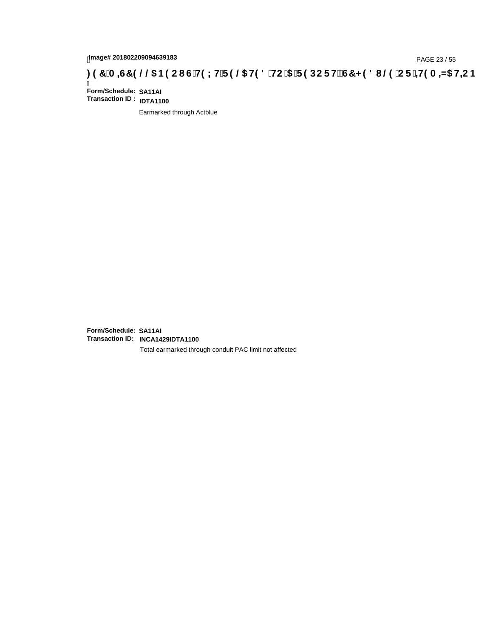## hmage# 201802209094639183<br>DAGE 23 / 55 PAGE 23 / 55 PAGE 23 / 55 P**OC FH2 C7 < 981** @ CF : + H9 A + N5 H=C B : 97 A = N5 H=C B

Ī **Form/Schedule: SA11AI Transaction ID : IDTA1100**

Earmarked through Actblue

**Form/Schedule: SA11AI Transaction ID: INCA1429IDTA1100**

Total earmarked through conduit PAC limit not affected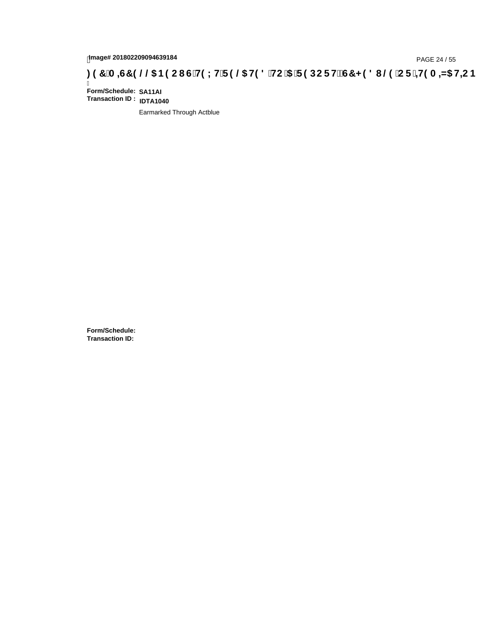## hmage# 201802209094639184<br>DAGE 24 / 55 TO DOC FHE C7 < 981 @ CF **+H9 A =N5 H=C B** : 97 A =N5 B=C I G +H9 L HF 9 @ H9 8 HC i5 F 9 DC F + EGT < 981 @ CF + H9 A =N5 H=C B

Ī **Form/Schedule: SA11AI Transaction ID : IDTA1040**

Earmarked Through Actblue

**Form/Schedule: Transaction ID:**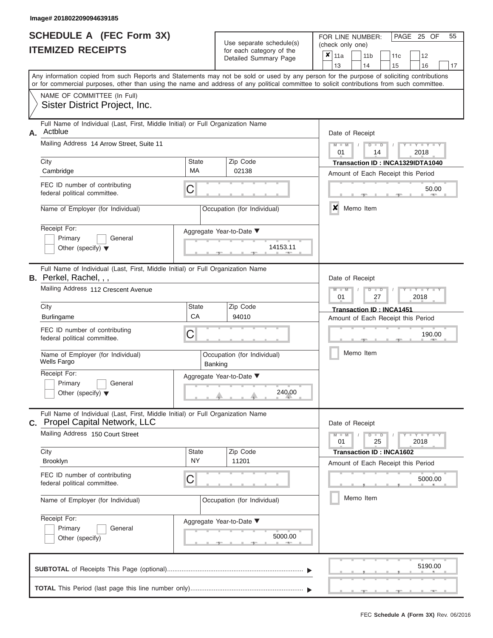| <b>IIIISG&amp;# SOTOOSSOSAO2AU23&lt;/b&gt;&lt;/th&gt;&lt;th&gt;&lt;/th&gt;&lt;th&gt;&lt;/th&gt;&lt;th&gt;&lt;/th&gt;&lt;th&gt;&lt;/th&gt;&lt;th&gt;&lt;/th&gt;&lt;th&gt;&lt;/th&gt;&lt;th&gt;&lt;/th&gt;&lt;/tr&gt;&lt;tr&gt;&lt;th&gt;&lt;b&gt;SCHEDULE A (FEC Form 3X)&lt;/b&gt;&lt;br&gt;&lt;b&gt;ITEMIZED RECEIPTS&lt;/b&gt;&lt;/th&gt;&lt;th&gt;&lt;/th&gt;&lt;th&gt;Use separate schedule(s)&lt;br&gt;for each category of the&lt;/th&gt;&lt;th&gt;FOR LINE NUMBER:&lt;br&gt;(check only one)&lt;/th&gt;&lt;th&gt;&lt;/th&gt;&lt;th&gt;PAGE&lt;/th&gt;&lt;th&gt;25 OF&lt;/th&gt;&lt;th&gt;55&lt;/th&gt;&lt;/tr&gt;&lt;tr&gt;&lt;th&gt;&lt;/th&gt;&lt;th&gt;&lt;/th&gt;&lt;th&gt;Detailed Summary Page&lt;/th&gt;&lt;th&gt;&lt;math display="inline"&gt;\pmb{\times}&lt;/math&gt;&lt;br&gt;11a&lt;/th&gt;&lt;th&gt;11&lt;sub&gt;b&lt;/sub&gt;&lt;/th&gt;&lt;th&gt;11c&lt;/th&gt;&lt;th&gt;12&lt;/th&gt;&lt;th&gt;&lt;/th&gt;&lt;/tr&gt;&lt;tr&gt;&lt;th&gt;Any information copied from such Reports and Statements may not be sold or used by any person for the purpose of soliciting contributions&lt;br&gt;or for commercial purposes, other than using the name and address of any political committee to solicit contributions from such committee.&lt;/th&gt;&lt;th&gt;&lt;/th&gt;&lt;th&gt;&lt;/th&gt;&lt;th&gt;13&lt;/th&gt;&lt;th&gt;14&lt;/th&gt;&lt;th&gt;15&lt;/th&gt;&lt;th&gt;16&lt;/th&gt;&lt;th&gt;17&lt;/th&gt;&lt;/tr&gt;&lt;tr&gt;&lt;td&gt;NAME OF COMMITTEE (In Full)&lt;br&gt;Sister District Project, Inc.&lt;/td&gt;&lt;td&gt;&lt;/td&gt;&lt;td&gt;&lt;/td&gt;&lt;td&gt;&lt;/td&gt;&lt;td&gt;&lt;/td&gt;&lt;td&gt;&lt;/td&gt;&lt;td&gt;&lt;/td&gt;&lt;td&gt;&lt;/td&gt;&lt;/tr&gt;&lt;tr&gt;&lt;td&gt;Full Name of Individual (Last, First, Middle Initial) or Full Organization Name&lt;br&gt;Actblue&lt;br&gt;А.&lt;/td&gt;&lt;td&gt;&lt;/td&gt;&lt;td&gt;&lt;/td&gt;&lt;td&gt;&lt;/td&gt;&lt;td&gt;Date of Receipt&lt;/td&gt;&lt;td&gt;&lt;/td&gt;&lt;td&gt;&lt;/td&gt;&lt;td&gt;&lt;/td&gt;&lt;/tr&gt;&lt;tr&gt;&lt;td&gt;Mailing Address 14 Arrow Street, Suite 11&lt;/td&gt;&lt;td&gt;&lt;/td&gt;&lt;td&gt;&lt;/td&gt;&lt;td&gt;&lt;math&gt;M - M&lt;/math&gt;&lt;br&gt;01&lt;/td&gt;&lt;td&gt;&lt;math&gt;D&lt;/math&gt; &lt;math&gt;D&lt;/math&gt;&lt;br&gt;14&lt;/td&gt;&lt;td&gt;&lt;/td&gt;&lt;td&gt;&lt;math&gt;Y = Y = Y&lt;/math&gt;&lt;br&gt;2018&lt;/td&gt;&lt;td&gt;&lt;/td&gt;&lt;/tr&gt;&lt;tr&gt;&lt;td&gt;City&lt;br&gt;Cambridge&lt;/td&gt;&lt;td&gt;&lt;b&gt;State&lt;/b&gt;&lt;br&gt;&lt;b&gt;MA&lt;/b&gt;&lt;/td&gt;&lt;td&gt;Zip Code&lt;br&gt;02138&lt;/td&gt;&lt;td&gt;&lt;/td&gt;&lt;td&gt;Transaction ID: INCA1329IDTA1040&lt;br&gt;Amount of Each Receipt this Period&lt;/td&gt;&lt;td&gt;&lt;/td&gt;&lt;td&gt;&lt;/td&gt;&lt;td&gt;&lt;/td&gt;&lt;/tr&gt;&lt;tr&gt;&lt;td&gt;FEC ID number of contributing&lt;br&gt;federal political committee.&lt;/td&gt;&lt;td&gt;С&lt;/td&gt;&lt;td&gt;&lt;/td&gt;&lt;td&gt;&lt;/td&gt;&lt;td&gt;&lt;/td&gt;&lt;td&gt;&lt;/td&gt;&lt;td&gt;&lt;/td&gt;&lt;td&gt;50.00&lt;/td&gt;&lt;/tr&gt;&lt;tr&gt;&lt;td&gt;Name of Employer (for Individual)&lt;/td&gt;&lt;td&gt;&lt;/td&gt;&lt;td&gt;Occupation (for Individual)&lt;/td&gt;&lt;td&gt;×&lt;/td&gt;&lt;td&gt;Memo Item&lt;/td&gt;&lt;td&gt;&lt;/td&gt;&lt;td&gt;&lt;/td&gt;&lt;td&gt;&lt;/td&gt;&lt;/tr&gt;&lt;tr&gt;&lt;td&gt;Receipt For:&lt;br&gt;Primary&lt;br&gt;General&lt;/td&gt;&lt;td&gt;Aggregate Year-to-Date ▼&lt;/td&gt;&lt;td&gt;&lt;/td&gt;&lt;td&gt;&lt;/td&gt;&lt;td&gt;&lt;/td&gt;&lt;td&gt;&lt;/td&gt;&lt;td&gt;&lt;/td&gt;&lt;td&gt;&lt;/td&gt;&lt;/tr&gt;&lt;tr&gt;&lt;td&gt;Other (specify) &lt;math&gt;\blacktriangledown&lt;/math&gt;&lt;/td&gt;&lt;td&gt;&lt;/td&gt;&lt;td&gt;14153.11&lt;/td&gt;&lt;td&gt;&lt;/td&gt;&lt;td&gt;&lt;/td&gt;&lt;td&gt;&lt;/td&gt;&lt;td&gt;&lt;/td&gt;&lt;td&gt;&lt;/td&gt;&lt;/tr&gt;&lt;tr&gt;&lt;td&gt;Full Name of Individual (Last, First, Middle Initial) or Full Organization Name&lt;br&gt;&lt;b&gt;B.&lt;/b&gt; Perkel, Rachel, , ,&lt;/td&gt;&lt;td&gt;&lt;/td&gt;&lt;td&gt;&lt;/td&gt;&lt;td&gt;&lt;/td&gt;&lt;td&gt;Date of Receipt&lt;/td&gt;&lt;td&gt;&lt;/td&gt;&lt;td&gt;&lt;/td&gt;&lt;td&gt;&lt;/td&gt;&lt;/tr&gt;&lt;tr&gt;&lt;td&gt;Mailing Address 112 Crescent Avenue&lt;/td&gt;&lt;td&gt;&lt;/td&gt;&lt;td&gt;&lt;/td&gt;&lt;td&gt;01&lt;/td&gt;&lt;td&gt;ס&lt;br&gt;27&lt;/td&gt;&lt;td&gt;&lt;/td&gt;&lt;td&gt;Y I Y I&lt;br&gt;2018&lt;/td&gt;&lt;td&gt;&lt;/td&gt;&lt;/tr&gt;&lt;tr&gt;&lt;td&gt;City&lt;br&gt;&lt;b&gt;Burlingame&lt;/b&gt;&lt;/td&gt;&lt;td&gt;&lt;b&gt;State&lt;/b&gt;&lt;br&gt;CA&lt;/td&gt;&lt;td&gt;Zip Code&lt;br&gt;94010&lt;/td&gt;&lt;td&gt;&lt;/td&gt;&lt;td&gt;Transaction ID: INCA1451&lt;br&gt;Amount of Each Receipt this Period&lt;/td&gt;&lt;td&gt;&lt;/td&gt;&lt;td&gt;&lt;/td&gt;&lt;td&gt;&lt;/td&gt;&lt;/tr&gt;&lt;tr&gt;&lt;td&gt;FEC ID number of contributing&lt;br&gt;federal political committee.&lt;/td&gt;&lt;td&gt;С&lt;/td&gt;&lt;td&gt;&lt;/td&gt;&lt;td&gt;&lt;/td&gt;&lt;td&gt;&lt;/td&gt;&lt;td&gt;&lt;/td&gt;&lt;td&gt;&lt;/td&gt;&lt;td&gt;190.00&lt;/td&gt;&lt;/tr&gt;&lt;tr&gt;&lt;td&gt;Name of Employer (for Individual)&lt;br&gt;Wells Fargo&lt;/td&gt;&lt;td&gt;Banking&lt;/td&gt;&lt;td&gt;Occupation (for Individual)&lt;/td&gt;&lt;td&gt;&lt;/td&gt;&lt;td&gt;Memo Item&lt;/td&gt;&lt;td&gt;&lt;/td&gt;&lt;td&gt;&lt;/td&gt;&lt;td&gt;&lt;/td&gt;&lt;/tr&gt;&lt;tr&gt;&lt;td&gt;Receipt For:&lt;br&gt;Primary&lt;br&gt;General&lt;/td&gt;&lt;td&gt;Aggregate Year-to-Date ▼&lt;/td&gt;&lt;td&gt;&lt;/td&gt;&lt;td&gt;&lt;/td&gt;&lt;td&gt;&lt;/td&gt;&lt;td&gt;&lt;/td&gt;&lt;td&gt;&lt;/td&gt;&lt;td&gt;&lt;/td&gt;&lt;/tr&gt;&lt;tr&gt;&lt;td&gt;Other (specify) &lt;math&gt;\blacktriangledown&lt;/math&gt;&lt;/td&gt;&lt;td&gt;&lt;/td&gt;&lt;td&gt;240.00&lt;/td&gt;&lt;td&gt;&lt;/td&gt;&lt;td&gt;&lt;/td&gt;&lt;td&gt;&lt;/td&gt;&lt;td&gt;&lt;/td&gt;&lt;td&gt;&lt;/td&gt;&lt;/tr&gt;&lt;tr&gt;&lt;td&gt;Full Name of Individual (Last, First, Middle Initial) or Full Organization Name&lt;br&gt;C. Propel Capital Network, LLC&lt;/td&gt;&lt;td&gt;&lt;/td&gt;&lt;td&gt;&lt;/td&gt;&lt;td&gt;&lt;/td&gt;&lt;td&gt;Date of Receipt&lt;/td&gt;&lt;td&gt;&lt;/td&gt;&lt;td&gt;&lt;/td&gt;&lt;td&gt;&lt;/td&gt;&lt;/tr&gt;&lt;tr&gt;&lt;td&gt;Mailing Address 150 Court Street&lt;/td&gt;&lt;td&gt;&lt;/td&gt;&lt;td&gt;&lt;/td&gt;&lt;td&gt;&lt;math&gt;M - M&lt;/math&gt;&lt;br&gt;01&lt;/td&gt;&lt;td&gt;&lt;math&gt;D&lt;/math&gt; &lt;math&gt;D&lt;/math&gt;&lt;br&gt;25&lt;/td&gt;&lt;td&gt;&lt;/td&gt;&lt;td&gt;&lt;math&gt;Y - Y - I&lt;/math&gt;&lt;br&gt;2018&lt;/td&gt;&lt;td&gt;&lt;/td&gt;&lt;/tr&gt;&lt;tr&gt;&lt;td&gt;City&lt;br&gt;Brooklyn&lt;/td&gt;&lt;td&gt;&lt;b&gt;State&lt;/b&gt;&lt;br&gt;&lt;b&gt;NY&lt;/b&gt;&lt;/td&gt;&lt;td&gt;Zip Code&lt;br&gt;11201&lt;/td&gt;&lt;td&gt;&lt;/td&gt;&lt;td&gt;&lt;b&gt;Transaction ID: INCA1602&lt;/b&gt;&lt;/td&gt;&lt;td&gt;&lt;/td&gt;&lt;td&gt;&lt;/td&gt;&lt;td&gt;&lt;/td&gt;&lt;/tr&gt;&lt;tr&gt;&lt;td&gt;FEC ID number of contributing&lt;/td&gt;&lt;td&gt;С&lt;/td&gt;&lt;td&gt;&lt;/td&gt;&lt;td&gt;&lt;/td&gt;&lt;td&gt;Amount of Each Receipt this Period&lt;/td&gt;&lt;td&gt;&lt;/td&gt;&lt;td&gt;5000.00&lt;/td&gt;&lt;td&gt;&lt;/td&gt;&lt;/tr&gt;&lt;tr&gt;&lt;td&gt;federal political committee.&lt;br&gt;Name of Employer (for Individual)&lt;/td&gt;&lt;td&gt;&lt;/td&gt;&lt;td&gt;Occupation (for Individual)&lt;/td&gt;&lt;td&gt;&lt;/td&gt;&lt;td&gt;Memo Item&lt;/td&gt;&lt;td&gt;&lt;/td&gt;&lt;td&gt;&lt;/td&gt;&lt;td&gt;&lt;/td&gt;&lt;/tr&gt;&lt;tr&gt;&lt;td&gt;Receipt For:&lt;/td&gt;&lt;td&gt;Aggregate Year-to-Date ▼&lt;/td&gt;&lt;td&gt;&lt;/td&gt;&lt;td&gt;&lt;/td&gt;&lt;td&gt;&lt;/td&gt;&lt;td&gt;&lt;/td&gt;&lt;td&gt;&lt;/td&gt;&lt;td&gt;&lt;/td&gt;&lt;/tr&gt;&lt;tr&gt;&lt;td&gt;Primary&lt;br&gt;General&lt;br&gt;Other (specify)&lt;/td&gt;&lt;td&gt;&lt;/td&gt;&lt;td&gt;5000.00&lt;br&gt;&lt;math&gt;-&lt;/math&gt;&lt;br&gt;æ&lt;/td&gt;&lt;td&gt;&lt;/td&gt;&lt;td&gt;&lt;/td&gt;&lt;td&gt;&lt;/td&gt;&lt;td&gt;&lt;/td&gt;&lt;td&gt;&lt;/td&gt;&lt;/tr&gt;&lt;/tbody&gt;&lt;/table&gt;</b> |
|---------------------------------------------------------------------------------------------------------------------------------------------------------------------------------------------------------------------------------------------------------------------------------------------------------------------------------------------------------------------------------------------------------------------------------------------------------------------------------------------------------------------------------------------------------------------------------------------------------------------------------------------------------------------------------------------------------------------------------------------------------------------------------------------------------------------------------------------------------------------------------------------------------------------------------------------------------------------------------------------------------------------------------------------------------------------------------------------------------------------------------------------------------------------------------------------------------------------------------------------------------------------------------------------------------------------------------------------------------------------------------------------------------------------------------------------------------------------------------------------------------------------------------------------------------------------------------------------------------------------------------------------------------------------------------------------------------------------------------------------------------------------------------------------------------------------------------------------------------------------------------------------------------------------------------------------------------------------------------------------------------------------------------------------------------------------------------------------------------------------------------------------------------------------------------------------------------------------------------------------------------------------------------------------------------------------------------------------------------------------------------------------------------------------------------------------------------------------------------------------------------------------------------------------------------------------------------------------------------------------------------------------------------------------------------------------------------------------------------------------------------------------------------------------------------------------------------------------------------------------------------------------------------------------------------------------------------------------------------------------------------------------------------------------------------------------------------------------------------------------------------------------------------------------------------------------------------------------------------------------------------------------------------------------------------------------------------------------------------------------------------------------------------------------------------------------------------------------------------------------------------------------------------------------------------------------------------------------------------------------------------------------------------------------------------------------------------------------------------------------------------------------------------------------------------------------------------------------------------------------------------------------------------------------------------------------------------------------------------------------------------------------------------------------------------------------------------------------------------------------------------------------------------------------------------------------------------------------------------------------------------------------------------------------------------------------------------------------------------------------------------------------------------------------------------------------------------------------------------------------------------------------------------------------------------------------------------------------------------------------------------------------------------------------------------------------------------------------------------------------------------------------------------------------------------------------------------------------------------------------------------------------------------------------------------------------------------------------------------------------------------------------------------------------------------------------------------------------------------------------------------------------------------------------------------------------------------------------------------------------------------------------------------------------------------------------------------------------------------------------------------------------------------------------------------------------------------------------------------------------------------------------------------------------------------------------------------------------------------------------------------------------------------------------------------------------------------------------------------------------------------------------------------------------------------------------------------------------------------------------------------------------------------------------------------------------------------------------------------------------------------------------------------------------------------------------------------------------------------------------------------------------------------------------------------------------------------------------------------------------------------------------------------------------------------------------------------------------------------------------------------------------------------------------------------------------------------------------------------------------------------------------------------------------------------------------------------------------------------------------------------------------------------------------------------------------------------------------------------------------------------------------------------------------------------------------------------------------------------------------------------------------------------------------------------------------------------------------------------------------------------------------------------------------------------------------------------------------------------------------------------------------------------------------------------------------------------------------------------------------------------------------------------------------------------------------------------------------------------------------------------------------------------------------------------------------------------------------------------------------------------------------------------------------------------------------------------------------------------------------------------------------------------------------------------------------------------------------------------------------------------------------------------------------------------------------------------------------------------------------------------------------------------------------------------------------------------------------------------------------------------------------------------------------------------------------------------------------------------------------------------------------------------------------------------------------------------------------------|
|---------------------------------------------------------------------------------------------------------------------------------------------------------------------------------------------------------------------------------------------------------------------------------------------------------------------------------------------------------------------------------------------------------------------------------------------------------------------------------------------------------------------------------------------------------------------------------------------------------------------------------------------------------------------------------------------------------------------------------------------------------------------------------------------------------------------------------------------------------------------------------------------------------------------------------------------------------------------------------------------------------------------------------------------------------------------------------------------------------------------------------------------------------------------------------------------------------------------------------------------------------------------------------------------------------------------------------------------------------------------------------------------------------------------------------------------------------------------------------------------------------------------------------------------------------------------------------------------------------------------------------------------------------------------------------------------------------------------------------------------------------------------------------------------------------------------------------------------------------------------------------------------------------------------------------------------------------------------------------------------------------------------------------------------------------------------------------------------------------------------------------------------------------------------------------------------------------------------------------------------------------------------------------------------------------------------------------------------------------------------------------------------------------------------------------------------------------------------------------------------------------------------------------------------------------------------------------------------------------------------------------------------------------------------------------------------------------------------------------------------------------------------------------------------------------------------------------------------------------------------------------------------------------------------------------------------------------------------------------------------------------------------------------------------------------------------------------------------------------------------------------------------------------------------------------------------------------------------------------------------------------------------------------------------------------------------------------------------------------------------------------------------------------------------------------------------------------------------------------------------------------------------------------------------------------------------------------------------------------------------------------------------------------------------------------------------------------------------------------------------------------------------------------------------------------------------------------------------------------------------------------------------------------------------------------------------------------------------------------------------------------------------------------------------------------------------------------------------------------------------------------------------------------------------------------------------------------------------------------------------------------------------------------------------------------------------------------------------------------------------------------------------------------------------------------------------------------------------------------------------------------------------------------------------------------------------------------------------------------------------------------------------------------------------------------------------------------------------------------------------------------------------------------------------------------------------------------------------------------------------------------------------------------------------------------------------------------------------------------------------------------------------------------------------------------------------------------------------------------------------------------------------------------------------------------------------------------------------------------------------------------------------------------------------------------------------------------------------------------------------------------------------------------------------------------------------------------------------------------------------------------------------------------------------------------------------------------------------------------------------------------------------------------------------------------------------------------------------------------------------------------------------------------------------------------------------------------------------------------------------------------------------------------------------------------------------------------------------------------------------------------------------------------------------------------------------------------------------------------------------------------------------------------------------------------------------------------------------------------------------------------------------------------------------------------------------------------------------------------------------------------------------------------------------------------------------------------------------------------------------------------------------------------------------------------------------------------------------------------------------------------------------------------------------------------------------------------------------------------------------------------------------------------------------------------------------------------------------------------------------------------------------------------------------------------------------------------------------------------------------------------------------------------------------------------------------------------------------------------------------------------------------------------------------------------------------------------------------------------------------------------------------------------------------------------------------------------------------------------------------------------------------------------------------------------------------------------------------------------------------------------------------------------------------------------------------------------------------------------------------------------------------------------------------------------------------------------------------------------------------------------------------------------------------------------------------------------------------------------------------------------------------------------------------------------------------------------------------------------------------------------------------------------------------------------------------------------------------------------------------------------------------------------------------------------------------------------------------------|

 ▲ ▲ ▲ , , . , , . 5190.00**SUBTOTAL** of Receipts This Page (optional)............................................................................ **TOTAL** This Period (last page this line number only)............................................................... ▼ ▼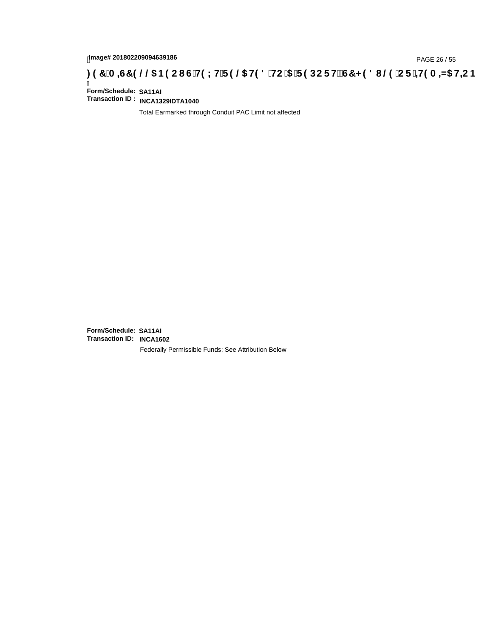## tmage# 201802209094639186<br>DAGE 26 / 55 PAGE 26 / 55<br>**DAGE 26 / CDE 1419 A ⇒N5 H+C IS TH9 LH F 9 @ H9 8 `HC `5 `F 9 DC F Hž G7 < 9 8 I @ `C F `<del>4 I</del>9 A ⇒N5 H+C B ؛**

Ī **Form/Schedule: SA11AI Transaction ID : INCA1329IDTA1040**

Total Earmarked through Conduit PAC Limit not affected

**Form/Schedule: SA11AI Transaction ID: INCA1602**Federally Permissible Funds; See Attribution Below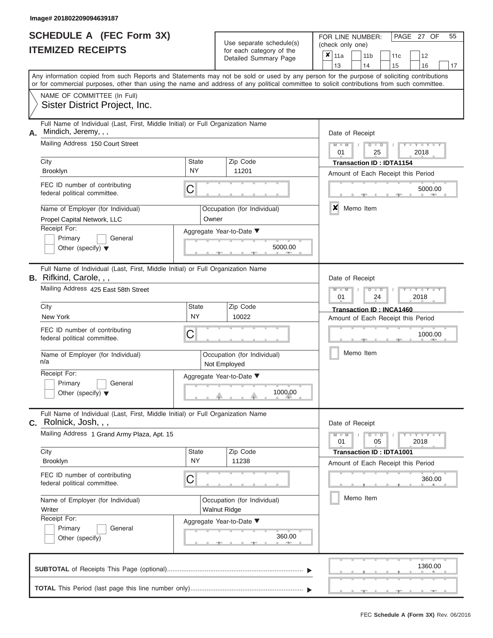#### **Image# 201802209094639187**

ı

|                          | <b>SCHEDULE A (FEC Form 3X)</b> |
|--------------------------|---------------------------------|
| <b>ITEMIZED RECEIPTS</b> |                                 |

Use separate schedule(s)<br>for each category of the

FOR LINE NUMBER:<br>(check only one)

PAGE 27 OF 55

| <b>IIEMILED REVEIFIJ</b>                                                                                                                                                                                                                                                                |                    | ior each category or the                           | ×                                                                     | 11a<br>12<br>11 <sub>b</sub><br>11c                      |                 |  |           |               |                                                                       |  |                          |    |  |  |  |
|-----------------------------------------------------------------------------------------------------------------------------------------------------------------------------------------------------------------------------------------------------------------------------------------|--------------------|----------------------------------------------------|-----------------------------------------------------------------------|----------------------------------------------------------|-----------------|--|-----------|---------------|-----------------------------------------------------------------------|--|--------------------------|----|--|--|--|
|                                                                                                                                                                                                                                                                                         |                    | Detailed Summary Page                              |                                                                       |                                                          | 13              |  | 14        |               | 15                                                                    |  | 16                       | 17 |  |  |  |
| Any information copied from such Reports and Statements may not be sold or used by any person for the purpose of soliciting contributions<br>or for commercial purposes, other than using the name and address of any political committee to solicit contributions from such committee. |                    |                                                    |                                                                       |                                                          |                 |  |           |               |                                                                       |  |                          |    |  |  |  |
| NAME OF COMMITTEE (In Full)<br>Sister District Project, Inc.                                                                                                                                                                                                                            |                    |                                                    |                                                                       |                                                          |                 |  |           |               |                                                                       |  |                          |    |  |  |  |
| Full Name of Individual (Last, First, Middle Initial) or Full Organization Name<br>Mindich, Jeremy, , ,<br>А.                                                                                                                                                                           |                    |                                                    |                                                                       |                                                          | Date of Receipt |  |           |               |                                                                       |  |                          |    |  |  |  |
| Mailing Address 150 Court Street                                                                                                                                                                                                                                                        |                    |                                                    |                                                                       | $M - M$<br>$D$ $D$<br>$Y = Y$<br>01<br>25<br>2018        |                 |  |           |               |                                                                       |  |                          |    |  |  |  |
| City<br>Brooklyn                                                                                                                                                                                                                                                                        | State<br><b>NY</b> | Zip Code<br>11201                                  | <b>Transaction ID: IDTA1154</b><br>Amount of Each Receipt this Period |                                                          |                 |  |           |               |                                                                       |  |                          |    |  |  |  |
| FEC ID number of contributing<br>federal political committee.                                                                                                                                                                                                                           | С                  |                                                    |                                                                       | 5000.00                                                  |                 |  |           |               |                                                                       |  |                          |    |  |  |  |
| Name of Employer (for Individual)<br>Propel Capital Network, LLC                                                                                                                                                                                                                        | Owner              | Occupation (for Individual)                        |                                                                       | $\boldsymbol{x}$<br>Memo Item                            |                 |  |           |               |                                                                       |  |                          |    |  |  |  |
| Receipt For:<br>Primary<br>General<br>Other (specify) $\blacktriangledown$                                                                                                                                                                                                              |                    | Aggregate Year-to-Date ▼                           | 5000.00                                                               |                                                          |                 |  |           |               |                                                                       |  |                          |    |  |  |  |
| Full Name of Individual (Last, First, Middle Initial) or Full Organization Name<br>B. Rifkind, Carole, , ,                                                                                                                                                                              |                    |                                                    |                                                                       |                                                          | Date of Receipt |  |           |               |                                                                       |  |                          |    |  |  |  |
| Mailing Address 425 East 58th Street                                                                                                                                                                                                                                                    |                    |                                                    |                                                                       | $M - M$<br>$D$ $\Box$ $D$<br>$T - Y$<br>01<br>24<br>2018 |                 |  |           |               |                                                                       |  |                          |    |  |  |  |
| City<br>New York                                                                                                                                                                                                                                                                        | State<br><b>NY</b> | Zip Code<br>10022                                  |                                                                       |                                                          |                 |  |           |               | <b>Transaction ID: INCA1460</b><br>Amount of Each Receipt this Period |  |                          |    |  |  |  |
| FEC ID number of contributing<br>federal political committee.                                                                                                                                                                                                                           | С                  |                                                    |                                                                       | 1000.00                                                  |                 |  |           |               |                                                                       |  |                          |    |  |  |  |
| Name of Employer (for Individual)<br>n/a                                                                                                                                                                                                                                                |                    | Occupation (for Individual)<br>Not Employed        |                                                                       |                                                          |                 |  |           | Memo Item     |                                                                       |  |                          |    |  |  |  |
| Receipt For:<br>Primary<br>General<br>Other (specify) $\blacktriangledown$                                                                                                                                                                                                              |                    | Aggregate Year-to-Date ▼<br>1000.00                |                                                                       |                                                          |                 |  |           |               |                                                                       |  |                          |    |  |  |  |
| Full Name of Individual (Last, First, Middle Initial) or Full Organization Name<br>Rolnick, Josh, , ,<br>С.                                                                                                                                                                             |                    |                                                    |                                                                       |                                                          | Date of Receipt |  |           |               |                                                                       |  |                          |    |  |  |  |
| Mailing Address 1 Grand Army Plaza, Apt. 15                                                                                                                                                                                                                                             |                    |                                                    |                                                                       |                                                          | $M - M$<br>01   |  |           | $D$ $D$<br>05 |                                                                       |  | $  Y$ $ Y$ $  Y$<br>2018 |    |  |  |  |
| City<br>Brooklyn                                                                                                                                                                                                                                                                        | State<br><b>NY</b> | Zip Code<br>11238                                  |                                                                       |                                                          |                 |  |           |               | <b>Transaction ID: IDTA1001</b><br>Amount of Each Receipt this Period |  |                          |    |  |  |  |
| FEC ID number of contributing<br>federal political committee.                                                                                                                                                                                                                           | С                  |                                                    |                                                                       |                                                          |                 |  |           |               |                                                                       |  | 360.00                   |    |  |  |  |
| Name of Employer (for Individual)<br>Writer                                                                                                                                                                                                                                             |                    | Occupation (for Individual)<br><b>Walnut Ridge</b> |                                                                       |                                                          |                 |  | Memo Item |               |                                                                       |  |                          |    |  |  |  |
| Receipt For:<br>General<br>Primary<br>Other (specify)                                                                                                                                                                                                                                   |                    | Aggregate Year-to-Date ▼                           | 360.00                                                                |                                                          |                 |  |           |               |                                                                       |  |                          |    |  |  |  |
|                                                                                                                                                                                                                                                                                         |                    |                                                    |                                                                       |                                                          |                 |  |           |               |                                                                       |  | 1360.00                  |    |  |  |  |
|                                                                                                                                                                                                                                                                                         |                    |                                                    |                                                                       |                                                          |                 |  |           |               |                                                                       |  |                          |    |  |  |  |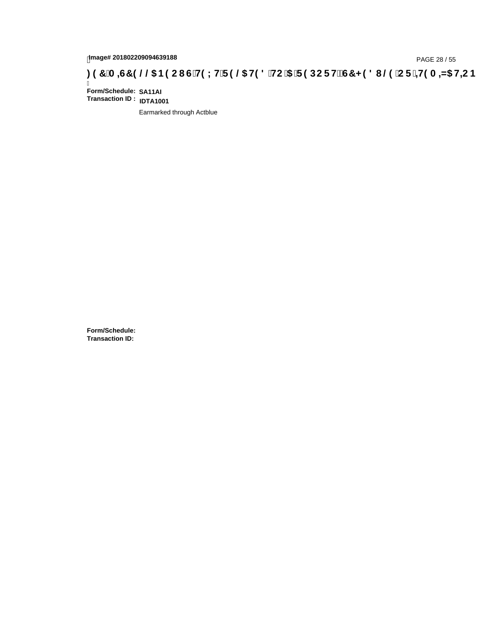## **)(&0,6&(//\$1(2867(;75(/\$7('72\$5(32576&+('8/(25,7(0,=\$7,21**

Ī **Form/Schedule: SA11AI Transaction ID : IDTA1001**

Earmarked through Actblue

**Form/Schedule: Transaction ID:**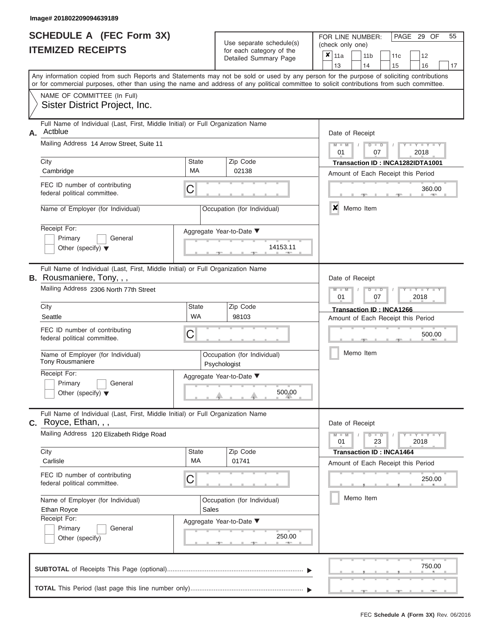|                          | SCHEDULE A (FEC Form 3X) |  |
|--------------------------|--------------------------|--|
| <b>ITEMIZED RECEIPTS</b> |                          |  |

| SCHEDULE A (FEC Form 3X)<br><b>ITEMIZED RECEIPTS</b>                                                                                                          |                          | Use separate schedule(s)<br>for each category of the<br>Detailed Summary Page | 55<br>FOR LINE NUMBER:<br>PAGE 29 OF<br>(check only one)<br>$\boldsymbol{x}$<br>11a<br>11 <sub>b</sub><br>12<br>11 <sub>c</sub>                                         |
|---------------------------------------------------------------------------------------------------------------------------------------------------------------|--------------------------|-------------------------------------------------------------------------------|-------------------------------------------------------------------------------------------------------------------------------------------------------------------------|
|                                                                                                                                                               |                          |                                                                               | 13<br>14<br>15<br>16<br>17<br>Any information copied from such Reports and Statements may not be sold or used by any person for the purpose of soliciting contributions |
| or for commercial purposes, other than using the name and address of any political committee to solicit contributions from such committee.                    |                          |                                                                               |                                                                                                                                                                         |
| NAME OF COMMITTEE (In Full)<br>Sister District Project, Inc.                                                                                                  |                          |                                                                               |                                                                                                                                                                         |
| Full Name of Individual (Last, First, Middle Initial) or Full Organization Name<br>Actblue<br>Α.                                                              |                          |                                                                               | Date of Receipt                                                                                                                                                         |
| Mailing Address 14 Arrow Street, Suite 11                                                                                                                     |                          |                                                                               | $M = M$ /<br>$Y - Y - Y$<br>$D$ $D$<br>01<br>07<br>2018                                                                                                                 |
| City<br>Cambridge                                                                                                                                             | <b>State</b><br>MA       | Zip Code<br>02138                                                             | Transaction ID: INCA1282IDTA1001<br>Amount of Each Receipt this Period                                                                                                  |
| FEC ID number of contributing<br>federal political committee.                                                                                                 | C                        |                                                                               | 360.00<br><b>AND</b>                                                                                                                                                    |
| Name of Employer (for Individual)                                                                                                                             |                          | Occupation (for Individual)                                                   | ×<br>Memo Item                                                                                                                                                          |
| Receipt For:<br>Primary<br>General<br>Other (specify) $\blacktriangledown$                                                                                    | Aggregate Year-to-Date ▼ | 14153.11<br><b>Contract Contract</b>                                          |                                                                                                                                                                         |
| Full Name of Individual (Last, First, Middle Initial) or Full Organization Name<br><b>B.</b> Rousmaniere, Tony, , ,<br>Mailing Address 2306 North 77th Street |                          |                                                                               | Date of Receipt<br>$M - M$<br>$D$ $D$<br>Y TYT                                                                                                                          |
| City                                                                                                                                                          | State                    | Zip Code                                                                      | 01<br>2018<br>07                                                                                                                                                        |
| Seattle                                                                                                                                                       | WA                       | 98103                                                                         | Transaction ID: INCA1266<br>Amount of Each Receipt this Period                                                                                                          |
| FEC ID number of contributing<br>federal political committee.                                                                                                 | C                        |                                                                               | 500.00                                                                                                                                                                  |
| Name of Employer (for Individual)<br>Tony Rousmaniere                                                                                                         | Psychologist             | Occupation (for Individual)                                                   | Memo Item                                                                                                                                                               |
| Receipt For:                                                                                                                                                  | Aggregate Year-to-Date ▼ |                                                                               |                                                                                                                                                                         |
| Primary<br>General<br>Other (specify) $\blacktriangledown$                                                                                                    |                          | 500.00                                                                        |                                                                                                                                                                         |
| Full Name of Individual (Last, First, Middle Initial) or Full Organization Name<br>C. Royce, Ethan, , ,                                                       |                          |                                                                               | Date of Receipt                                                                                                                                                         |
| Mailing Address 120 Elizabeth Ridge Road                                                                                                                      |                          |                                                                               | $M - M$<br>$Y$ $Y$ $Y$ $Y$<br>$D$ $D$<br>01<br>23<br>2018                                                                                                               |
| City<br>Carlisle                                                                                                                                              | State<br>MA              | Zip Code<br>01741                                                             | <b>Transaction ID: INCA1464</b><br>Amount of Each Receipt this Period                                                                                                   |
| FEC ID number of contributing<br>federal political committee.                                                                                                 | C                        |                                                                               | 250.00                                                                                                                                                                  |
| Name of Employer (for Individual)<br>Ethan Royce                                                                                                              | Sales                    | Occupation (for Individual)                                                   | Memo Item                                                                                                                                                               |
| Receipt For:<br>Primary<br>General<br>Other (specify)                                                                                                         | Aggregate Year-to-Date ▼ | 250.00                                                                        |                                                                                                                                                                         |
|                                                                                                                                                               |                          |                                                                               | 750.00                                                                                                                                                                  |
|                                                                                                                                                               |                          |                                                                               |                                                                                                                                                                         |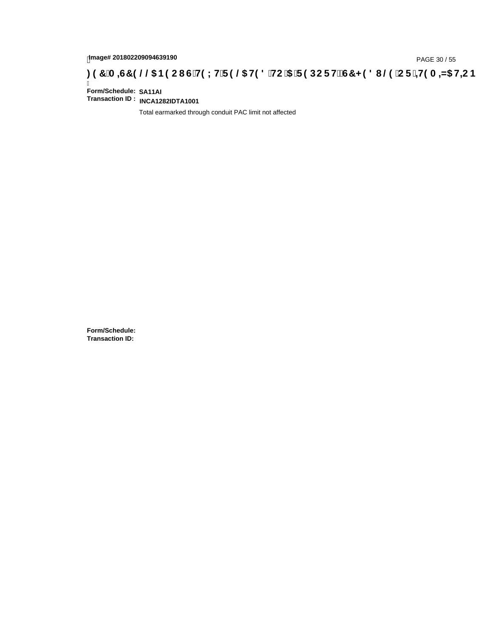## tmage# 201802209094639190<br>DAGE 30 / 55 DOC F HEC IS TO DOC F HEC TO 2016 OF 1HP A <del>4</del> A 4 HB H + C B ب 297 A = 4G7 9 @ 5 B 9 C I G H + ID A

Ī **Form/Schedule: SA11AI Transaction ID : INCA1282IDTA1001**

Total earmarked through conduit PAC limit not affected

**Form/Schedule: Transaction ID:**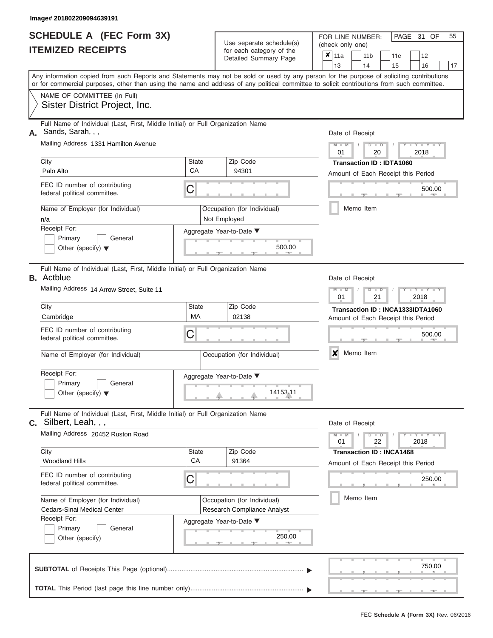|                          | <b>SCHEDULE A (FEC Form 3X)</b> |
|--------------------------|---------------------------------|
| <b>ITEMIZED RECEIPTS</b> |                                 |

Use separate schedule(s)<br>for each category of the

FOR LINE NUMBER:<br>(check only one)

PAGE 31 OF 55

| IILMILLU NLVLIF IJ |                                                                                                                                                                                                                                                                                         |                             |              | iul each caleguly of the<br>Detailed Summary Page | ×         | 11a<br>13       |  | 11 <sub>b</sub><br>14          | 11c<br>15                          |  | 12<br>16            | 17 |  |  |  |  |
|--------------------|-----------------------------------------------------------------------------------------------------------------------------------------------------------------------------------------------------------------------------------------------------------------------------------------|-----------------------------|--------------|---------------------------------------------------|-----------|-----------------|--|--------------------------------|------------------------------------|--|---------------------|----|--|--|--|--|
|                    | Any information copied from such Reports and Statements may not be sold or used by any person for the purpose of soliciting contributions<br>or for commercial purposes, other than using the name and address of any political committee to solicit contributions from such committee. |                             |              |                                                   |           |                 |  |                                |                                    |  |                     |    |  |  |  |  |
|                    | NAME OF COMMITTEE (In Full)<br>Sister District Project, Inc.                                                                                                                                                                                                                            |                             |              |                                                   |           |                 |  |                                |                                    |  |                     |    |  |  |  |  |
| А.                 | Full Name of Individual (Last, First, Middle Initial) or Full Organization Name<br>Sands, Sarah, , ,                                                                                                                                                                                    |                             |              |                                                   |           | Date of Receipt |  |                                |                                    |  |                     |    |  |  |  |  |
|                    | Mailing Address 1331 Hamilton Avenue                                                                                                                                                                                                                                                    |                             |              |                                                   |           | $M - M$<br>01   |  | $D$ $D$<br>20                  |                                    |  | 2018                |    |  |  |  |  |
|                    | City                                                                                                                                                                                                                                                                                    | <b>State</b><br>CA          |              | Zip Code<br>94301                                 |           |                 |  |                                | <b>Transaction ID: IDTA1060</b>    |  |                     |    |  |  |  |  |
|                    | Palo Alto                                                                                                                                                                                                                                                                               |                             |              |                                                   |           |                 |  |                                | Amount of Each Receipt this Period |  |                     |    |  |  |  |  |
|                    | FEC ID number of contributing<br>federal political committee.                                                                                                                                                                                                                           | С                           |              |                                                   | 500.00    |                 |  |                                |                                    |  |                     |    |  |  |  |  |
|                    | Name of Employer (for Individual)<br>n/a                                                                                                                                                                                                                                                |                             | Not Employed | Occupation (for Individual)                       | Memo Item |                 |  |                                |                                    |  |                     |    |  |  |  |  |
|                    | Receipt For:                                                                                                                                                                                                                                                                            | Aggregate Year-to-Date ▼    |              |                                                   |           |                 |  |                                |                                    |  |                     |    |  |  |  |  |
|                    | Primary<br>General<br>Other (specify) $\blacktriangledown$                                                                                                                                                                                                                              |                             |              | 500.00                                            |           |                 |  |                                |                                    |  |                     |    |  |  |  |  |
|                    | Full Name of Individual (Last, First, Middle Initial) or Full Organization Name<br><b>B.</b> Actblue                                                                                                                                                                                    |                             |              | Date of Receipt                                   |           |                 |  |                                |                                    |  |                     |    |  |  |  |  |
|                    | Mailing Address 14 Arrow Street, Suite 11                                                                                                                                                                                                                                               |                             |              |                                                   |           | $M - M$<br>01   |  | $\overline{D}$<br>$\Box$<br>21 |                                    |  | 2018                |    |  |  |  |  |
|                    | City                                                                                                                                                                                                                                                                                    | State                       |              | Zip Code                                          |           |                 |  |                                | Transaction ID: INCA1333IDTA1060   |  |                     |    |  |  |  |  |
|                    | Cambridge                                                                                                                                                                                                                                                                               | MA                          |              | 02138                                             |           |                 |  |                                | Amount of Each Receipt this Period |  |                     |    |  |  |  |  |
|                    | FEC ID number of contributing<br>С<br>federal political committee.                                                                                                                                                                                                                      |                             |              |                                                   |           | 500.00          |  |                                |                                    |  |                     |    |  |  |  |  |
|                    | Name of Employer (for Individual)                                                                                                                                                                                                                                                       | Occupation (for Individual) |              | X                                                 |           | Memo Item       |  |                                |                                    |  |                     |    |  |  |  |  |
|                    | Receipt For:                                                                                                                                                                                                                                                                            | Aggregate Year-to-Date ▼    |              |                                                   |           |                 |  |                                |                                    |  |                     |    |  |  |  |  |
|                    | Primary<br>General<br>Other (specify) $\blacktriangledown$                                                                                                                                                                                                                              |                             |              | 14153.11                                          |           |                 |  |                                |                                    |  |                     |    |  |  |  |  |
| С.                 | Full Name of Individual (Last, First, Middle Initial) or Full Organization Name<br>Silbert, Leah, , ,                                                                                                                                                                                   |                             |              |                                                   |           | Date of Receipt |  |                                |                                    |  |                     |    |  |  |  |  |
|                    | Mailing Address 20452 Ruston Road                                                                                                                                                                                                                                                       |                             |              |                                                   |           | $M - M$<br>01   |  | $D$ $\Box$ $D$<br>22           |                                    |  | $Y - Y - Y$<br>2018 |    |  |  |  |  |
|                    | City<br><b>Woodland Hills</b>                                                                                                                                                                                                                                                           | <b>State</b><br>CA          |              | Zip Code<br>91364                                 |           |                 |  |                                | <b>Transaction ID: INCA1468</b>    |  |                     |    |  |  |  |  |
|                    |                                                                                                                                                                                                                                                                                         |                             |              |                                                   |           |                 |  |                                | Amount of Each Receipt this Period |  |                     |    |  |  |  |  |
|                    | FEC ID number of contributing<br>federal political committee.                                                                                                                                                                                                                           | С                           |              |                                                   |           |                 |  |                                |                                    |  | 250.00              |    |  |  |  |  |
|                    | Name of Employer (for Individual)                                                                                                                                                                                                                                                       |                             |              | Occupation (for Individual)                       |           |                 |  | Memo Item                      |                                    |  |                     |    |  |  |  |  |
|                    | Cedars-Sinai Medical Center<br>Receipt For:                                                                                                                                                                                                                                             |                             |              | Research Compliance Analyst                       |           |                 |  |                                |                                    |  |                     |    |  |  |  |  |
|                    | Primary<br>General                                                                                                                                                                                                                                                                      | Aggregate Year-to-Date ▼    |              |                                                   |           |                 |  |                                |                                    |  |                     |    |  |  |  |  |
|                    | Other (specify)                                                                                                                                                                                                                                                                         |                             |              | 250.00                                            |           |                 |  |                                |                                    |  |                     |    |  |  |  |  |
|                    |                                                                                                                                                                                                                                                                                         |                             |              |                                                   |           |                 |  |                                |                                    |  | 750.00              |    |  |  |  |  |
|                    |                                                                                                                                                                                                                                                                                         |                             |              |                                                   |           |                 |  |                                |                                    |  |                     |    |  |  |  |  |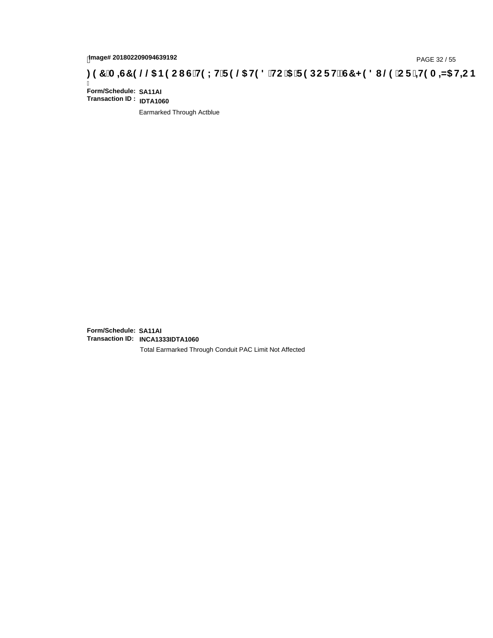## hmage# 201802209094639192<br>DAGE 32 / 55 PAGE 32 / 55 PAGE 32 / 3HO LH'F 9 **@ H9 8 `HC `5 `F 9 DC F H** $\breve{c}$ **G7 < 9 8 I** @ `C F `<del>J 1</del>9 A =N5 H=C B

Ī **Form/Schedule: SA11AI Transaction ID : IDTA1060**

Earmarked Through Actblue

**Form/Schedule: SA11AI Transaction ID: INCA1333IDTA1060**

Total Earmarked Through Conduit PAC Limit Not Affected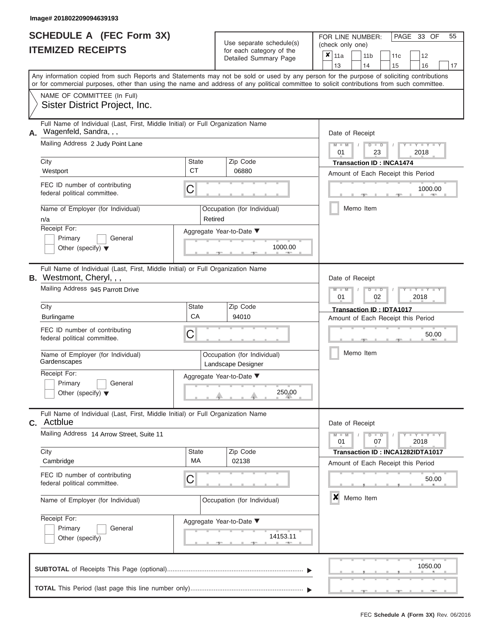|                          | SCHEDULE A (FEC Form 3X) |
|--------------------------|--------------------------|
| <b>ITEMIZED RECEIPTS</b> |                          |

| SCHEDULE A (FEC Form 3X)<br><b>ITEMIZED RECEIPTS</b>                                                                                                    |                           | Use separate schedule(s)<br>for each category of the<br>Detailed Summary Page | 55<br>FOR LINE NUMBER:<br>PAGE 33 OF<br>(check only one)<br>$\boldsymbol{x}$<br>11a<br>11 <sub>b</sub><br>12<br>11 <sub>c</sub>                                                                                                                                                         |
|---------------------------------------------------------------------------------------------------------------------------------------------------------|---------------------------|-------------------------------------------------------------------------------|-----------------------------------------------------------------------------------------------------------------------------------------------------------------------------------------------------------------------------------------------------------------------------------------|
|                                                                                                                                                         |                           |                                                                               | 13<br>14<br>15<br>16<br>17                                                                                                                                                                                                                                                              |
|                                                                                                                                                         |                           |                                                                               | Any information copied from such Reports and Statements may not be sold or used by any person for the purpose of soliciting contributions<br>or for commercial purposes, other than using the name and address of any political committee to solicit contributions from such committee. |
| NAME OF COMMITTEE (In Full)<br>Sister District Project, Inc.                                                                                            |                           |                                                                               |                                                                                                                                                                                                                                                                                         |
| Full Name of Individual (Last, First, Middle Initial) or Full Organization Name<br>Wagenfeld, Sandra, , ,<br>Α.                                         |                           |                                                                               | Date of Receipt                                                                                                                                                                                                                                                                         |
| Mailing Address 2 Judy Point Lane                                                                                                                       |                           |                                                                               | $M = M$ /<br>$D$ $D$<br>$Y - Y - I$<br>01<br>23<br>2018                                                                                                                                                                                                                                 |
| City<br>Westport                                                                                                                                        | <b>State</b><br><b>CT</b> | Zip Code<br>06880                                                             | <b>Transaction ID: INCA1474</b><br>Amount of Each Receipt this Period                                                                                                                                                                                                                   |
| FEC ID number of contributing<br>federal political committee.                                                                                           | C                         |                                                                               | 1000.00<br><b>ARCHITECT</b>                                                                                                                                                                                                                                                             |
| Name of Employer (for Individual)<br>n/a                                                                                                                | Retired                   | Occupation (for Individual)                                                   | Memo Item                                                                                                                                                                                                                                                                               |
| Receipt For:<br>Primary<br>General<br>Other (specify) $\blacktriangledown$                                                                              |                           | Aggregate Year-to-Date ▼<br>1000.00<br><b>COLLECTION</b>                      |                                                                                                                                                                                                                                                                                         |
| Full Name of Individual (Last, First, Middle Initial) or Full Organization Name<br><b>B.</b> Westmont, Cheryl, , ,<br>Mailing Address 945 Parrott Drive |                           |                                                                               | Date of Receipt<br>$M - M$<br>$D$ $D$<br>$\Box$ $\Upsilon$ $\Box$ $\Upsilon$ $\Upsilon$                                                                                                                                                                                                 |
| City                                                                                                                                                    | State                     | Zip Code                                                                      | 01<br>2018<br>02                                                                                                                                                                                                                                                                        |
| Burlingame                                                                                                                                              | CA                        | 94010                                                                         | Transaction ID: IDTA1017<br>Amount of Each Receipt this Period                                                                                                                                                                                                                          |
| FEC ID number of contributing<br>federal political committee.                                                                                           | C                         |                                                                               | 50.00                                                                                                                                                                                                                                                                                   |
| Name of Employer (for Individual)<br>Gardenscapes                                                                                                       |                           | Occupation (for Individual)<br>Landscape Designer                             | Memo Item                                                                                                                                                                                                                                                                               |
| Receipt For:                                                                                                                                            |                           | Aggregate Year-to-Date ▼                                                      |                                                                                                                                                                                                                                                                                         |
| Primary<br>General<br>Other (specify) $\blacktriangledown$                                                                                              |                           | 250.00                                                                        |                                                                                                                                                                                                                                                                                         |
| Full Name of Individual (Last, First, Middle Initial) or Full Organization Name<br><b>C.</b> Actblue                                                    |                           |                                                                               | Date of Receipt                                                                                                                                                                                                                                                                         |
| Mailing Address 14 Arrow Street, Suite 11                                                                                                               |                           |                                                                               | $M - M$<br>$T - Y = Y - T Y$<br>$D$ $D$<br>01<br>07<br>2018                                                                                                                                                                                                                             |
| City<br>Cambridge                                                                                                                                       | State<br>MA               | Zip Code<br>02138                                                             | Transaction ID: INCA1282IDTA1017<br>Amount of Each Receipt this Period                                                                                                                                                                                                                  |
| FEC ID number of contributing<br>federal political committee.                                                                                           | С                         |                                                                               | 50.00                                                                                                                                                                                                                                                                                   |
| Name of Employer (for Individual)                                                                                                                       |                           | Occupation (for Individual)                                                   | $\boldsymbol{x}$<br>Memo Item                                                                                                                                                                                                                                                           |
| Receipt For:<br>Primary<br>General<br>Other (specify)                                                                                                   |                           | Aggregate Year-to-Date ▼<br>14153.11                                          |                                                                                                                                                                                                                                                                                         |
|                                                                                                                                                         |                           |                                                                               | 1050.00                                                                                                                                                                                                                                                                                 |
|                                                                                                                                                         |                           |                                                                               |                                                                                                                                                                                                                                                                                         |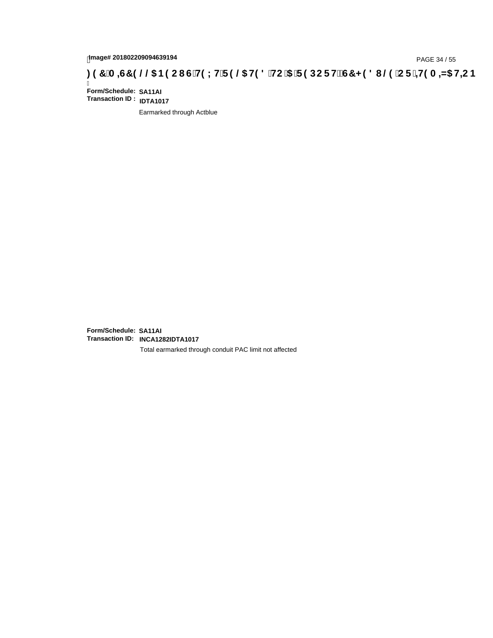## page# 201802209094639194<br>Denge# 201802209094639194<br>**(OD) CF + H9 A = A/5 H=C B + C + C + H9 L H F 9 @ H9 8 `HC `5 `F 9 DC F H** $\breve{c}$ **G7 < 9 8 I @ `C F `= H9 A = A/5 H=C B**

Ī **Form/Schedule: SA11AI Transaction ID : IDTA1017**

Earmarked through Actblue

**Form/Schedule: SA11AI Transaction ID: INCA1282IDTA1017**

Total earmarked through conduit PAC limit not affected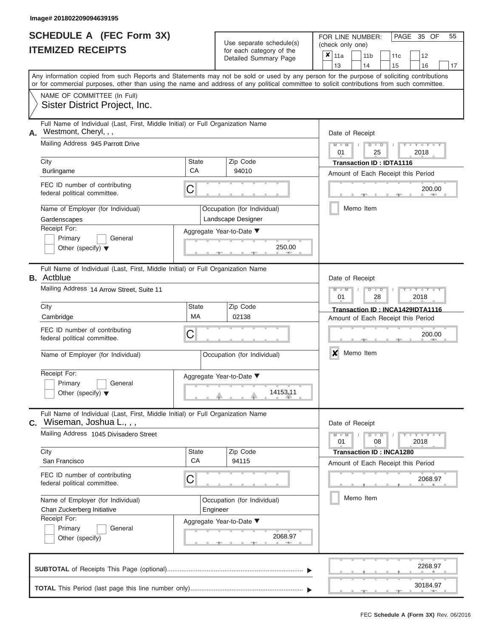|                          | <b>SCHEDULE A (FEC Form 3X)</b> |
|--------------------------|---------------------------------|
| <b>ITEMIZED RECEIPTS</b> |                                 |

Use separate schedule(s)<br>for each category of the

FOR LINE NUMBER:<br>(check only one)

PAGE 35 OF 55

|    | IILMILLY INLVLII I                                                                                                                                                                                                                                                                      |                             | iui cauli ualcyuly ul lilc<br>Detailed Summary Page | ×                                                            | 11a                             |           | 11 <sub>b</sub> |                      |  | 11c | 12                                                                     |    |  |  |
|----|-----------------------------------------------------------------------------------------------------------------------------------------------------------------------------------------------------------------------------------------------------------------------------------------|-----------------------------|-----------------------------------------------------|--------------------------------------------------------------|---------------------------------|-----------|-----------------|----------------------|--|-----|------------------------------------------------------------------------|----|--|--|
|    | Any information copied from such Reports and Statements may not be sold or used by any person for the purpose of soliciting contributions<br>or for commercial purposes, other than using the name and address of any political committee to solicit contributions from such committee. |                             |                                                     |                                                              | 13                              |           | 14              |                      |  | 15  | 16                                                                     | 17 |  |  |
|    | NAME OF COMMITTEE (In Full)<br>Sister District Project, Inc.                                                                                                                                                                                                                            |                             |                                                     |                                                              |                                 |           |                 |                      |  |     |                                                                        |    |  |  |
| А. | Full Name of Individual (Last, First, Middle Initial) or Full Organization Name<br>Westmont, Cheryl, , ,                                                                                                                                                                                |                             |                                                     | Date of Receipt                                              |                                 |           |                 |                      |  |     |                                                                        |    |  |  |
|    | Mailing Address 945 Parrott Drive                                                                                                                                                                                                                                                       |                             |                                                     | $M - M$<br>$D$ $\Box$ $D$<br>01<br>25<br>2018                |                                 |           |                 |                      |  |     |                                                                        |    |  |  |
|    | City<br><b>Burlingame</b>                                                                                                                                                                                                                                                               | State<br>CA                 | Zip Code<br>94010                                   |                                                              | <b>Transaction ID: IDTA1116</b> |           |                 |                      |  |     |                                                                        |    |  |  |
|    | FEC ID number of contributing<br>federal political committee.                                                                                                                                                                                                                           | C                           |                                                     | Amount of Each Receipt this Period<br>200.00<br><b>ARTIS</b> |                                 |           |                 |                      |  |     |                                                                        |    |  |  |
|    | Name of Employer (for Individual)<br>Gardenscapes                                                                                                                                                                                                                                       |                             | Occupation (for Individual)<br>Landscape Designer   |                                                              |                                 | Memo Item |                 |                      |  |     |                                                                        |    |  |  |
|    | Receipt For:<br>Primary<br>General<br>Other (specify) $\blacktriangledown$                                                                                                                                                                                                              |                             | Aggregate Year-to-Date ▼<br>250.00                  |                                                              |                                 |           |                 |                      |  |     |                                                                        |    |  |  |
|    | Full Name of Individual (Last, First, Middle Initial) or Full Organization Name<br><b>B.</b> Actblue                                                                                                                                                                                    |                             |                                                     | Date of Receipt                                              |                                 |           |                 |                      |  |     |                                                                        |    |  |  |
|    | Mailing Address 14 Arrow Street, Suite 11                                                                                                                                                                                                                                               |                             |                                                     |                                                              | $M - M$<br>01                   |           |                 | $D$ $\Box$ $D$<br>28 |  |     | $\overline{Y}$<br>2018                                                 |    |  |  |
|    | City<br>Cambridge                                                                                                                                                                                                                                                                       | <b>State</b><br><b>MA</b>   | Zip Code<br>02138                                   |                                                              |                                 |           |                 |                      |  |     | Transaction ID: INCA1429IDTA1116<br>Amount of Each Receipt this Period |    |  |  |
|    | FEC ID number of contributing<br>federal political committee.                                                                                                                                                                                                                           | C                           |                                                     |                                                              |                                 |           |                 |                      |  |     | 200.00                                                                 |    |  |  |
|    | Name of Employer (for Individual)                                                                                                                                                                                                                                                       | Occupation (for Individual) |                                                     | $\boldsymbol{x}$                                             | Memo Item                       |           |                 |                      |  |     |                                                                        |    |  |  |
|    | Receipt For:<br>General<br>Primary<br>Other (specify) $\blacktriangledown$                                                                                                                                                                                                              |                             | Aggregate Year-to-Date ▼<br>14153.11                |                                                              |                                 |           |                 |                      |  |     |                                                                        |    |  |  |
| С. | Full Name of Individual (Last, First, Middle Initial) or Full Organization Name<br>Wiseman, Joshua L.,,,                                                                                                                                                                                |                             |                                                     |                                                              | Date of Receipt                 |           |                 |                      |  |     |                                                                        |    |  |  |
|    | Mailing Address 1045 Divisadero Street                                                                                                                                                                                                                                                  |                             |                                                     |                                                              | $M - M$<br>01                   |           |                 | $D$ $D$<br>08        |  |     | $Y - Y - Y$<br>2018                                                    |    |  |  |
|    | City<br>San Francisco                                                                                                                                                                                                                                                                   | State<br>CA                 | Zip Code<br>94115                                   |                                                              | <b>Transaction ID: INCA1280</b> |           |                 |                      |  |     | Amount of Each Receipt this Period                                     |    |  |  |
|    | FEC ID number of contributing<br>federal political committee.                                                                                                                                                                                                                           | С                           |                                                     |                                                              |                                 |           |                 |                      |  |     | 2068.97                                                                |    |  |  |
|    | Name of Employer (for Individual)<br>Chan Zuckerberg Initiative                                                                                                                                                                                                                         | Engineer                    | Occupation (for Individual)                         |                                                              |                                 | Memo Item |                 |                      |  |     |                                                                        |    |  |  |
|    | Receipt For:<br>Primary<br>General<br>Other (specify)                                                                                                                                                                                                                                   |                             | Aggregate Year-to-Date ▼<br>2068.97                 |                                                              |                                 |           |                 |                      |  |     |                                                                        |    |  |  |
|    |                                                                                                                                                                                                                                                                                         |                             |                                                     |                                                              |                                 |           |                 |                      |  |     | 2268.97                                                                |    |  |  |
|    |                                                                                                                                                                                                                                                                                         |                             |                                                     |                                                              |                                 |           |                 |                      |  |     | 30184.97                                                               |    |  |  |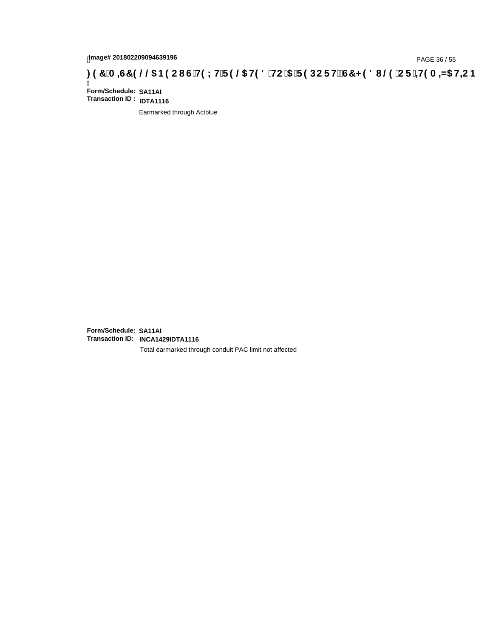## tmage# 201802209094639196<br>DAGE 36 / 55 PAGE 36 / 55<br>**DAGE 36 / CDE 149 A = 45 HC 5 (CH9 LH F 9 @ H9 8 `HC `5 `F 9 DC F HŽ G7 < 9 8 I . @ `C F `4+9 A = 45 H=C B : 97 `A = 45 H=C B**

Ī **Form/Schedule: SA11AI Transaction ID : IDTA1116**

Earmarked through Actblue

**Form/Schedule: SA11AI Transaction ID: INCA1429IDTA1116**

Total earmarked through conduit PAC limit not affected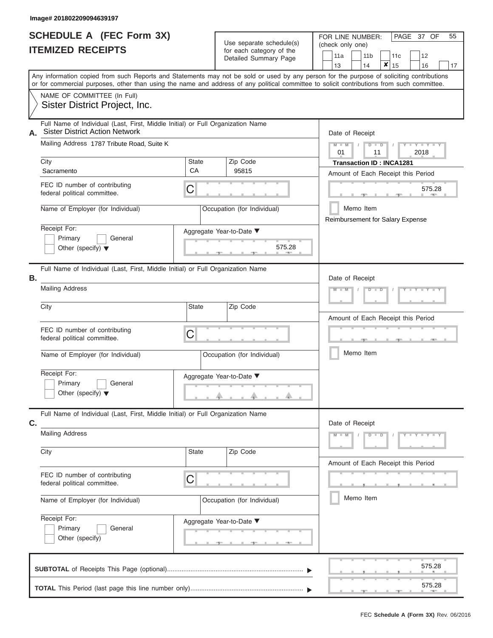#### **Image# 201802209094639197**

|                          | <b>SCHEDULE A (FEC Form 3X)</b> |
|--------------------------|---------------------------------|
| <b>ITEMIZED RECEIPTS</b> |                                 |

FOR LINE NUMBER:

PAGE 37 OF 55

| <b>ITEMIZED RECEIPTS</b>                                                                                                       | Use separate schedule(s)<br>for each category of the<br><b>Detailed Summary Page</b> | (check only one)<br>11a<br>11 <sub>b</sub><br>12<br>11c<br>×<br>13<br>14<br>15<br>16<br>17                                                                                                                                                                                              |
|--------------------------------------------------------------------------------------------------------------------------------|--------------------------------------------------------------------------------------|-----------------------------------------------------------------------------------------------------------------------------------------------------------------------------------------------------------------------------------------------------------------------------------------|
|                                                                                                                                |                                                                                      | Any information copied from such Reports and Statements may not be sold or used by any person for the purpose of soliciting contributions<br>or for commercial purposes, other than using the name and address of any political committee to solicit contributions from such committee. |
| NAME OF COMMITTEE (In Full)<br>Sister District Project, Inc.                                                                   |                                                                                      |                                                                                                                                                                                                                                                                                         |
| Full Name of Individual (Last, First, Middle Initial) or Full Organization Name<br><b>Sister District Action Network</b><br>А. |                                                                                      | Date of Receipt                                                                                                                                                                                                                                                                         |
| Mailing Address 1787 Tribute Road, Suite K                                                                                     |                                                                                      | $M - M$<br>$D$ $D$<br>2018<br>01<br>11                                                                                                                                                                                                                                                  |
| City<br>Sacramento                                                                                                             | Zip Code<br>State<br>CA<br>95815                                                     | <b>Transaction ID: INCA1281</b><br>Amount of Each Receipt this Period                                                                                                                                                                                                                   |
| FEC ID number of contributing<br>federal political committee.                                                                  | C                                                                                    | 575.28                                                                                                                                                                                                                                                                                  |
| Name of Employer (for Individual)                                                                                              | Occupation (for Individual)                                                          | Memo Item<br>Reimbursement for Salary Expense                                                                                                                                                                                                                                           |
| Receipt For:<br>Primary<br>General<br>Other (specify) $\blacktriangledown$                                                     | Aggregate Year-to-Date ▼<br>575.28                                                   |                                                                                                                                                                                                                                                                                         |
| Full Name of Individual (Last, First, Middle Initial) or Full Organization Name<br>В.                                          |                                                                                      | Date of Receipt                                                                                                                                                                                                                                                                         |
| <b>Mailing Address</b>                                                                                                         |                                                                                      |                                                                                                                                                                                                                                                                                         |
| City                                                                                                                           | Amount of Each Receipt this Period                                                   |                                                                                                                                                                                                                                                                                         |
| FEC ID number of contributing<br>federal political committee.                                                                  | C                                                                                    |                                                                                                                                                                                                                                                                                         |
| Name of Employer (for Individual)                                                                                              | Occupation (for Individual)                                                          | Memo Item                                                                                                                                                                                                                                                                               |
| Receipt For:<br>Primary<br>General<br>Other (specify) $\blacktriangledown$                                                     | Aggregate Year-to-Date ▼                                                             |                                                                                                                                                                                                                                                                                         |
| Full Name of Individual (Last, First, Middle Initial) or Full Organization Name<br>C.                                          |                                                                                      | Date of Receipt                                                                                                                                                                                                                                                                         |
| <b>Mailing Address</b>                                                                                                         |                                                                                      | $Y = Y = Y = Y$<br>$D$ $D$                                                                                                                                                                                                                                                              |
| City                                                                                                                           | <b>State</b><br>Zip Code                                                             | Amount of Each Receipt this Period                                                                                                                                                                                                                                                      |
| FEC ID number of contributing<br>federal political committee.                                                                  | С                                                                                    |                                                                                                                                                                                                                                                                                         |
| Name of Employer (for Individual)                                                                                              | Memo Item                                                                            |                                                                                                                                                                                                                                                                                         |
| Receipt For:<br>Primary<br>General<br>Other (specify)                                                                          | Aggregate Year-to-Date ▼                                                             |                                                                                                                                                                                                                                                                                         |
|                                                                                                                                |                                                                                      | 575.28                                                                                                                                                                                                                                                                                  |
|                                                                                                                                |                                                                                      | 575.28                                                                                                                                                                                                                                                                                  |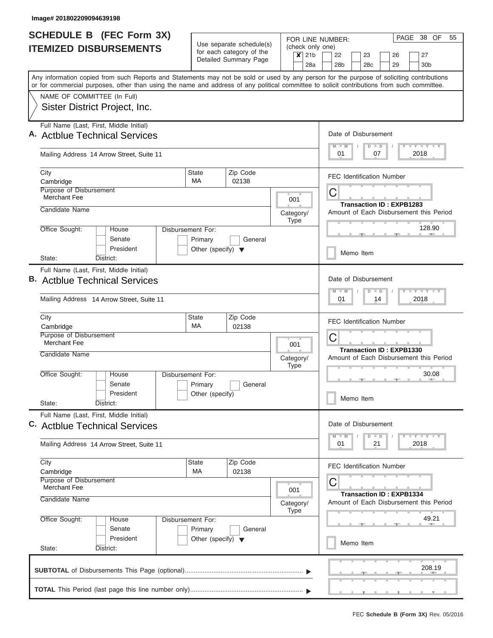J

|                                                                                                                                                                                                                                                                                         | <b>SCHEDULE B (FEC Form 3X)</b>                                                              |                                      |                                                      |           |                  |                                     | PAGE 38 OF<br>55<br>FOR LINE NUMBER:                                              |                  |                      |    |                                         |                             |  |
|-----------------------------------------------------------------------------------------------------------------------------------------------------------------------------------------------------------------------------------------------------------------------------------------|----------------------------------------------------------------------------------------------|--------------------------------------|------------------------------------------------------|-----------|------------------|-------------------------------------|-----------------------------------------------------------------------------------|------------------|----------------------|----|-----------------------------------------|-----------------------------|--|
|                                                                                                                                                                                                                                                                                         | <b>ITEMIZED DISBURSEMENTS</b>                                                                |                                      | Use separate schedule(s)<br>for each category of the |           |                  | (check only one)<br>21 <sub>b</sub> | 22<br>23<br>27<br>26                                                              |                  |                      |    |                                         |                             |  |
|                                                                                                                                                                                                                                                                                         |                                                                                              | Detailed Summary Page                |                                                      |           | $\boldsymbol{x}$ | 28a                                 | 28 <sub>b</sub>                                                                   |                  | 28c                  |    | 29                                      | 30 <sub>b</sub>             |  |
| Any information copied from such Reports and Statements may not be sold or used by any person for the purpose of soliciting contributions<br>or for commercial purposes, other than using the name and address of any political committee to solicit contributions from such committee. |                                                                                              |                                      |                                                      |           |                  |                                     |                                                                                   |                  |                      |    |                                         |                             |  |
|                                                                                                                                                                                                                                                                                         | NAME OF COMMITTEE (In Full)                                                                  |                                      |                                                      |           |                  |                                     |                                                                                   |                  |                      |    |                                         |                             |  |
|                                                                                                                                                                                                                                                                                         | Sister District Project, Inc.                                                                |                                      |                                                      |           |                  |                                     |                                                                                   |                  |                      |    |                                         |                             |  |
|                                                                                                                                                                                                                                                                                         | Full Name (Last, First, Middle Initial)<br>A. Actblue Technical Services                     |                                      |                                                      |           |                  |                                     |                                                                                   |                  | Date of Disbursement |    |                                         |                             |  |
|                                                                                                                                                                                                                                                                                         | Mailing Address 14 Arrow Street, Suite 11                                                    |                                      |                                                      |           |                  |                                     | $M$ $M$<br>01                                                                     |                  | $D$ $D$              | 07 |                                         | Y I Y I Y I Y<br>2018       |  |
|                                                                                                                                                                                                                                                                                         | City<br>Cambridge                                                                            | <b>State</b><br>MA.                  | Zip Code<br>02138                                    |           |                  |                                     |                                                                                   |                  |                      |    | <b>FEC Identification Number</b>        |                             |  |
|                                                                                                                                                                                                                                                                                         | <b>Purpose of Disbursement</b><br><b>Merchant Fee</b>                                        |                                      |                                                      |           | 001              |                                     | С                                                                                 |                  |                      |    |                                         |                             |  |
|                                                                                                                                                                                                                                                                                         | Candidate Name                                                                               |                                      |                                                      |           |                  |                                     |                                                                                   |                  |                      |    | <b>Transaction ID: EXPB1283</b>         |                             |  |
|                                                                                                                                                                                                                                                                                         |                                                                                              |                                      |                                                      | Category/ | <b>Type</b>      |                                     |                                                                                   |                  |                      |    | Amount of Each Disbursement this Period |                             |  |
|                                                                                                                                                                                                                                                                                         | Office Sought:<br>House<br>Disbursement For:<br>Senate<br>Primary<br>General                 |                                      |                                                      |           |                  |                                     |                                                                                   |                  |                      |    |                                         | 128.90                      |  |
|                                                                                                                                                                                                                                                                                         | President<br>District:<br>State:                                                             | Other (specify) $\blacktriangledown$ |                                                      |           |                  |                                     |                                                                                   |                  | Memo Item            |    |                                         |                             |  |
|                                                                                                                                                                                                                                                                                         | Full Name (Last, First, Middle Initial)                                                      |                                      |                                                      |           |                  |                                     |                                                                                   |                  |                      |    |                                         |                             |  |
|                                                                                                                                                                                                                                                                                         | <b>B.</b> Actblue Technical Services                                                         |                                      |                                                      |           |                  |                                     | Date of Disbursement<br>$T$ $T$ $T$ $T$ $T$ $T$ $T$ $T$ $T$<br>$M - M$<br>$D$ $D$ |                  |                      |    |                                         |                             |  |
|                                                                                                                                                                                                                                                                                         | Mailing Address 14 Arrow Street, Suite 11                                                    |                                      |                                                      |           |                  |                                     |                                                                                   | 01<br>14<br>2018 |                      |    |                                         |                             |  |
|                                                                                                                                                                                                                                                                                         | City<br>Cambridge                                                                            | <b>State</b><br>MA                   | Zip Code<br>02138                                    |           |                  |                                     |                                                                                   |                  |                      |    | <b>FEC Identification Number</b>        |                             |  |
|                                                                                                                                                                                                                                                                                         | Purpose of Disbursement<br><b>Merchant Fee</b>                                               |                                      | 001                                                  |           |                  |                                     | С<br><b>Transaction ID: EXPB1330</b>                                              |                  |                      |    |                                         |                             |  |
|                                                                                                                                                                                                                                                                                         | Candidate Name                                                                               |                                      |                                                      | Category/ | <b>Type</b>      |                                     | Amount of Each Disbursement this Period                                           |                  |                      |    |                                         |                             |  |
|                                                                                                                                                                                                                                                                                         | Office Sought:<br>House<br>Senate                                                            | Disbursement For:<br>Primary         | General                                              |           |                  |                                     | 30.08                                                                             |                  |                      |    |                                         |                             |  |
|                                                                                                                                                                                                                                                                                         | President<br>State:<br>District:                                                             | Other (specify)                      |                                                      |           |                  |                                     |                                                                                   |                  | Memo Item            |    |                                         |                             |  |
|                                                                                                                                                                                                                                                                                         | Full Name (Last, First, Middle Initial)<br>C. Actblue Technical Services                     |                                      |                                                      |           |                  |                                     |                                                                                   |                  | Date of Disbursement |    |                                         |                             |  |
|                                                                                                                                                                                                                                                                                         | Mailing Address 14 Arrow Street, Suite 11                                                    |                                      |                                                      |           |                  |                                     | 01                                                                                |                  | $D$ $D$              | 21 |                                         | $Y$ $Y$ $Y$ $Y$ $Y$<br>2018 |  |
|                                                                                                                                                                                                                                                                                         | City<br>Cambridge                                                                            | State<br>МA                          | Zip Code<br>02138                                    |           |                  |                                     |                                                                                   |                  |                      |    | <b>FEC Identification Number</b>        |                             |  |
|                                                                                                                                                                                                                                                                                         | Purpose of Disbursement<br>Merchant Fee<br>001<br>Candidate Name<br>Category/<br><b>Type</b> |                                      |                                                      |           |                  |                                     | С                                                                                 |                  |                      |    | <b>Transaction ID: EXPB1334</b>         |                             |  |
|                                                                                                                                                                                                                                                                                         |                                                                                              |                                      |                                                      |           |                  |                                     |                                                                                   |                  |                      |    | Amount of Each Disbursement this Period |                             |  |
|                                                                                                                                                                                                                                                                                         | Office Sought:<br>House<br>Senate                                                            | Disbursement For:<br>Primary         | General                                              |           |                  |                                     |                                                                                   |                  |                      |    |                                         | 49.21                       |  |
|                                                                                                                                                                                                                                                                                         | President<br>State:<br>District:                                                             | Other (specify) $\blacktriangledown$ |                                                      |           |                  |                                     |                                                                                   |                  | Memo Item            |    |                                         |                             |  |
|                                                                                                                                                                                                                                                                                         |                                                                                              |                                      |                                                      |           |                  |                                     |                                                                                   |                  |                      |    |                                         | 208.19                      |  |
|                                                                                                                                                                                                                                                                                         |                                                                                              |                                      |                                                      |           |                  |                                     |                                                                                   |                  |                      |    |                                         |                             |  |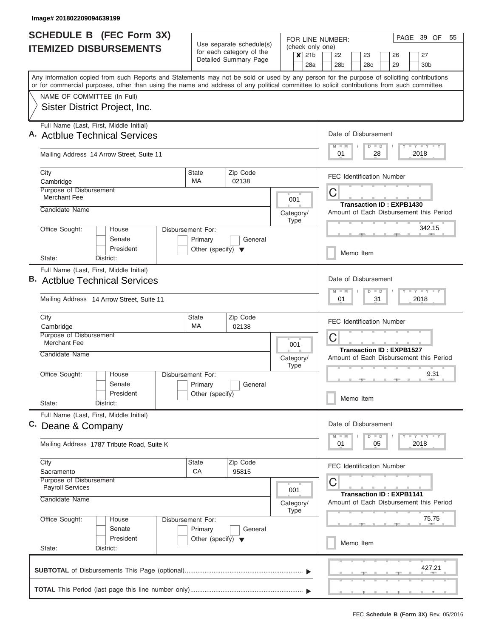|                                                   | <b>SCHEDULE B (FEC Form 3X)</b><br><b>ITEMIZED DISBURSEMENTS</b>                                                                                                                                                                                                                        |                                                                      | Use separate schedule(s)                                                        | FOR LINE NUMBER:<br>(check only one)                | PAGE 39 OF<br>55                                                           |  |  |  |
|---------------------------------------------------|-----------------------------------------------------------------------------------------------------------------------------------------------------------------------------------------------------------------------------------------------------------------------------------------|----------------------------------------------------------------------|---------------------------------------------------------------------------------|-----------------------------------------------------|----------------------------------------------------------------------------|--|--|--|
| for each category of the<br>Detailed Summary Page |                                                                                                                                                                                                                                                                                         |                                                                      |                                                                                 | 21 <sub>b</sub><br>$\boldsymbol{\mathsf{x}}$<br>28a | 22<br>23<br>27<br>26<br>30 <sub>b</sub><br>28b<br>28c<br>29                |  |  |  |
|                                                   | Any information copied from such Reports and Statements may not be sold or used by any person for the purpose of soliciting contributions<br>or for commercial purposes, other than using the name and address of any political committee to solicit contributions from such committee. |                                                                      |                                                                                 |                                                     |                                                                            |  |  |  |
|                                                   | NAME OF COMMITTEE (In Full)<br>Sister District Project, Inc.                                                                                                                                                                                                                            |                                                                      |                                                                                 |                                                     |                                                                            |  |  |  |
|                                                   | Full Name (Last, First, Middle Initial)<br>A. Actblue Technical Services                                                                                                                                                                                                                |                                                                      |                                                                                 |                                                     | Date of Disbursement                                                       |  |  |  |
|                                                   | Mailing Address 14 Arrow Street, Suite 11                                                                                                                                                                                                                                               |                                                                      |                                                                                 |                                                     | Y LY LY LY<br>$M$ $M$<br>$D$ $D$<br>28<br>2018<br>01                       |  |  |  |
|                                                   | City<br>Cambridge                                                                                                                                                                                                                                                                       | <b>State</b><br><b>MA</b>                                            | Zip Code<br>02138                                                               |                                                     | <b>FEC Identification Number</b>                                           |  |  |  |
|                                                   | <b>Purpose of Disbursement</b><br><b>Merchant Fee</b>                                                                                                                                                                                                                                   |                                                                      |                                                                                 | 001                                                 | С<br><b>Transaction ID: EXPB1430</b>                                       |  |  |  |
|                                                   | Candidate Name<br>Office Sought:<br>House                                                                                                                                                                                                                                               | Disbursement For:                                                    |                                                                                 | Category/<br><b>Type</b>                            | Amount of Each Disbursement this Period<br>342.15                          |  |  |  |
|                                                   | Senate<br>President                                                                                                                                                                                                                                                                     | Primary<br>Other (specify) $\blacktriangledown$                      | General                                                                         |                                                     | Memo Item                                                                  |  |  |  |
|                                                   | District:<br>State:<br>Full Name (Last, First, Middle Initial)<br><b>B.</b> Actblue Technical Services                                                                                                                                                                                  |                                                                      | Date of Disbursement<br><b>TEY TEY TEY</b><br>$M - M$<br>$D$ $D$                |                                                     |                                                                            |  |  |  |
|                                                   | Mailing Address 14 Arrow Street, Suite 11<br>City                                                                                                                                                                                                                                       | State                                                                | Zip Code                                                                        |                                                     | 2018<br>01<br>31                                                           |  |  |  |
|                                                   | Cambridge<br>Purpose of Disbursement<br><b>Merchant Fee</b>                                                                                                                                                                                                                             | MA                                                                   | 02138                                                                           | 001                                                 | <b>FEC Identification Number</b><br>С                                      |  |  |  |
|                                                   | Candidate Name                                                                                                                                                                                                                                                                          |                                                                      |                                                                                 | Category/<br><b>Type</b>                            | <b>Transaction ID: EXPB1527</b><br>Amount of Each Disbursement this Period |  |  |  |
|                                                   | Office Sought:<br>House<br>Senate<br>President<br>State:<br>District:                                                                                                                                                                                                                   | Disbursement For:<br>Primary<br>Other (specify)                      | General                                                                         |                                                     | 9.31<br>Memo Item                                                          |  |  |  |
|                                                   | Full Name (Last, First, Middle Initial)<br>C. Deane & Company                                                                                                                                                                                                                           |                                                                      |                                                                                 |                                                     | Date of Disbursement<br>Y TY TY TY<br>$M$ $M$<br>$D$ $D$                   |  |  |  |
|                                                   | Mailing Address 1787 Tribute Road, Suite K                                                                                                                                                                                                                                              |                                                                      |                                                                                 |                                                     | 2018<br>01<br>05                                                           |  |  |  |
|                                                   | City<br>Sacramento<br>Purpose of Disbursement                                                                                                                                                                                                                                           | State<br><b>CA</b>                                                   | Zip Code<br>95815                                                               |                                                     | <b>FEC Identification Number</b>                                           |  |  |  |
|                                                   | <b>Payroll Services</b><br>Candidate Name                                                                                                                                                                                                                                               | 001<br>Category/<br><b>Type</b>                                      | С<br><b>Transaction ID: EXPB1141</b><br>Amount of Each Disbursement this Period |                                                     |                                                                            |  |  |  |
|                                                   | Office Sought:<br>House<br>Senate<br>President                                                                                                                                                                                                                                          | Disbursement For:<br>Primary<br>Other (specify) $\blacktriangledown$ | General                                                                         |                                                     | 75.75                                                                      |  |  |  |
|                                                   | State:<br>District:                                                                                                                                                                                                                                                                     |                                                                      |                                                                                 |                                                     | Memo Item                                                                  |  |  |  |
|                                                   |                                                                                                                                                                                                                                                                                         |                                                                      |                                                                                 |                                                     | 427.21                                                                     |  |  |  |
|                                                   |                                                                                                                                                                                                                                                                                         |                                                                      |                                                                                 |                                                     |                                                                            |  |  |  |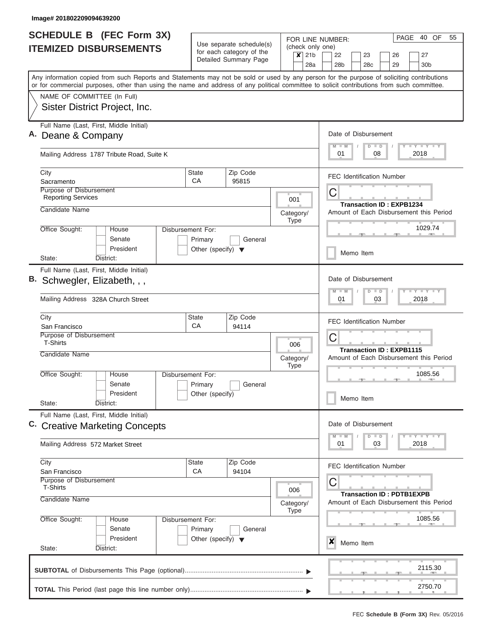|                               | SCHEDULE B (FEC Form 3X)                                                                                                                                                                                                                                                                | Use separate schedule(s)                        |                                                                             |                                                  |    | 40 OF<br>55<br>PAGE<br>FOR LINE NUMBER:                                         |                                  |                                         |      |                       |  |
|-------------------------------|-----------------------------------------------------------------------------------------------------------------------------------------------------------------------------------------------------------------------------------------------------------------------------------------|-------------------------------------------------|-----------------------------------------------------------------------------|--------------------------------------------------|----|---------------------------------------------------------------------------------|----------------------------------|-----------------------------------------|------|-----------------------|--|
| <b>ITEMIZED DISBURSEMENTS</b> |                                                                                                                                                                                                                                                                                         |                                                 | for each category of the<br>Detailed Summary Page                           |                                                  |    | (check only one)<br>22<br>28 <sub>b</sub>                                       | 23<br>28 <sub>c</sub>            | 26<br>29                                |      | 27<br>30 <sub>b</sub> |  |
|                               | Any information copied from such Reports and Statements may not be sold or used by any person for the purpose of soliciting contributions<br>or for commercial purposes, other than using the name and address of any political committee to solicit contributions from such committee. |                                                 |                                                                             |                                                  |    |                                                                                 |                                  |                                         |      |                       |  |
|                               | NAME OF COMMITTEE (In Full)<br>Sister District Project, Inc.                                                                                                                                                                                                                            |                                                 |                                                                             |                                                  |    |                                                                                 |                                  |                                         |      |                       |  |
|                               | Full Name (Last, First, Middle Initial)<br>Deane & Company                                                                                                                                                                                                                              |                                                 | $M$ $M$                                                                     | Date of Disbursement<br><b>LYLYLY</b><br>$D$ $D$ |    |                                                                                 |                                  |                                         |      |                       |  |
|                               | Mailing Address 1787 Tribute Road, Suite K                                                                                                                                                                                                                                              |                                                 |                                                                             |                                                  |    | 01                                                                              | 08                               |                                         | 2018 |                       |  |
|                               | City<br>Sacramento                                                                                                                                                                                                                                                                      | <b>State</b><br>CA                              | Zip Code<br>95815                                                           |                                                  |    | <b>FEC Identification Number</b>                                                |                                  |                                         |      |                       |  |
|                               | Purpose of Disbursement<br><b>Reporting Services</b><br>Candidate Name                                                                                                                                                                                                                  |                                                 |                                                                             | 001                                              |    | С<br><b>Transaction ID: EXPB1234</b><br>Amount of Each Disbursement this Period |                                  |                                         |      |                       |  |
|                               | Office Sought:<br>House<br>Senate<br>President                                                                                                                                                                                                                                          | Disbursement For:<br>Primary                    | Category/<br><b>Type</b><br>General<br>Other (specify) $\blacktriangledown$ |                                                  |    |                                                                                 | 1029.74<br>Memo Item             |                                         |      |                       |  |
|                               | District:<br>State:<br>Full Name (Last, First, Middle Initial)<br>Schwegler, Elizabeth, , ,<br>Mailing Address 328A Church Street                                                                                                                                                       |                                                 | Date of Disbursement<br>$M - M$<br>01                                       | $D$ $D$                                          | 03 | <b>LYLY</b><br>2018                                                             |                                  |                                         |      |                       |  |
|                               | City                                                                                                                                                                                                                                                                                    | <b>State</b>                                    | Zip Code                                                                    |                                                  |    |                                                                                 | <b>FEC Identification Number</b> |                                         |      |                       |  |
|                               | San Francisco<br>Purpose of Disbursement<br><b>T-Shirts</b>                                                                                                                                                                                                                             | CA                                              | 94114                                                                       | 006                                              |    | С<br><b>Transaction ID: EXPB1115</b>                                            |                                  |                                         |      |                       |  |
|                               | Candidate Name                                                                                                                                                                                                                                                                          |                                                 |                                                                             | Category/<br><b>Type</b>                         |    | Amount of Each Disbursement this Period                                         |                                  |                                         |      | 1085.56               |  |
|                               | Office Sought:<br>House<br>Senate<br>President<br>State:<br>District:                                                                                                                                                                                                                   | Disbursement For:<br>Primary<br>Other (specify) | General                                                                     |                                                  |    | Memo Item                                                                       |                                  |                                         |      |                       |  |
|                               | Full Name (Last, First, Middle Initial)<br>C. Creative Marketing Concepts                                                                                                                                                                                                               |                                                 |                                                                             |                                                  |    | Date of Disbursement<br>$M - M$                                                 | $D$ $D$                          |                                         |      | $T - Y$ $T - Y$       |  |
|                               | Mailing Address 572 Market Street                                                                                                                                                                                                                                                       |                                                 |                                                                             |                                                  |    | 01                                                                              | 03                               |                                         | 2018 |                       |  |
|                               | Zip Code<br>City<br><b>State</b><br>CA<br>94104<br>San Francisco<br>Purpose of Disbursement<br><b>T-Shirts</b><br>006                                                                                                                                                                   |                                                 |                                                                             |                                                  |    | <b>FEC Identification Number</b><br>С                                           |                                  | <b>Transaction ID: PDTB1EXPB</b>        |      |                       |  |
|                               | Candidate Name<br>Category/<br>Type<br>Office Sought:<br>Disbursement For:<br>House                                                                                                                                                                                                     |                                                 |                                                                             |                                                  |    |                                                                                 |                                  | Amount of Each Disbursement this Period |      | 1085.56               |  |
|                               | Senate<br>President<br>State:<br>District:                                                                                                                                                                                                                                              | Primary<br>Other (specify) $\blacktriangledown$ | General                                                                     |                                                  |    | x<br>Memo Item                                                                  |                                  |                                         |      |                       |  |
|                               |                                                                                                                                                                                                                                                                                         |                                                 |                                                                             |                                                  |    |                                                                                 |                                  |                                         |      | 2115.30               |  |
|                               |                                                                                                                                                                                                                                                                                         |                                                 |                                                                             |                                                  |    |                                                                                 |                                  |                                         |      | 2750.70               |  |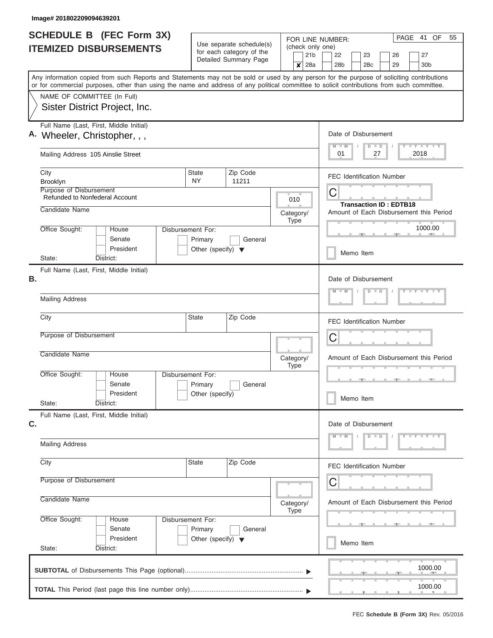| <b>SCHEDULE B</b> (FEC Form 3X)                                         |                              |                                                                                 | FOR LINE NUMBER:                                                                                                                                                                                                                                                                        | PAGE<br>41 OF<br>55                                                     |                                                                 |
|-------------------------------------------------------------------------|------------------------------|---------------------------------------------------------------------------------|-----------------------------------------------------------------------------------------------------------------------------------------------------------------------------------------------------------------------------------------------------------------------------------------|-------------------------------------------------------------------------|-----------------------------------------------------------------|
| <b>ITEMIZED DISBURSEMENTS</b>                                           |                              | Use separate schedule(s)<br>for each category of the<br>Detailed Summary Page   | (check only one)<br>21 <sub>b</sub><br>28a<br>x                                                                                                                                                                                                                                         | 22<br>23<br>27<br>26<br>28 <sub>b</sub><br>28c<br>29<br>30 <sub>b</sub> |                                                                 |
|                                                                         |                              |                                                                                 | Any information copied from such Reports and Statements may not be sold or used by any person for the purpose of soliciting contributions<br>or for commercial purposes, other than using the name and address of any political committee to solicit contributions from such committee. |                                                                         |                                                                 |
| NAME OF COMMITTEE (In Full)<br>Sister District Project, Inc.            |                              |                                                                                 |                                                                                                                                                                                                                                                                                         |                                                                         |                                                                 |
| Full Name (Last, First, Middle Initial)<br>A. Wheeler, Christopher, , , |                              |                                                                                 |                                                                                                                                                                                                                                                                                         |                                                                         | Date of Disbursement<br>Y FY FY FY<br>$M - M$<br>$D$ $D$        |
| Mailing Address 105 Ainslie Street                                      |                              |                                                                                 |                                                                                                                                                                                                                                                                                         |                                                                         | 01<br>2018<br>27                                                |
| City<br>Brooklyn                                                        |                              | State<br>NY.                                                                    | Zip Code<br>11211                                                                                                                                                                                                                                                                       |                                                                         | <b>FEC Identification Number</b>                                |
| Purpose of Disbursement<br><b>Refunded to Nonfederal Account</b>        |                              |                                                                                 |                                                                                                                                                                                                                                                                                         | 010                                                                     | C<br><b>Transaction ID: EDTB18</b>                              |
| Candidate Name                                                          |                              |                                                                                 |                                                                                                                                                                                                                                                                                         | Category/<br><b>Type</b>                                                | Amount of Each Disbursement this Period                         |
| Office Sought:                                                          | House<br>Senate<br>President | Disbursement For:<br>Primary<br>General<br>Other (specify) $\blacktriangledown$ |                                                                                                                                                                                                                                                                                         |                                                                         | 1000.00<br>Memo Item                                            |
| State:<br>District:<br>Full Name (Last, First, Middle Initial)          |                              |                                                                                 |                                                                                                                                                                                                                                                                                         |                                                                         |                                                                 |
| В.<br><b>Mailing Address</b>                                            |                              |                                                                                 |                                                                                                                                                                                                                                                                                         |                                                                         | Date of Disbursement<br>$Y = Y = Y' + Y'$<br>$M - M$<br>$D$ $D$ |
| City                                                                    |                              | <b>State</b>                                                                    | Zip Code                                                                                                                                                                                                                                                                                |                                                                         |                                                                 |
| Purpose of Disbursement                                                 |                              |                                                                                 |                                                                                                                                                                                                                                                                                         |                                                                         | <b>FEC Identification Number</b>                                |
| Candidate Name                                                          |                              |                                                                                 |                                                                                                                                                                                                                                                                                         |                                                                         | C                                                               |
| Office Sought:                                                          | House                        | Disbursement For:                                                               |                                                                                                                                                                                                                                                                                         | Category/<br><b>Type</b>                                                | Amount of Each Disbursement this Period                         |
| State:<br>District:                                                     | Senate<br>President          | Primary<br>Other (specify)                                                      | General                                                                                                                                                                                                                                                                                 |                                                                         | Memo Item                                                       |
| Full Name (Last, First, Middle Initial)<br>C.                           |                              |                                                                                 |                                                                                                                                                                                                                                                                                         |                                                                         | Date of Disbursement                                            |
| <b>Mailing Address</b>                                                  |                              |                                                                                 |                                                                                                                                                                                                                                                                                         |                                                                         | $Y - Y - Y - Y - Y$<br>$M$ $M$<br>$D$ $D$                       |
| City                                                                    |                              | State                                                                           | Zip Code                                                                                                                                                                                                                                                                                |                                                                         | <b>FEC Identification Number</b>                                |
| Purpose of Disbursement                                                 |                              |                                                                                 | C                                                                                                                                                                                                                                                                                       |                                                                         |                                                                 |
| Candidate Name<br>Category/<br>Type                                     |                              |                                                                                 |                                                                                                                                                                                                                                                                                         |                                                                         | Amount of Each Disbursement this Period                         |
| Office Sought:                                                          | House<br>Senate              | Disbursement For:<br>Primary                                                    | General                                                                                                                                                                                                                                                                                 |                                                                         |                                                                 |
| State:<br>District:                                                     | President                    | Other (specify) $\blacktriangledown$                                            |                                                                                                                                                                                                                                                                                         |                                                                         | Memo Item                                                       |
|                                                                         |                              |                                                                                 |                                                                                                                                                                                                                                                                                         |                                                                         | 1000.00                                                         |
|                                                                         |                              |                                                                                 |                                                                                                                                                                                                                                                                                         |                                                                         | 1000.00                                                         |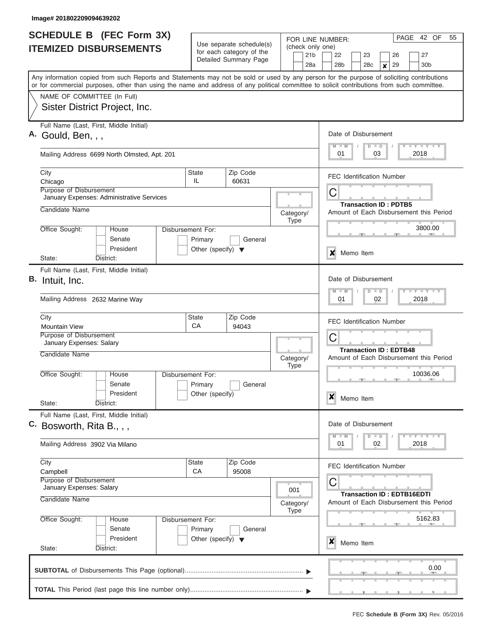| <b>SCHEDULE B</b> (FEC Form 3X) |                                                                                                                                                                                                                                                                                         |                                                 |                   |                                                                                   |                                            | PAGE 42 OF<br>55<br>FOR LINE NUMBER:                                                                                  |  |  |
|---------------------------------|-----------------------------------------------------------------------------------------------------------------------------------------------------------------------------------------------------------------------------------------------------------------------------------------|-------------------------------------------------|-------------------|-----------------------------------------------------------------------------------|--------------------------------------------|-----------------------------------------------------------------------------------------------------------------------|--|--|
|                                 | Use separate schedule(s)<br><b>ITEMIZED DISBURSEMENTS</b><br>for each category of the<br>Detailed Summary Page                                                                                                                                                                          |                                                 |                   |                                                                                   | (check only one)<br>21 <sub>b</sub><br>28a | 22<br>23<br>26<br>27<br>28 <sub>b</sub><br>28c<br>29<br>30 <sub>b</sub><br>×                                          |  |  |
|                                 | Any information copied from such Reports and Statements may not be sold or used by any person for the purpose of soliciting contributions<br>or for commercial purposes, other than using the name and address of any political committee to solicit contributions from such committee. |                                                 |                   |                                                                                   |                                            |                                                                                                                       |  |  |
|                                 | NAME OF COMMITTEE (In Full)<br>Sister District Project, Inc.                                                                                                                                                                                                                            |                                                 |                   |                                                                                   |                                            |                                                                                                                       |  |  |
|                                 | Full Name (Last, First, Middle Initial)<br>A. Gould, Ben, , ,                                                                                                                                                                                                                           | Date of Disbursement<br><b>LY LY LY</b>         |                   |                                                                                   |                                            |                                                                                                                       |  |  |
|                                 | Mailing Address 6699 North Olmsted, Apt. 201                                                                                                                                                                                                                                            |                                                 |                   |                                                                                   |                                            | $D$ $D$<br>$M - M$<br>03<br>2018<br>01                                                                                |  |  |
|                                 | City<br>Chicago<br>Purpose of Disbursement                                                                                                                                                                                                                                              | State<br>IL                                     | Zip Code<br>60631 |                                                                                   |                                            | <b>FEC Identification Number</b>                                                                                      |  |  |
|                                 | January Expenses: Administrative Services<br>Candidate Name                                                                                                                                                                                                                             |                                                 |                   |                                                                                   |                                            | C<br><b>Transaction ID: PDTB5</b>                                                                                     |  |  |
|                                 | Office Sought:<br>House                                                                                                                                                                                                                                                                 | Disbursement For:                               |                   | Category/<br><b>Type</b>                                                          |                                            | Amount of Each Disbursement this Period<br>3800.00                                                                    |  |  |
|                                 | Senate<br>President                                                                                                                                                                                                                                                                     | Primary<br>Other (specify) $\blacktriangledown$ | General           |                                                                                   |                                            | X<br>Memo Item                                                                                                        |  |  |
|                                 | State:<br>District:<br>Full Name (Last, First, Middle Initial)<br>B. Intuit, Inc.                                                                                                                                                                                                       |                                                 |                   |                                                                                   |                                            | Date of Disbursement                                                                                                  |  |  |
|                                 | Mailing Address 2632 Marine Way                                                                                                                                                                                                                                                         |                                                 |                   |                                                                                   |                                            | $-Y$ $-Y$ $-Y$<br>$M - M$<br>$\Box$<br>D<br>02<br>2018<br>01                                                          |  |  |
|                                 | City<br><b>Mountain View</b>                                                                                                                                                                                                                                                            | State<br>CA                                     | Zip Code<br>94043 |                                                                                   |                                            | <b>FEC Identification Number</b>                                                                                      |  |  |
|                                 | Purpose of Disbursement<br>January Expenses: Salary<br>Candidate Name                                                                                                                                                                                                                   | C<br>Category/                                  |                   |                                                                                   |                                            | <b>Transaction ID: EDTB48</b><br>Amount of Each Disbursement this Period                                              |  |  |
|                                 | Office Sought:<br>House<br>Senate<br>President                                                                                                                                                                                                                                          | Disbursement For:<br>Primary<br>Other (specify) | General           | <b>Type</b>                                                                       |                                            | 10036.06                                                                                                              |  |  |
|                                 | State:<br>District:                                                                                                                                                                                                                                                                     |                                                 |                   |                                                                                   |                                            | X<br>Memo Item                                                                                                        |  |  |
|                                 | Full Name (Last, First, Middle Initial)<br>C. Bosworth, Rita B., , ,                                                                                                                                                                                                                    |                                                 |                   |                                                                                   |                                            | Date of Disbursement<br>$\mathbb{L} \mathbf{Y} \mathbb{L} \mathbf{Y} \mathbb{L} \mathbf{Y}$<br>$M$ $M$<br>$\Box$<br>D |  |  |
|                                 | Mailing Address 3902 Via Milano                                                                                                                                                                                                                                                         |                                                 |                   |                                                                                   |                                            | 2018<br>01<br>02                                                                                                      |  |  |
|                                 | City<br>Campbell                                                                                                                                                                                                                                                                        | State<br>CA                                     | Zip Code<br>95008 |                                                                                   |                                            | <b>FEC Identification Number</b>                                                                                      |  |  |
|                                 | Purpose of Disbursement<br>January Expenses: Salary<br>Candidate Name                                                                                                                                                                                                                   | 001<br>Category/                                |                   | C<br><b>Transaction ID: EDTB16EDTI</b><br>Amount of Each Disbursement this Period |                                            |                                                                                                                       |  |  |
|                                 | Office Sought:<br>House<br>Senate                                                                                                                                                                                                                                                       | Disbursement For:<br>Primary                    | General           | <b>Type</b>                                                                       |                                            | 5162.83                                                                                                               |  |  |
|                                 | President<br>State:<br>District:                                                                                                                                                                                                                                                        | Other (specify) $\blacktriangledown$            |                   |                                                                                   |                                            | x<br>Memo Item                                                                                                        |  |  |
|                                 |                                                                                                                                                                                                                                                                                         |                                                 |                   |                                                                                   |                                            | $\sim$ $\sim$<br>0.00                                                                                                 |  |  |
|                                 |                                                                                                                                                                                                                                                                                         |                                                 |                   |                                                                                   |                                            |                                                                                                                       |  |  |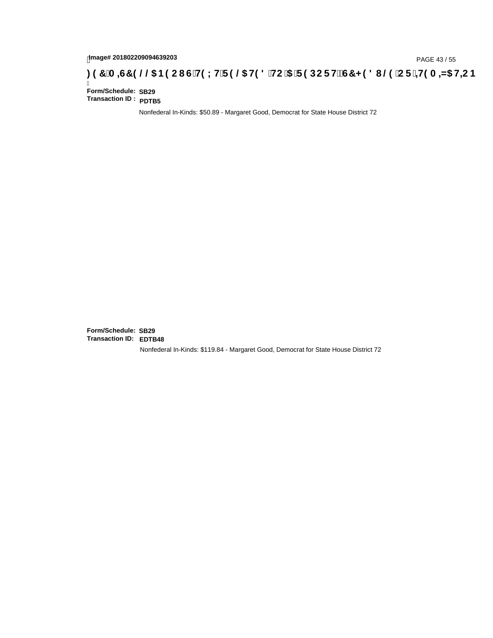# page# 201802209094639203<br>Denge# 201802209094639203<br>**(CF + H9 A = A5 H=C B (@6) B9 CI G + H9 L H F 9 @6 H9 8 FHC '5 F 9 DC F + EGT < 9 8 I @6 'C F + H9 A = A5 H=C B**

Ī **Form/Schedule: SB29 Transaction ID : PDTB5**

Nonfederal In-Kinds: \$50.89 - Margaret Good, Democrat for State House District 72

**Form/Schedule: SB29 Transaction ID: EDTB48**Nonfederal In-Kinds: \$119.84 - Margaret Good, Democrat for State House District 72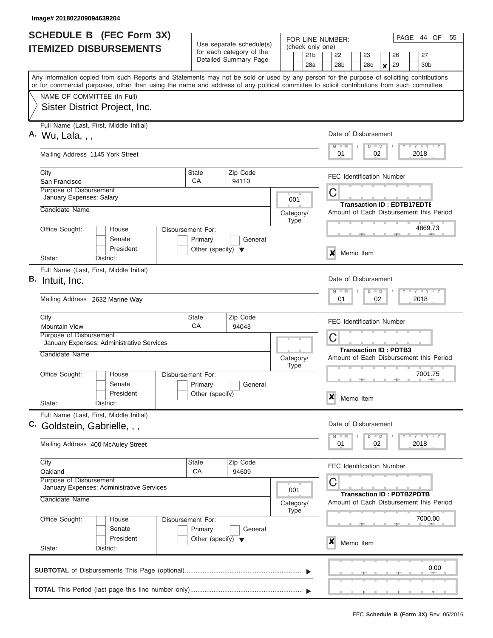| <b>SCHEDULE B (FEC Form 3X)</b><br><b>ITEMIZED DISBURSEMENTS</b>                                                                                                                                                                                                                        |                                                                      | Use separate schedule(s)                          | (check only one)         | PAGE<br>44 OF<br>55<br>FOR LINE NUMBER:                                                     |  |  |  |
|-----------------------------------------------------------------------------------------------------------------------------------------------------------------------------------------------------------------------------------------------------------------------------------------|----------------------------------------------------------------------|---------------------------------------------------|--------------------------|---------------------------------------------------------------------------------------------|--|--|--|
|                                                                                                                                                                                                                                                                                         |                                                                      | for each category of the<br>Detailed Summary Page | 21 <sub>b</sub><br>28a   | 22<br>27<br>23<br>26<br>28 <sub>b</sub><br>28c<br>29<br>30 <sub>b</sub><br>$\boldsymbol{x}$ |  |  |  |
| Any information copied from such Reports and Statements may not be sold or used by any person for the purpose of soliciting contributions<br>or for commercial purposes, other than using the name and address of any political committee to solicit contributions from such committee. |                                                                      |                                                   |                          |                                                                                             |  |  |  |
| NAME OF COMMITTEE (In Full)<br>Sister District Project, Inc.                                                                                                                                                                                                                            |                                                                      |                                                   |                          |                                                                                             |  |  |  |
| Full Name (Last, First, Middle Initial)<br>A. Wu, Lala, , ,                                                                                                                                                                                                                             |                                                                      |                                                   |                          | Date of Disbursement<br>Y I Y I Y I Y<br>$M$ $M$<br>$D$ $D$                                 |  |  |  |
| Mailing Address 1145 York Street                                                                                                                                                                                                                                                        |                                                                      |                                                   |                          | 2018<br>01<br>02                                                                            |  |  |  |
| City<br>San Francisco                                                                                                                                                                                                                                                                   | <b>State</b><br>СA                                                   | Zip Code<br>94110                                 |                          | <b>FEC Identification Number</b>                                                            |  |  |  |
| <b>Purpose of Disbursement</b><br>January Expenses: Salary                                                                                                                                                                                                                              |                                                                      |                                                   | 001                      | C<br><b>Transaction ID: EDTB17EDTE</b>                                                      |  |  |  |
| Candidate Name                                                                                                                                                                                                                                                                          |                                                                      |                                                   | Category/<br><b>Type</b> | Amount of Each Disbursement this Period                                                     |  |  |  |
| Office Sought:<br>House<br>Senate<br>President                                                                                                                                                                                                                                          | Disbursement For:<br>Primary<br>Other (specify) $\blacktriangledown$ | General                                           |                          | 4869.73                                                                                     |  |  |  |
| State:<br>District:                                                                                                                                                                                                                                                                     |                                                                      |                                                   |                          | ×<br>Memo Item                                                                              |  |  |  |
| Full Name (Last, First, Middle Initial)<br>В.<br>Intuit, Inc.<br>Mailing Address 2632 Marine Way                                                                                                                                                                                        |                                                                      |                                                   |                          | Date of Disbursement<br>Y FY FY FY<br>$M - M$<br>$D$ $D$<br>01<br>02<br>2018                |  |  |  |
| City<br><b>Mountain View</b>                                                                                                                                                                                                                                                            | <b>State</b><br>CA                                                   | Zip Code<br>94043                                 |                          | <b>FEC Identification Number</b>                                                            |  |  |  |
| Purpose of Disbursement<br>January Expenses: Administrative Services                                                                                                                                                                                                                    |                                                                      |                                                   |                          | C<br><b>Transaction ID: PDTB3</b>                                                           |  |  |  |
| Candidate Name                                                                                                                                                                                                                                                                          |                                                                      |                                                   | Category/<br><b>Type</b> | Amount of Each Disbursement this Period                                                     |  |  |  |
| Office Sought:<br>House<br>Senate<br>President<br>State:<br>District:                                                                                                                                                                                                                   | Disbursement For:<br>Primary<br>Other (specify)                      | General                                           |                          | 7001.75<br>X<br>Memo Item                                                                   |  |  |  |
| Full Name (Last, First, Middle Initial)<br>C. Goldstein, Gabrielle, , ,                                                                                                                                                                                                                 |                                                                      |                                                   |                          | Date of Disbursement<br>Y FY FY FY<br>$M - M$<br>$D$ $D$                                    |  |  |  |
| Mailing Address 400 McAuley Street                                                                                                                                                                                                                                                      |                                                                      |                                                   |                          | 01<br>2018<br>02                                                                            |  |  |  |
| City<br>Oakland<br>Purpose of Disbursement<br>January Expenses: Administrative Services                                                                                                                                                                                                 | State<br>CA                                                          | Zip Code<br>94609                                 |                          | <b>FEC Identification Number</b><br>С                                                       |  |  |  |
| Candidate Name                                                                                                                                                                                                                                                                          |                                                                      |                                                   | 001<br>Category/         | <b>Transaction ID: PDTB2PDTB</b><br>Amount of Each Disbursement this Period                 |  |  |  |
| Office Sought:<br>House<br>Senate<br>President                                                                                                                                                                                                                                          | Disbursement For:<br>Primary<br>Other (specify) $\blacktriangledown$ | General                                           | <b>Type</b>              | 7000.00                                                                                     |  |  |  |
| State:<br>District:                                                                                                                                                                                                                                                                     |                                                                      |                                                   |                          | X<br>Memo Item                                                                              |  |  |  |
|                                                                                                                                                                                                                                                                                         |                                                                      |                                                   |                          | 0.00                                                                                        |  |  |  |
|                                                                                                                                                                                                                                                                                         |                                                                      |                                                   |                          |                                                                                             |  |  |  |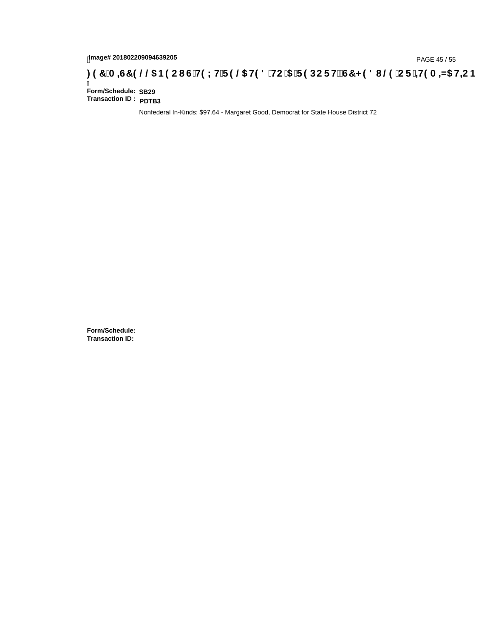# tmage# 201802209094639205<br>DAGE 45 / 55 PAGE 45 / 55 PAGE 45 / 55 P**AGE 45 / 37 A ⊨C is TH9 LH F 9 @ H9 8 `HC `5** F **9 DC F HË G7 < 9 8 I** @ `C **F** ` <del>± 1</del>9 A ± N5 H= C B

Ī **Form/Schedule: SB29 Transaction ID : PDTB3**

Nonfederal In-Kinds: \$97.64 - Margaret Good, Democrat for State House District 72

**Form/Schedule: Transaction ID:**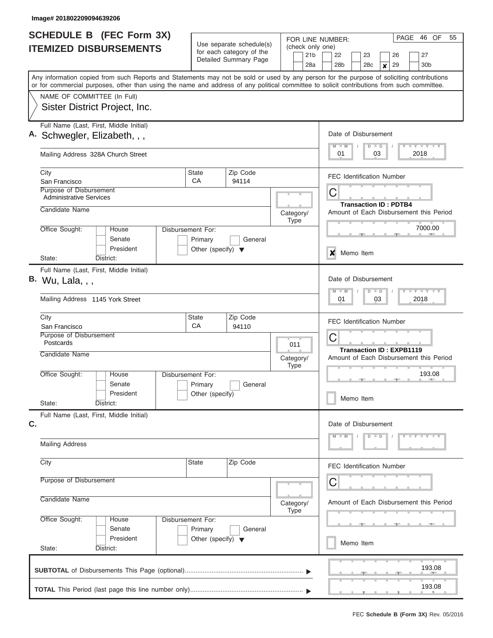| SCHEDULE B (FEC Form 3X)<br><b>ITEMIZED DISBURSEMENTS</b>                                                                                                                                                                                                                               |                                                                      | Use separate schedule(s)<br>for each category of the<br>Detailed Summary Page |                          | PAGE<br>46 OF<br>55<br>FOR LINE NUMBER:<br>(check only one)<br>21 <sub>b</sub><br>27<br>22<br>23<br>26<br>28 <sub>b</sub><br>29<br>30 <sub>b</sub><br>28 <sub>c</sub> |  |  |
|-----------------------------------------------------------------------------------------------------------------------------------------------------------------------------------------------------------------------------------------------------------------------------------------|----------------------------------------------------------------------|-------------------------------------------------------------------------------|--------------------------|-----------------------------------------------------------------------------------------------------------------------------------------------------------------------|--|--|
| Any information copied from such Reports and Statements may not be sold or used by any person for the purpose of soliciting contributions<br>or for commercial purposes, other than using the name and address of any political committee to solicit contributions from such committee. |                                                                      |                                                                               | 28a                      | ×                                                                                                                                                                     |  |  |
| NAME OF COMMITTEE (In Full)<br>Sister District Project, Inc.                                                                                                                                                                                                                            |                                                                      |                                                                               |                          |                                                                                                                                                                       |  |  |
| Full Name (Last, First, Middle Initial)<br>A. Schwegler, Elizabeth, , ,                                                                                                                                                                                                                 |                                                                      | Date of Disbursement<br>Y I Y I Y I Y<br>$M - M$<br>$D$ $D$                   |                          |                                                                                                                                                                       |  |  |
| Mailing Address 328A Church Street                                                                                                                                                                                                                                                      |                                                                      |                                                                               |                          | 2018<br>01<br>03                                                                                                                                                      |  |  |
| City<br>San Francisco                                                                                                                                                                                                                                                                   | State<br>CA                                                          | Zip Code<br>94114                                                             |                          | <b>FEC Identification Number</b>                                                                                                                                      |  |  |
| Purpose of Disbursement<br><b>Administrative Services</b><br>Candidate Name                                                                                                                                                                                                             |                                                                      |                                                                               |                          | С<br><b>Transaction ID: PDTB4</b>                                                                                                                                     |  |  |
| Office Sought:<br>House                                                                                                                                                                                                                                                                 | Disbursement For:                                                    |                                                                               | Category/<br><b>Type</b> | Amount of Each Disbursement this Period<br>7000.00                                                                                                                    |  |  |
| Senate<br>President<br>State:<br>District:                                                                                                                                                                                                                                              | Primary<br>Other (specify) $\blacktriangledown$                      | General                                                                       |                          | X<br>Memo Item                                                                                                                                                        |  |  |
| Full Name (Last, First, Middle Initial)<br>В.<br>Wu, Lala, , ,                                                                                                                                                                                                                          |                                                                      |                                                                               |                          | Date of Disbursement<br>$M - M$<br>$D$ $D$                                                                                                                            |  |  |
| Mailing Address 1145 York Street                                                                                                                                                                                                                                                        |                                                                      |                                                                               |                          | 01<br>03<br>2018                                                                                                                                                      |  |  |
| City<br>San Francisco                                                                                                                                                                                                                                                                   | State<br>CA                                                          | Zip Code<br>94110                                                             |                          | <b>FEC Identification Number</b>                                                                                                                                      |  |  |
| Purpose of Disbursement<br>Postcards<br>Candidate Name                                                                                                                                                                                                                                  |                                                                      |                                                                               | 011                      | C<br><b>Transaction ID: EXPB1119</b>                                                                                                                                  |  |  |
| Office Sought:<br>House                                                                                                                                                                                                                                                                 | <b>Disbursement For:</b>                                             |                                                                               | Category/<br><b>Type</b> | Amount of Each Disbursement this Period<br>193.08                                                                                                                     |  |  |
| Senate<br>President<br>State:<br>District:                                                                                                                                                                                                                                              | Primary<br>Other (specify)                                           | General                                                                       |                          | Memo Item                                                                                                                                                             |  |  |
| Full Name (Last, First, Middle Initial)<br>C.                                                                                                                                                                                                                                           |                                                                      |                                                                               |                          | Date of Disbursement                                                                                                                                                  |  |  |
| <b>Mailing Address</b>                                                                                                                                                                                                                                                                  |                                                                      |                                                                               |                          | $Y - Y - Y - Y$<br>$M - M$<br>$D$ $D$                                                                                                                                 |  |  |
| City                                                                                                                                                                                                                                                                                    | State                                                                | Zip Code                                                                      |                          | <b>FEC Identification Number</b>                                                                                                                                      |  |  |
| Purpose of Disbursement                                                                                                                                                                                                                                                                 |                                                                      | С                                                                             |                          |                                                                                                                                                                       |  |  |
| Candidate Name                                                                                                                                                                                                                                                                          | Category/<br><b>Type</b>                                             | Amount of Each Disbursement this Period                                       |                          |                                                                                                                                                                       |  |  |
| Office Sought:<br>House<br>Senate<br>President                                                                                                                                                                                                                                          | Disbursement For:<br>Primary<br>Other (specify) $\blacktriangledown$ | General                                                                       |                          | Memo Item                                                                                                                                                             |  |  |
| State:<br>District:                                                                                                                                                                                                                                                                     |                                                                      |                                                                               |                          |                                                                                                                                                                       |  |  |
|                                                                                                                                                                                                                                                                                         |                                                                      |                                                                               |                          | 193.08                                                                                                                                                                |  |  |
|                                                                                                                                                                                                                                                                                         |                                                                      |                                                                               |                          | 193.08                                                                                                                                                                |  |  |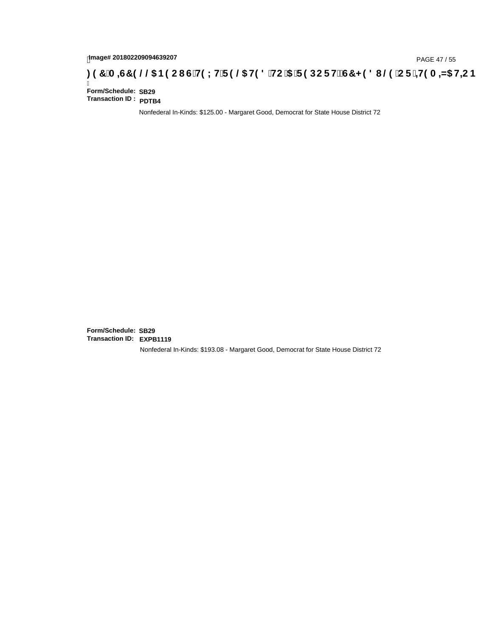## page# 201802209094639207<br>DAGE 47 / 55 DOC RESPORT FOR COMPASTING THE STATE STATE STATE STATE STATE STATE STATE STATE STATE STATE STATE S

Ī **Form/Schedule: SB29 Transaction ID : PDTB4**

Nonfederal In-Kinds: \$125.00 - Margaret Good, Democrat for State House District 72

**Form/Schedule: SB29 Transaction ID: EXPB1119**Nonfederal In-Kinds: \$193.08 - Margaret Good, Democrat for State House District 72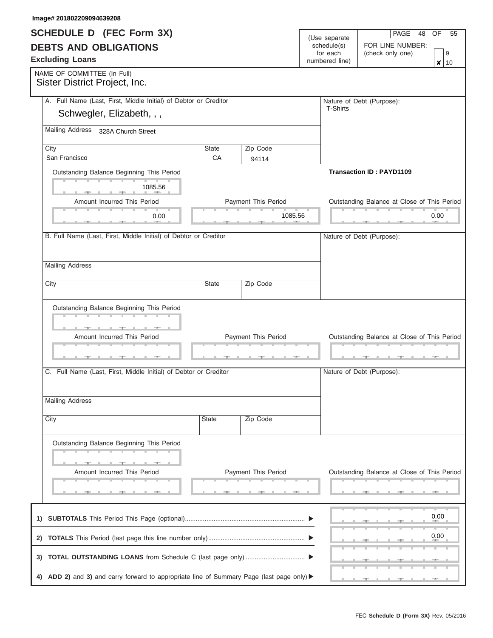| SCHEDULE D (FEC Form 3X)                                                                |                |                            | (Use separate           | PAGE 48 OF<br>55                            |
|-----------------------------------------------------------------------------------------|----------------|----------------------------|-------------------------|---------------------------------------------|
| <b>DEBTS AND OBLIGATIONS</b>                                                            |                |                            | schedule(s)<br>for each | FOR LINE NUMBER:<br>(check only one)<br>9   |
| <b>Excluding Loans</b>                                                                  |                |                            |                         |                                             |
|                                                                                         | numbered line) |                            |                         |                                             |
| NAME OF COMMITTEE (In Full)<br>Sister District Project, Inc.                            |                |                            |                         |                                             |
| A. Full Name (Last, First, Middle Initial) of Debtor or Creditor                        |                |                            |                         | Nature of Debt (Purpose):                   |
| Schwegler, Elizabeth, , ,                                                               |                |                            | T-Shirts                |                                             |
|                                                                                         |                |                            |                         |                                             |
| Mailing Address 328A Church Street                                                      |                |                            |                         |                                             |
| City                                                                                    | State          | Zip Code                   |                         |                                             |
| San Francisco                                                                           | CA             | 94114                      |                         |                                             |
| Outstanding Balance Beginning This Period                                               |                |                            |                         | <b>Transaction ID: PAYD1109</b>             |
|                                                                                         |                |                            |                         |                                             |
| 1085.56                                                                                 |                |                            |                         |                                             |
| Amount Incurred This Period                                                             |                | Payment This Period        |                         | Outstanding Balance at Close of This Period |
|                                                                                         |                | 1085.56                    |                         | 0.00                                        |
| 0.00                                                                                    |                |                            |                         |                                             |
| B. Full Name (Last, First, Middle Initial) of Debtor or Creditor                        |                |                            |                         |                                             |
|                                                                                         |                |                            |                         | Nature of Debt (Purpose):                   |
|                                                                                         |                |                            |                         |                                             |
| <b>Mailing Address</b>                                                                  |                |                            |                         |                                             |
|                                                                                         |                |                            |                         |                                             |
| City                                                                                    | State          | Zip Code                   |                         |                                             |
|                                                                                         |                |                            |                         |                                             |
|                                                                                         |                |                            |                         |                                             |
| Outstanding Balance Beginning This Period                                               |                |                            |                         |                                             |
|                                                                                         |                |                            |                         |                                             |
|                                                                                         |                | <b>Payment This Period</b> |                         |                                             |
| Amount Incurred This Period                                                             |                |                            |                         | Outstanding Balance at Close of This Period |
|                                                                                         |                |                            |                         |                                             |
|                                                                                         |                |                            |                         |                                             |
| C. Full Name (Last, First, Middle Initial) of Debtor or Creditor                        |                |                            |                         | Nature of Debt (Purpose):                   |
|                                                                                         |                |                            |                         |                                             |
|                                                                                         |                |                            |                         |                                             |
| <b>Mailing Address</b>                                                                  |                |                            |                         |                                             |
|                                                                                         |                |                            |                         |                                             |
| City                                                                                    | State          | Zip Code                   |                         |                                             |
|                                                                                         |                |                            |                         |                                             |
| Outstanding Balance Beginning This Period                                               |                |                            |                         |                                             |
|                                                                                         |                |                            |                         |                                             |
|                                                                                         |                |                            |                         |                                             |
| Amount Incurred This Period                                                             |                | Payment This Period        |                         | Outstanding Balance at Close of This Period |
|                                                                                         |                |                            |                         |                                             |
|                                                                                         |                |                            |                         |                                             |
|                                                                                         |                |                            |                         |                                             |
|                                                                                         |                |                            |                         | 0.00                                        |
|                                                                                         |                |                            |                         |                                             |
|                                                                                         |                |                            |                         | 0.00                                        |
|                                                                                         |                |                            |                         |                                             |
|                                                                                         |                |                            |                         |                                             |
|                                                                                         |                |                            |                         |                                             |
| 4) ADD 2) and 3) and carry forward to appropriate line of Summary Page (last page only) |                |                            |                         |                                             |
|                                                                                         |                |                            |                         |                                             |

**Image# 201802209094639208**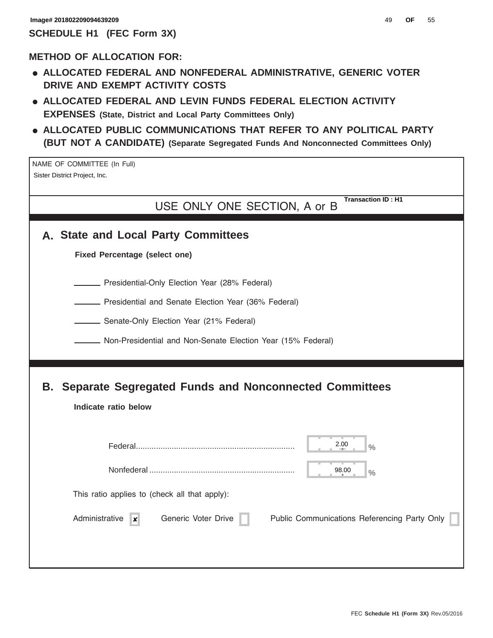#### **METHOD OF ALLOCATION FOR:**

- **ALLOCATED FEDERAL AND NONFEDERAL ADMINISTRATIVE, GENERIC VOTER DRIVE AND EXEMPT ACTIVITY COSTS**
- **ALLOCATED FEDERAL AND LEVIN FUNDS FEDERAL ELECTION ACTIVITY EXPENSES (State, District and Local Party Committees Only)**
- **ALLOCATED PUBLIC COMMUNICATIONS THAT REFER TO ANY POLITICAL PARTY (BUT NOT A CANDIDATE) (Separate Segregated Funds And Nonconnected Committees Only)**

NAME OF COMMITTEE (In Full) Sister District Project, Inc.

> USE ONLY ONE SECTION, A or B **Transaction ID : H1**

|  |  |  |  |  | A. State and Local Party Committees |
|--|--|--|--|--|-------------------------------------|
|--|--|--|--|--|-------------------------------------|

**Fixed Percentage (select one)**

**Presidential-Only Election Year (28% Federal)** 

**EXECTE:** Presidential and Senate Election Year (36% Federal)

**Senate-Only Election Year (21% Federal)** 

Non-Presidential and Non-Senate Election Year (15% Federal)

### **B. Separate Segregated Funds and Nonconnected Committees**

|                                               |                     | 2.00<br>$\frac{1}{2}$                        |
|-----------------------------------------------|---------------------|----------------------------------------------|
|                                               |                     | 98.00<br>$\frac{0}{0}$                       |
| This ratio applies to (check all that apply): |                     |                                              |
| Administrative<br>$\boldsymbol{x}$            | Generic Voter Drive | Public Communications Referencing Party Only |
|                                               |                     |                                              |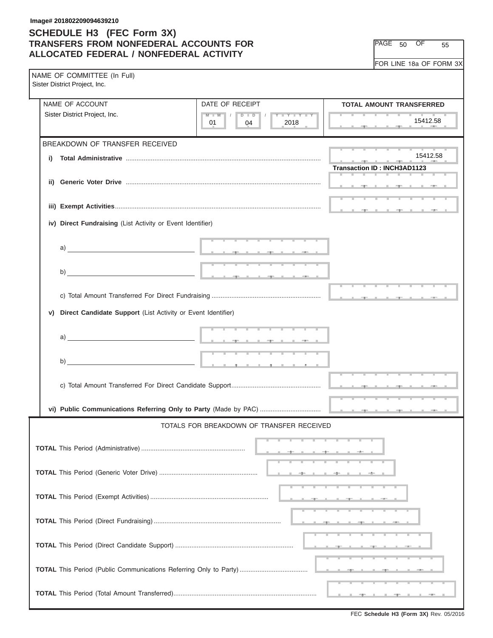#### **SCHEDULE H3 (FEC Form 3X) TRANSFERS FROM NONFEDERAL ACCOUNTS FOR ALLOCATED FEDERAL / NONFEDERAL ACTIVITY**

PAGE 50 OF 55

FOR LINE 18a OF FORM 3X

|    | NAME OF COMMITTEE (In Full)<br>Sister District Project, Inc.                                                                                                                                                                                                                     |                                                                 |                                    |
|----|----------------------------------------------------------------------------------------------------------------------------------------------------------------------------------------------------------------------------------------------------------------------------------|-----------------------------------------------------------------|------------------------------------|
|    | NAME OF ACCOUNT                                                                                                                                                                                                                                                                  | DATE OF RECEIPT                                                 | <b>TOTAL AMOUNT TRANSFERRED</b>    |
|    | Sister District Project, Inc.                                                                                                                                                                                                                                                    | $M$ $M$ $I$<br>$D$ $\Box$ $D$<br>Y FY FY FY<br>2018<br>01<br>04 | 15412.58                           |
|    | BREAKDOWN OF TRANSFER RECEIVED                                                                                                                                                                                                                                                   |                                                                 |                                    |
| i) |                                                                                                                                                                                                                                                                                  |                                                                 | 15412.58                           |
|    |                                                                                                                                                                                                                                                                                  |                                                                 | <b>Transaction ID: INCH3AD1123</b> |
|    |                                                                                                                                                                                                                                                                                  |                                                                 |                                    |
|    |                                                                                                                                                                                                                                                                                  |                                                                 |                                    |
|    |                                                                                                                                                                                                                                                                                  |                                                                 |                                    |
|    |                                                                                                                                                                                                                                                                                  |                                                                 |                                    |
|    | iv) Direct Fundraising (List Activity or Event Identifier)                                                                                                                                                                                                                       |                                                                 |                                    |
|    |                                                                                                                                                                                                                                                                                  |                                                                 |                                    |
|    |                                                                                                                                                                                                                                                                                  |                                                                 |                                    |
|    |                                                                                                                                                                                                                                                                                  |                                                                 |                                    |
|    | b)                                                                                                                                                                                                                                                                               |                                                                 |                                    |
|    |                                                                                                                                                                                                                                                                                  |                                                                 |                                    |
|    |                                                                                                                                                                                                                                                                                  |                                                                 |                                    |
| V) | Direct Candidate Support (List Activity or Event Identifier)                                                                                                                                                                                                                     |                                                                 |                                    |
|    |                                                                                                                                                                                                                                                                                  |                                                                 |                                    |
|    | a) and the contract of the contract of $\frac{1}{2}$ and $\frac{1}{2}$ and $\frac{1}{2}$ and $\frac{1}{2}$ and $\frac{1}{2}$ and $\frac{1}{2}$ and $\frac{1}{2}$ and $\frac{1}{2}$ and $\frac{1}{2}$ and $\frac{1}{2}$ and $\frac{1}{2}$ and $\frac{1}{2}$ and $\frac{1}{2}$ and |                                                                 |                                    |
|    |                                                                                                                                                                                                                                                                                  |                                                                 |                                    |
|    |                                                                                                                                                                                                                                                                                  |                                                                 |                                    |
|    |                                                                                                                                                                                                                                                                                  |                                                                 |                                    |
|    |                                                                                                                                                                                                                                                                                  |                                                                 |                                    |
|    |                                                                                                                                                                                                                                                                                  |                                                                 |                                    |
|    |                                                                                                                                                                                                                                                                                  |                                                                 |                                    |
|    |                                                                                                                                                                                                                                                                                  | TOTALS FOR BREAKDOWN OF TRANSFER RECEIVED                       |                                    |
|    |                                                                                                                                                                                                                                                                                  |                                                                 |                                    |
|    |                                                                                                                                                                                                                                                                                  |                                                                 |                                    |
|    |                                                                                                                                                                                                                                                                                  |                                                                 |                                    |
|    |                                                                                                                                                                                                                                                                                  |                                                                 |                                    |
|    |                                                                                                                                                                                                                                                                                  |                                                                 |                                    |
|    |                                                                                                                                                                                                                                                                                  |                                                                 |                                    |
|    |                                                                                                                                                                                                                                                                                  |                                                                 |                                    |
|    |                                                                                                                                                                                                                                                                                  |                                                                 |                                    |
|    |                                                                                                                                                                                                                                                                                  |                                                                 |                                    |
|    |                                                                                                                                                                                                                                                                                  |                                                                 |                                    |
|    |                                                                                                                                                                                                                                                                                  |                                                                 |                                    |
|    |                                                                                                                                                                                                                                                                                  |                                                                 |                                    |
|    |                                                                                                                                                                                                                                                                                  |                                                                 |                                    |
|    |                                                                                                                                                                                                                                                                                  |                                                                 |                                    |

FEC **Schedule H3 (Form 3X)** Rev. 05/2016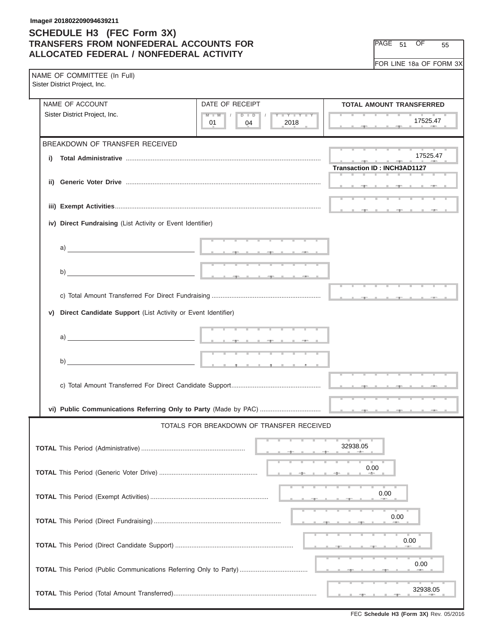#### **Image# 201802209094639211**

#### **SCHEDULE H3 (FEC Form 3X) TRANSFERS FROM NONFEDERAL ACCOUNTS FOR ALLOCATED FEDERAL / NONFEDERAL ACTIVITY**

PAGE 51 OF 55

FOR LINE 18a OF FORM 3X

|    | NAME OF COMMITTEE (In Full)<br>Sister District Project, Inc. |                                                                                                                 |                                                                                                                                                                                                                                                                                                                                                                                                                                                                                    |  |  |  |  |  |
|----|--------------------------------------------------------------|-----------------------------------------------------------------------------------------------------------------|------------------------------------------------------------------------------------------------------------------------------------------------------------------------------------------------------------------------------------------------------------------------------------------------------------------------------------------------------------------------------------------------------------------------------------------------------------------------------------|--|--|--|--|--|
|    | NAME OF ACCOUNT                                              | DATE OF RECEIPT                                                                                                 | <b>TOTAL AMOUNT TRANSFERRED</b>                                                                                                                                                                                                                                                                                                                                                                                                                                                    |  |  |  |  |  |
|    | Sister District Project, Inc.                                | $Y = Y = Y + Y$<br>$M$ $M$ $N$<br>$D$ $D$<br>2018<br>01<br>04                                                   | 17525.47                                                                                                                                                                                                                                                                                                                                                                                                                                                                           |  |  |  |  |  |
|    | BREAKDOWN OF TRANSFER RECEIVED                               |                                                                                                                 |                                                                                                                                                                                                                                                                                                                                                                                                                                                                                    |  |  |  |  |  |
| i) |                                                              |                                                                                                                 | 17525.47<br>$\frac{1}{\sqrt{2}}\left( \frac{1}{\sqrt{2}}\right) \left( \frac{1}{\sqrt{2}}\right) \left( \frac{1}{\sqrt{2}}\right) \left( \frac{1}{\sqrt{2}}\right) \left( \frac{1}{\sqrt{2}}\right) \left( \frac{1}{\sqrt{2}}\right) \left( \frac{1}{\sqrt{2}}\right) \left( \frac{1}{\sqrt{2}}\right) \left( \frac{1}{\sqrt{2}}\right) \left( \frac{1}{\sqrt{2}}\right) \left( \frac{1}{\sqrt{2}}\right) \left( \frac{1}{\sqrt{2}}\right) \left( \frac{1}{\sqrt{2}}\right) \left$ |  |  |  |  |  |
|    |                                                              |                                                                                                                 | <b>Transaction ID: INCH3AD1127</b>                                                                                                                                                                                                                                                                                                                                                                                                                                                 |  |  |  |  |  |
|    |                                                              |                                                                                                                 |                                                                                                                                                                                                                                                                                                                                                                                                                                                                                    |  |  |  |  |  |
|    |                                                              |                                                                                                                 |                                                                                                                                                                                                                                                                                                                                                                                                                                                                                    |  |  |  |  |  |
|    |                                                              |                                                                                                                 |                                                                                                                                                                                                                                                                                                                                                                                                                                                                                    |  |  |  |  |  |
|    | iv) Direct Fundraising (List Activity or Event Identifier)   |                                                                                                                 |                                                                                                                                                                                                                                                                                                                                                                                                                                                                                    |  |  |  |  |  |
|    |                                                              | the contract of the contract of the contract of the contract of the contract of the contract of the contract of |                                                                                                                                                                                                                                                                                                                                                                                                                                                                                    |  |  |  |  |  |
|    |                                                              |                                                                                                                 |                                                                                                                                                                                                                                                                                                                                                                                                                                                                                    |  |  |  |  |  |
|    |                                                              |                                                                                                                 |                                                                                                                                                                                                                                                                                                                                                                                                                                                                                    |  |  |  |  |  |
|    | b)                                                           |                                                                                                                 |                                                                                                                                                                                                                                                                                                                                                                                                                                                                                    |  |  |  |  |  |
|    |                                                              |                                                                                                                 |                                                                                                                                                                                                                                                                                                                                                                                                                                                                                    |  |  |  |  |  |
| V) | Direct Candidate Support (List Activity or Event Identifier) |                                                                                                                 |                                                                                                                                                                                                                                                                                                                                                                                                                                                                                    |  |  |  |  |  |
|    |                                                              |                                                                                                                 |                                                                                                                                                                                                                                                                                                                                                                                                                                                                                    |  |  |  |  |  |
|    |                                                              |                                                                                                                 |                                                                                                                                                                                                                                                                                                                                                                                                                                                                                    |  |  |  |  |  |
|    |                                                              |                                                                                                                 |                                                                                                                                                                                                                                                                                                                                                                                                                                                                                    |  |  |  |  |  |
|    |                                                              |                                                                                                                 |                                                                                                                                                                                                                                                                                                                                                                                                                                                                                    |  |  |  |  |  |
|    |                                                              |                                                                                                                 |                                                                                                                                                                                                                                                                                                                                                                                                                                                                                    |  |  |  |  |  |
|    |                                                              |                                                                                                                 |                                                                                                                                                                                                                                                                                                                                                                                                                                                                                    |  |  |  |  |  |
|    |                                                              |                                                                                                                 |                                                                                                                                                                                                                                                                                                                                                                                                                                                                                    |  |  |  |  |  |
|    |                                                              | TOTALS FOR BREAKDOWN OF TRANSFER RECEIVED                                                                       |                                                                                                                                                                                                                                                                                                                                                                                                                                                                                    |  |  |  |  |  |
|    |                                                              |                                                                                                                 | 32938.05                                                                                                                                                                                                                                                                                                                                                                                                                                                                           |  |  |  |  |  |
|    |                                                              |                                                                                                                 |                                                                                                                                                                                                                                                                                                                                                                                                                                                                                    |  |  |  |  |  |
|    |                                                              |                                                                                                                 | 0.00                                                                                                                                                                                                                                                                                                                                                                                                                                                                               |  |  |  |  |  |
|    |                                                              |                                                                                                                 |                                                                                                                                                                                                                                                                                                                                                                                                                                                                                    |  |  |  |  |  |
|    |                                                              |                                                                                                                 | 0.00                                                                                                                                                                                                                                                                                                                                                                                                                                                                               |  |  |  |  |  |
|    |                                                              |                                                                                                                 | 0.00                                                                                                                                                                                                                                                                                                                                                                                                                                                                               |  |  |  |  |  |
|    |                                                              |                                                                                                                 |                                                                                                                                                                                                                                                                                                                                                                                                                                                                                    |  |  |  |  |  |
|    |                                                              |                                                                                                                 | 0.00                                                                                                                                                                                                                                                                                                                                                                                                                                                                               |  |  |  |  |  |
|    | 0.00                                                         |                                                                                                                 |                                                                                                                                                                                                                                                                                                                                                                                                                                                                                    |  |  |  |  |  |
|    |                                                              |                                                                                                                 |                                                                                                                                                                                                                                                                                                                                                                                                                                                                                    |  |  |  |  |  |
|    | 32938.05                                                     |                                                                                                                 |                                                                                                                                                                                                                                                                                                                                                                                                                                                                                    |  |  |  |  |  |

FEC **Schedule H3 (Form 3X)** Rev. 05/2016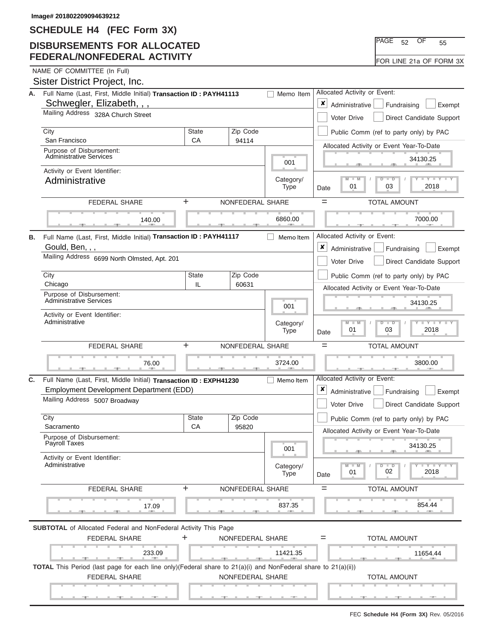### **DISBURSEMENTS FOR ALLOCATED FEDERAL/NONFEDERAL ACTIVITY**

| IPAGE 52 |  | 55                      |  |
|----------|--|-------------------------|--|
|          |  | FOR LINE 21a OF FORM 3X |  |

| А. | Full Name (Last, First, Middle Initial) Transaction ID: PAYH41113                                             |                                              |                          |                                                                                                      |                                                                                      |
|----|---------------------------------------------------------------------------------------------------------------|----------------------------------------------|--------------------------|------------------------------------------------------------------------------------------------------|--------------------------------------------------------------------------------------|
|    |                                                                                                               | Allocated Activity or Event:                 |                          |                                                                                                      |                                                                                      |
|    | Schwegler, Elizabeth, , ,                                                                                     | ×<br>Administrative<br>Fundraising<br>Exempt |                          |                                                                                                      |                                                                                      |
|    | Mailing Address 328A Church Street                                                                            |                                              |                          |                                                                                                      | Direct Candidate Support<br>Voter Drive                                              |
|    | City                                                                                                          | <b>State</b>                                 | Zip Code                 |                                                                                                      | Public Comm (ref to party only) by PAC                                               |
|    | San Francisco<br>Purpose of Disbursement:                                                                     | CA                                           | 94114                    |                                                                                                      | Allocated Activity or Event Year-To-Date                                             |
|    | <b>Administrative Services</b>                                                                                |                                              |                          | 001                                                                                                  | 34130.25                                                                             |
|    | Activity or Event Identifier:<br>Administrative                                                               |                                              |                          | Category/                                                                                            | Y I Y I<br>M<br>$\overline{\mathsf{M}}$<br>$\overline{\mathsf{D}}$<br>$\blacksquare$ |
|    |                                                                                                               |                                              |                          | Type                                                                                                 | 2018<br>01<br>03<br>Date                                                             |
|    | <b>FEDERAL SHARE</b>                                                                                          | ÷                                            | NONFEDERAL SHARE         |                                                                                                      | $=$<br><b>TOTAL AMOUNT</b>                                                           |
|    | 140.00                                                                                                        |                                              |                          | 6860.00                                                                                              | 7000.00                                                                              |
| В. | Full Name (Last, First, Middle Initial) Transaction ID: PAYH41117                                             |                                              |                          | Memo Item                                                                                            | Allocated Activity or Event:                                                         |
|    | Gould, Ben, , ,                                                                                               |                                              |                          |                                                                                                      | ×<br>Administrative<br>Fundraising<br>Exempt                                         |
|    | Mailing Address 6699 North Olmsted, Apt. 201                                                                  |                                              |                          |                                                                                                      | Voter Drive<br>Direct Candidate Support                                              |
|    | City                                                                                                          | State                                        | Zip Code                 |                                                                                                      | Public Comm (ref to party only) by PAC                                               |
|    | Chicago                                                                                                       | IL                                           | 60631                    |                                                                                                      | Allocated Activity or Event Year-To-Date                                             |
|    | Purpose of Disbursement:<br><b>Administrative Services</b>                                                    |                                              | 001                      | 34130.25                                                                                             |                                                                                      |
|    | Activity or Event Identifier:<br>Administrative                                                               |                                              | Category/<br><b>Type</b> | M<br>$Y - Y$<br>M<br>$\overline{\mathsf{D}}$<br>$\overline{\phantom{a}}$<br>03<br>2018<br>01<br>Date |                                                                                      |
|    | +<br>NONFEDERAL SHARE<br><b>FEDERAL SHARE</b>                                                                 |                                              |                          |                                                                                                      | $=$<br><b>TOTAL AMOUNT</b>                                                           |
|    | 76.00                                                                                                         |                                              |                          | 3724.00                                                                                              | 3800.00                                                                              |
| C. | Full Name (Last, First, Middle Initial) Transaction ID: EXPH41230                                             |                                              |                          | Memo Item                                                                                            | Allocated Activity or Event:                                                         |
|    | Employment Development Department (EDD)                                                                       |                                              |                          |                                                                                                      | ×<br>Administrative<br>Fundraising<br>Exempt                                         |
|    | Mailing Address 5007 Broadway                                                                                 |                                              |                          |                                                                                                      | Direct Candidate Support<br>Voter Drive                                              |
|    | City                                                                                                          | <b>State</b>                                 | Zip Code                 |                                                                                                      | Public Comm (ref to party only) by PAC                                               |
|    | Sacramento<br>Purpose of Disbursement:                                                                        | CA                                           | 95820                    |                                                                                                      | Allocated Activity or Event Year-To-Date                                             |
|    | Payroll Taxes                                                                                                 |                                              |                          | 001                                                                                                  | 34130.25                                                                             |
|    | Activity or Event Identifier:<br>Administrative                                                               |                                              |                          | Category/<br>Type                                                                                    | $-Y$ $Y$ $+Y$<br>M<br>$\overline{D}$<br>$\Box$<br>02<br>2018<br>01<br>Date           |
|    | <b>FEDERAL SHARE</b>                                                                                          | $\ddot{}$                                    | NONFEDERAL SHARE         |                                                                                                      | <b>TOTAL AMOUNT</b><br>$=$                                                           |
|    | 17.09                                                                                                         |                                              |                          | 837.35                                                                                               | 854.44                                                                               |
|    | <b>SUBTOTAL</b> of Allocated Federal and NonFederal Activity This Page                                        |                                              |                          |                                                                                                      |                                                                                      |
|    | <b>FEDERAL SHARE</b>                                                                                          | +                                            | NONFEDERAL SHARE         |                                                                                                      | <b>TOTAL AMOUNT</b><br>$=$                                                           |
|    | 233.09<br><b>Contract Contract Contract</b>                                                                   |                                              |                          | 11421.35<br><b>CONTRACTOR</b>                                                                        | 11654.44                                                                             |
|    | TOTAL This Period (last page for each line only)(Federal share to 21(a)(i) and NonFederal share to 21(a)(ii)) |                                              |                          |                                                                                                      |                                                                                      |
|    | <b>FEDERAL SHARE</b>                                                                                          |                                              | NONFEDERAL SHARE         |                                                                                                      | <b>TOTAL AMOUNT</b>                                                                  |
|    |                                                                                                               |                                              |                          |                                                                                                      |                                                                                      |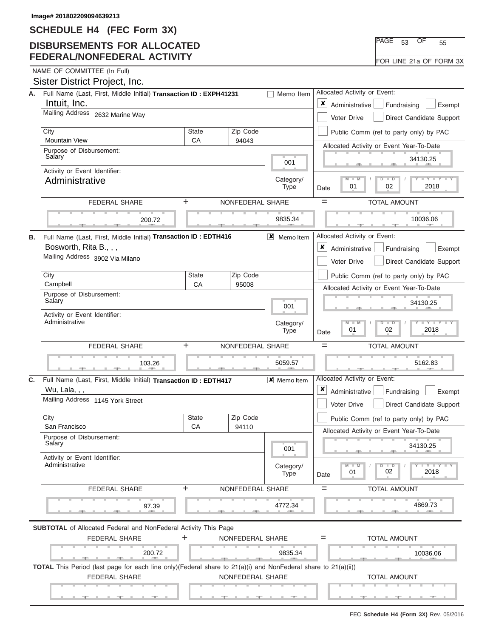#### **DISBURSEMENTS FOR ALLOCATED FEDERAL/NONFEDERAL ACTIVITY**

| $\overline{\text{PAGE}}$ 53 | ΩF | 55 |  |
|-----------------------------|----|----|--|
| FOR LINE 21a OF FORM 3X     |    |    |  |

|    | Sister District Project, Inc.                                                                                                         |                                  |                       |                          |                                                                           |                                          |                          |
|----|---------------------------------------------------------------------------------------------------------------------------------------|----------------------------------|-----------------------|--------------------------|---------------------------------------------------------------------------|------------------------------------------|--------------------------|
| А. | Full Name (Last, First, Middle Initial) Transaction ID: EXPH41231<br>Memo Item                                                        |                                  |                       |                          |                                                                           | Allocated Activity or Event:             |                          |
|    | Intuit, Inc.<br>Mailing Address 2632 Marine Way                                                                                       | $\pmb{\times}$<br>Administrative | Fundraising<br>Exempt |                          |                                                                           |                                          |                          |
|    |                                                                                                                                       |                                  |                       |                          |                                                                           | Voter Drive                              | Direct Candidate Support |
|    | City<br><b>Mountain View</b>                                                                                                          | <b>State</b><br>СA               |                       | Zip Code<br>94043        |                                                                           | Public Comm (ref to party only) by PAC   |                          |
|    | Purpose of Disbursement:<br>Salary                                                                                                    |                                  |                       |                          |                                                                           | Allocated Activity or Event Year-To-Date |                          |
|    | Activity or Event Identifier:                                                                                                         |                                  |                       |                          | 001                                                                       |                                          | 34130.25                 |
|    | Administrative                                                                                                                        |                                  |                       |                          | Category/<br><b>Type</b>                                                  | $M$ $M$<br>$D$ $D$<br>01<br>02<br>Date   | Y TY<br>2018             |
|    | <b>FEDERAL SHARE</b>                                                                                                                  | ÷                                |                       | NONFEDERAL SHARE         |                                                                           | <b>TOTAL AMOUNT</b><br>$=$               |                          |
|    | 200.72                                                                                                                                |                                  |                       |                          | 9835.34                                                                   |                                          | 10036.06                 |
| В. | Full Name (Last, First, Middle Initial) Transaction ID : EDTH416                                                                      |                                  |                       |                          | $X$ Memoltem                                                              | Allocated Activity or Event:             |                          |
|    | Bosworth, Rita B., , ,                                                                                                                |                                  |                       |                          |                                                                           | $\pmb{\times}$<br>Administrative         | Fundraising<br>Exempt    |
|    | Mailing Address 3902 Via Milano                                                                                                       |                                  |                       |                          |                                                                           | <b>Voter Drive</b>                       | Direct Candidate Support |
|    | City                                                                                                                                  | <b>State</b>                     |                       | Zip Code                 |                                                                           | Public Comm (ref to party only) by PAC   |                          |
|    | Campbell<br>CA<br>95008                                                                                                               |                                  |                       |                          | Allocated Activity or Event Year-To-Date                                  |                                          |                          |
|    | Purpose of Disbursement:<br>Salary                                                                                                    |                                  |                       |                          | 001                                                                       |                                          | 34130.25                 |
|    | Activity or Event Identifier:<br>Administrative                                                                                       |                                  |                       | Category/<br><b>Type</b> | $M - M$<br>$\overline{D}$<br>$\overline{\phantom{0}}$<br>01<br>02<br>Date | $Y - Y$<br>2018                          |                          |
|    | +<br><b>FEDERAL SHARE</b><br>NONFEDERAL SHARE                                                                                         |                                  |                       |                          | $=$<br><b>TOTAL AMOUNT</b>                                                |                                          |                          |
|    | 103.26                                                                                                                                |                                  |                       |                          | 5059.57                                                                   |                                          | 5162.83                  |
| C. | Full Name (Last, First, Middle Initial) Transaction ID: EDTH417<br>Wu, Lala, , ,                                                      |                                  |                       |                          | X Memoltem                                                                | Allocated Activity or Event:<br>x        |                          |
|    | Mailing Address 1145 York Street                                                                                                      |                                  |                       |                          |                                                                           | Administrative                           | Fundraising<br>Exempt    |
|    |                                                                                                                                       |                                  |                       |                          |                                                                           | Voter Drive                              | Direct Candidate Support |
|    | City<br>San Francisco                                                                                                                 | <b>State</b><br>CA               |                       | Zip Code<br>94110        |                                                                           | Public Comm (ref to party only) by PAC   |                          |
|    | Purpose of Disbursement:<br>Salary                                                                                                    |                                  |                       |                          |                                                                           | Allocated Activity or Event Year-To-Date | 34130.25                 |
|    | Activity or Event Identifier:                                                                                                         |                                  |                       |                          | 001                                                                       |                                          |                          |
|    | Administrative                                                                                                                        |                                  |                       |                          | Category/<br><b>Type</b>                                                  | ъ<br>$\blacksquare$<br>02<br>01<br>Date  | $Y$ $Y$ $Y$ $Y$<br>2018  |
|    | <b>FEDERAL SHARE</b>                                                                                                                  | $\ddot{}$                        |                       | NONFEDERAL SHARE         |                                                                           | <b>TOTAL AMOUNT</b><br>$=$               |                          |
|    | 97.39                                                                                                                                 |                                  |                       |                          | 4772.34                                                                   |                                          | 4869.73                  |
|    | <b>SUBTOTAL</b> of Allocated Federal and NonFederal Activity This Page                                                                |                                  |                       |                          |                                                                           |                                          |                          |
|    | <b>FEDERAL SHARE</b>                                                                                                                  | +                                |                       | NONFEDERAL SHARE         |                                                                           | <b>TOTAL AMOUNT</b><br>$=$               |                          |
|    | 200.72                                                                                                                                |                                  |                       |                          | 9835.34                                                                   |                                          | 10036.06                 |
|    | TOTAL This Period (last page for each line only)(Federal share to 21(a)(i) and NonFederal share to 21(a)(ii))<br><b>FEDERAL SHARE</b> |                                  |                       | NONFEDERAL SHARE         |                                                                           | <b>TOTAL AMOUNT</b>                      |                          |
|    |                                                                                                                                       |                                  |                       |                          |                                                                           |                                          |                          |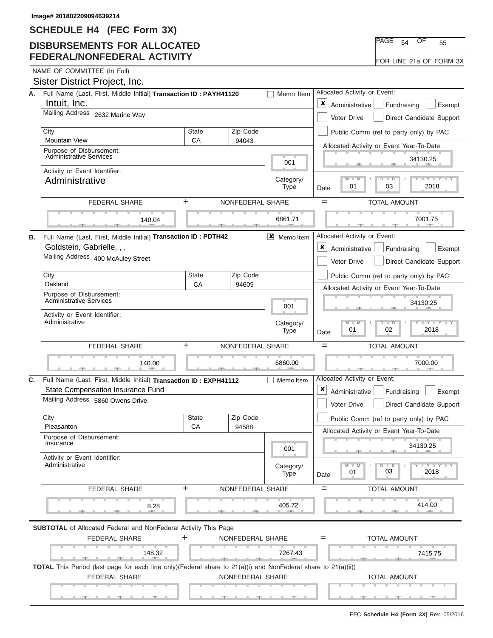### **DISBURSEMENTS FOR ALLOCATED FEDERAL/NONFEDERAL ACTIVITY**

| $\overline{\text{PAGE}}$ 54 | ΩF | 55 |  |
|-----------------------------|----|----|--|
| FOR LINE 21a OF FORM 3X     |    |    |  |

|    | Sister District Project, Inc.                                                                                             |                                                           |                          |                                                                                                                    |                                                          |
|----|---------------------------------------------------------------------------------------------------------------------------|-----------------------------------------------------------|--------------------------|--------------------------------------------------------------------------------------------------------------------|----------------------------------------------------------|
| А. | Full Name (Last, First, Middle Initial) Transaction ID: PAYH41120                                                         | Allocated Activity or Event:                              |                          |                                                                                                                    |                                                          |
|    | Intuit, Inc.                                                                                                              | $\pmb{\times}$<br>Administrative<br>Fundraising<br>Exempt |                          |                                                                                                                    |                                                          |
|    | Mailing Address 2632 Marine Way                                                                                           |                                                           |                          |                                                                                                                    | Voter Drive<br>Direct Candidate Support                  |
|    | City                                                                                                                      | <b>State</b>                                              | Zip Code                 |                                                                                                                    | Public Comm (ref to party only) by PAC                   |
|    | <b>Mountain View</b>                                                                                                      | CA                                                        | 94043                    |                                                                                                                    | Allocated Activity or Event Year-To-Date                 |
|    | Purpose of Disbursement:<br><b>Administrative Services</b>                                                                |                                                           |                          | 001                                                                                                                | 34130.25                                                 |
|    | Activity or Event Identifier:                                                                                             |                                                           |                          | Category/                                                                                                          | $M - M$<br>$D$ $\Box$ $D$<br>$Y - Y$                     |
|    | Administrative                                                                                                            |                                                           |                          | <b>Type</b>                                                                                                        | 2018<br>01<br>03<br>Date                                 |
|    | <b>FEDERAL SHARE</b>                                                                                                      | ÷                                                         | NONFEDERAL SHARE         |                                                                                                                    | $=$<br><b>TOTAL AMOUNT</b>                               |
|    | 140.04                                                                                                                    |                                                           |                          | 6861.71                                                                                                            | 7001.75                                                  |
| В. | Full Name (Last, First, Middle Initial) Transaction ID: PDTH42                                                            |                                                           |                          | $\mathsf{X}$ Memoltem                                                                                              | Allocated Activity or Event:                             |
|    | Goldstein, Gabrielle, , ,                                                                                                 |                                                           |                          |                                                                                                                    | ×<br>Administrative<br>Fundraising<br>Exempt             |
|    | Mailing Address 400 McAuley Street                                                                                        |                                                           |                          |                                                                                                                    | Voter Drive<br>Direct Candidate Support                  |
|    | City                                                                                                                      | <b>State</b>                                              | Zip Code                 |                                                                                                                    | Public Comm (ref to party only) by PAC                   |
|    | Oakland                                                                                                                   | CA                                                        | 94609                    |                                                                                                                    | Allocated Activity or Event Year-To-Date                 |
|    | Purpose of Disbursement:<br><b>Administrative Services</b>                                                                |                                                           | 001                      | 34130.25                                                                                                           |                                                          |
|    | Activity or Event Identifier:<br>Administrative                                                                           |                                                           | Category/<br><b>Type</b> | $M - M$<br>$\mathbf{I} = \mathbf{Y} - \mathbf{I} - \mathbf{Y} - \mathbf{I}$<br>$D - D$<br>01<br>02<br>2018<br>Date |                                                          |
|    | <b>FEDERAL SHARE</b>                                                                                                      | $=$<br><b>TOTAL AMOUNT</b>                                |                          |                                                                                                                    |                                                          |
|    | 140.00                                                                                                                    |                                                           |                          | 6860.00                                                                                                            | 7000.00                                                  |
| C. | Full Name (Last, First, Middle Initial) Transaction ID: EXPH41112                                                         |                                                           |                          | Memo Item                                                                                                          | Allocated Activity or Event:                             |
|    | State Compensation Insurance Fund                                                                                         |                                                           |                          |                                                                                                                    | x<br>Administrative<br>Fundraising<br>Exempt             |
|    | Mailing Address 5860 Owens Drive                                                                                          |                                                           |                          |                                                                                                                    | Voter Drive<br>Direct Candidate Support                  |
|    | City                                                                                                                      | <b>State</b>                                              | Zip Code                 |                                                                                                                    | Public Comm (ref to party only) by PAC                   |
|    | Pleasanton<br>Purpose of Disbursement:                                                                                    | CA                                                        | 94588                    |                                                                                                                    | Allocated Activity or Event Year-To-Date                 |
|    | Insurance                                                                                                                 |                                                           |                          | 001                                                                                                                | 34130.25                                                 |
|    | Activity or Event Identifier:<br>Administrative                                                                           |                                                           |                          | Category/<br><b>Type</b>                                                                                           | $M - M$<br>$\Box$<br>$Y = Y$<br>03<br>2018<br>01<br>Date |
|    | FEDERAL SHARE                                                                                                             | ÷                                                         | NONFEDERAL SHARE         |                                                                                                                    | <b>TOTAL AMOUNT</b><br>$=$                               |
|    | 8.28                                                                                                                      |                                                           |                          | 405.72                                                                                                             | 414.00                                                   |
|    | <b>SUBTOTAL</b> of Allocated Federal and NonFederal Activity This Page                                                    |                                                           |                          |                                                                                                                    |                                                          |
|    | <b>FEDERAL SHARE</b>                                                                                                      | +                                                         | NONFEDERAL SHARE         |                                                                                                                    | <b>TOTAL AMOUNT</b><br>$=$                               |
|    | 148.32<br><u>.</u><br>a.                                                                                                  |                                                           |                          | 7267.43                                                                                                            | 7415.75                                                  |
|    | <b>TOTAL</b> This Period (last page for each line only)(Federal share to $21(a)(i)$ and NonFederal share to $21(a)(ii)$ ) |                                                           |                          |                                                                                                                    |                                                          |
|    | <b>FEDERAL SHARE</b>                                                                                                      |                                                           | NONFEDERAL SHARE         |                                                                                                                    | <b>TOTAL AMOUNT</b>                                      |
|    |                                                                                                                           |                                                           |                          |                                                                                                                    |                                                          |